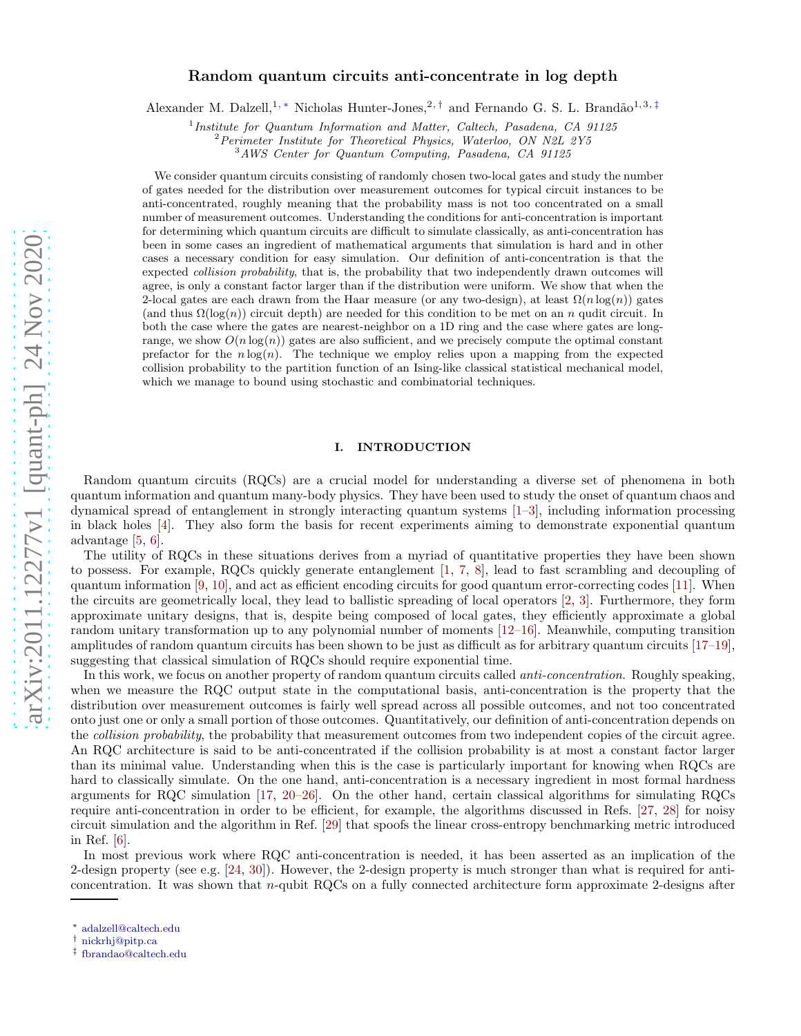# Random quantum circuits anti-concentrate in log depth

Alexander M. Dalzell,<sup>1, \*</sup> Nicholas Hunter-Jones,<sup>2, [†](#page-0-1)</sup> and Fernando G. S. L. Brandão<sup>1,3,[‡](#page-0-2)</sup>

<sup>1</sup>Institute for Quantum Information and Matter, Caltech, Pasadena, CA 91125

 ${}^{2}$ Perimeter Institute for Theoretical Physics, Waterloo, ON N2L 2Y5

<sup>3</sup>AWS Center for Quantum Computing, Pasadena, CA 91125

We consider quantum circuits consisting of randomly chosen two-local gates and study the number of gates needed for the distribution over measurement outcomes for typical circuit instances to be anti-concentrated, roughly meaning that the probability mass is not too concentrated on a small number of measurement outcomes. Understanding the conditions for anti-concentration is important for determining which quantum circuits are difficult to simulate classically, as anti-concentration has been in some cases an ingredient of mathematical arguments that simulation is hard and in other cases a necessary condition for easy simulation. Our definition of anti-concentration is that the expected collision probability, that is, the probability that two independently drawn outcomes will agree, is only a constant factor larger than if the distribution were uniform. We show that when the 2-local gates are each drawn from the Haar measure (or any two-design), at least  $\Omega(n \log(n))$  gates (and thus  $\Omega(\log(n))$  circuit depth) are needed for this condition to be met on an n qudit circuit. In both the case where the gates are nearest-neighbor on a 1D ring and the case where gates are longrange, we show  $O(n \log(n))$  gates are also sufficient, and we precisely compute the optimal constant prefactor for the  $n \log(n)$ . The technique we employ relies upon a mapping from the expected collision probability to the partition function of an Ising-like classical statistical mechanical model, which we manage to bound using stochastic and combinatorial techniques.

# I. INTRODUCTION

Random quantum circuits (RQCs) are a crucial model for understanding a diverse set of phenomena in both quantum information and quantum many-body physics. They have been used to study the onset of quantum chaos and dynamical spread of entanglement in strongly interacting quantum systems [\[1](#page-42-0)[–3](#page-42-1)], including information processing in black holes [\[4](#page-42-2)]. They also form the basis for recent experiments aiming to demonstrate exponential quantum advantage [\[5,](#page-42-3) [6\]](#page-42-4).

The utility of RQCs in these situations derives from a myriad of quantitative properties they have been shown to possess. For example, RQCs quickly generate entanglement [\[1](#page-42-0), [7](#page-42-5), [8](#page-42-6)], lead to fast scrambling and decoupling of quantum information [\[9](#page-42-7), [10\]](#page-42-8), and act as efficient encoding circuits for good quantum error-correcting codes [\[11\]](#page-42-9). When the circuits are geometrically local, they lead to ballistic spreading of local operators [\[2,](#page-42-10) [3](#page-42-1)]. Furthermore, they form approximate unitary designs, that is, despite being composed of local gates, they efficiently approximate a global random unitary transformation up to any polynomial number of moments [\[12](#page-42-11)[–16](#page-42-12)]. Meanwhile, computing transition amplitudes of random quantum circuits has been shown to be just as difficult as for arbitrary quantum circuits [\[17](#page-42-13)[–19\]](#page-42-14), suggesting that classical simulation of RQCs should require exponential time.

In this work, we focus on another property of random quantum circuits called *anti-concentration*. Roughly speaking, when we measure the RQC output state in the computational basis, anti-concentration is the property that the distribution over measurement outcomes is fairly well spread across all possible outcomes, and not too concentrated onto just one or only a small portion of those outcomes. Quantitatively, our definition of anti-concentration depends on the *collision probability*, the probability that measurement outcomes from two independent copies of the circuit agree. An RQC architecture is said to be anti-concentrated if the collision probability is at most a constant factor larger than its minimal value. Understanding when this is the case is particularly important for knowing when RQCs are hard to classically simulate. On the one hand, anti-concentration is a necessary ingredient in most formal hardness arguments for RQC simulation [\[17,](#page-42-13) [20](#page-42-15)[–26\]](#page-43-0). On the other hand, certain classical algorithms for simulating RQCs require anti-concentration in order to be efficient, for example, the algorithms discussed in Refs. [\[27](#page-43-1), [28\]](#page-43-2) for noisy circuit simulation and the algorithm in Ref. [\[29\]](#page-43-3) that spoofs the linear cross-entropy benchmarking metric introduced in Ref. [\[6](#page-42-4)].

In most previous work where RQC anti-concentration is needed, it has been asserted as an implication of the 2-design property (see e.g. [\[24,](#page-43-4) [30\]](#page-43-5)). However, the 2-design property is much stronger than what is required for anticoncentration. It was shown that  $n$ -qubit RQCs on a fully connected architecture form approximate 2-designs after

<span id="page-0-0"></span><sup>∗</sup> [adalzell@caltech.edu](mailto:adalzell@caltech.edu)

<span id="page-0-1"></span><sup>†</sup> [nickrhj@pitp.ca](mailto:nickrhj@pitp.ca)

<span id="page-0-2"></span><sup>‡</sup> [fbrandao@caltech.edu](mailto:fbrandao@caltech.edu)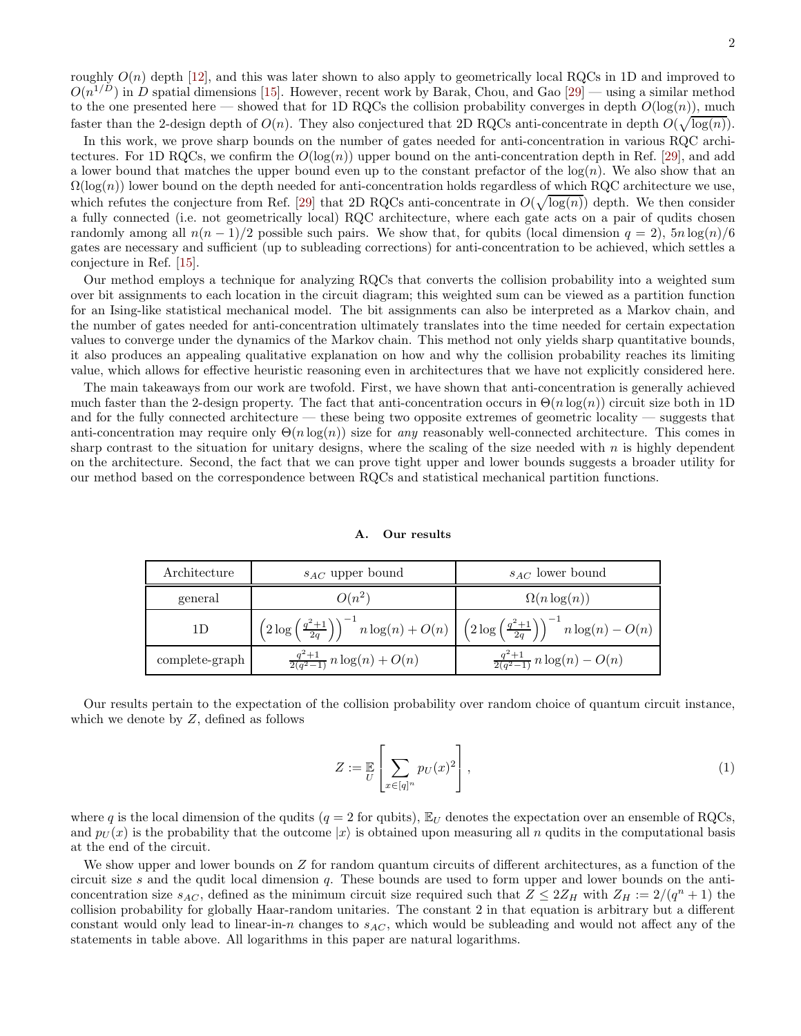roughly  $O(n)$  depth [\[12](#page-42-11)], and this was later shown to also apply to geometrically local RQCs in 1D and improved to  $O(n^{1/D})$  in D spatial dimensions [\[15\]](#page-42-16). However, recent work by Barak, Chou, and Gao [\[29\]](#page-43-3) — using a similar method to the one presented here — showed that for 1D RQCs the collision probability converges in depth  $O(\log(n))$ , much faster than the 2-design depth of  $O(n)$ . They also conjectured that 2D RQCs anti-concentrate in depth  $O(\sqrt{\log(n)})$ .

In this work, we prove sharp bounds on the number of gates needed for anti-concentration in various RQC architectures. For 1D RQCs, we confirm the  $O(log(n))$  upper bound on the anti-concentration depth in Ref. [\[29](#page-43-3)], and add a lower bound that matches the upper bound even up to the constant prefactor of the  $log(n)$ . We also show that an  $\Omega(\log(n))$  lower bound on the depth needed for anti-concentration holds regardless of which RQC architecture we use, which refutes the conjecture from Ref. [\[29\]](#page-43-3) that 2D RQCs anti-concentrate in  $O(\sqrt{\log(n)})$  depth. We then consider a fully connected (i.e. not geometrically local) RQC architecture, where each gate acts on a pair of qudits chosen randomly among all  $n(n-1)/2$  possible such pairs. We show that, for qubits (local dimension  $q = 2$ ),  $5n \log(n)/6$ gates are necessary and sufficient (up to subleading corrections) for anti-concentration to be achieved, which settles a conjecture in Ref. [\[15](#page-42-16)].

Our method employs a technique for analyzing RQCs that converts the collision probability into a weighted sum over bit assignments to each location in the circuit diagram; this weighted sum can be viewed as a partition function for an Ising-like statistical mechanical model. The bit assignments can also be interpreted as a Markov chain, and the number of gates needed for anti-concentration ultimately translates into the time needed for certain expectation values to converge under the dynamics of the Markov chain. This method not only yields sharp quantitative bounds, it also produces an appealing qualitative explanation on how and why the collision probability reaches its limiting value, which allows for effective heuristic reasoning even in architectures that we have not explicitly considered here.

The main takeaways from our work are twofold. First, we have shown that anti-concentration is generally achieved much faster than the 2-design property. The fact that anti-concentration occurs in  $\Theta(n \log(n))$  circuit size both in 1D and for the fully connected architecture — these being two opposite extremes of geometric locality — suggests that anti-concentration may require only  $\Theta(n \log(n))$  size for any reasonably well-connected architecture. This comes in sharp contrast to the situation for unitary designs, where the scaling of the size needed with  $n$  is highly dependent on the architecture. Second, the fact that we can prove tight upper and lower bounds suggests a broader utility for our method based on the correspondence between RQCs and statistical mechanical partition functions.

#### A. Our results

| Architecture   | $s_{AC}$ upper bound                      | $s_{AC}$ lower bound                                                                                                                                             |
|----------------|-------------------------------------------|------------------------------------------------------------------------------------------------------------------------------------------------------------------|
| general        | $O(n^2)$                                  | $\Omega(n \log(n))$                                                                                                                                              |
| 1D             |                                           | $\left(2\log\left(\tfrac{q^2+1}{2q}\right)\right)^{-1} n\log(n) + O(n) \ \left  \ \left(2\log\left(\tfrac{q^2+1}{2q}\right)\right)^{-1} n\log(n) - O(n) \right.$ |
| complete-graph | $\frac{q^2+1}{2(q^2-1)} n \log(n) + O(n)$ | $\frac{q^2+1}{2(q^2-1)} n \log(n) - O(n)$                                                                                                                        |

Our results pertain to the expectation of the collision probability over random choice of quantum circuit instance, which we denote by  $Z$ , defined as follows

$$
Z := \mathbb{E}_{U} \left[ \sum_{x \in [q]^n} p_U(x)^2 \right],
$$
\n(1)

where q is the local dimension of the qudits ( $q = 2$  for qubits),  $\mathbb{E}_U$  denotes the expectation over an ensemble of RQCs, and  $p_U(x)$  is the probability that the outcome  $|x\rangle$  is obtained upon measuring all n qudits in the computational basis at the end of the circuit.

We show upper and lower bounds on  $Z$  for random quantum circuits of different architectures, as a function of the circuit size s and the qudit local dimension  $q$ . These bounds are used to form upper and lower bounds on the anticoncentration size  $s_{AC}$ , defined as the minimum circuit size required such that  $Z \leq 2Z_H$  with  $Z_H := 2/(q^n + 1)$  the collision probability for globally Haar-random unitaries. The constant 2 in that equation is arbitrary but a different constant would only lead to linear-in-n changes to  $s_{AC}$ , which would be subleading and would not affect any of the statements in table above. All logarithms in this paper are natural logarithms.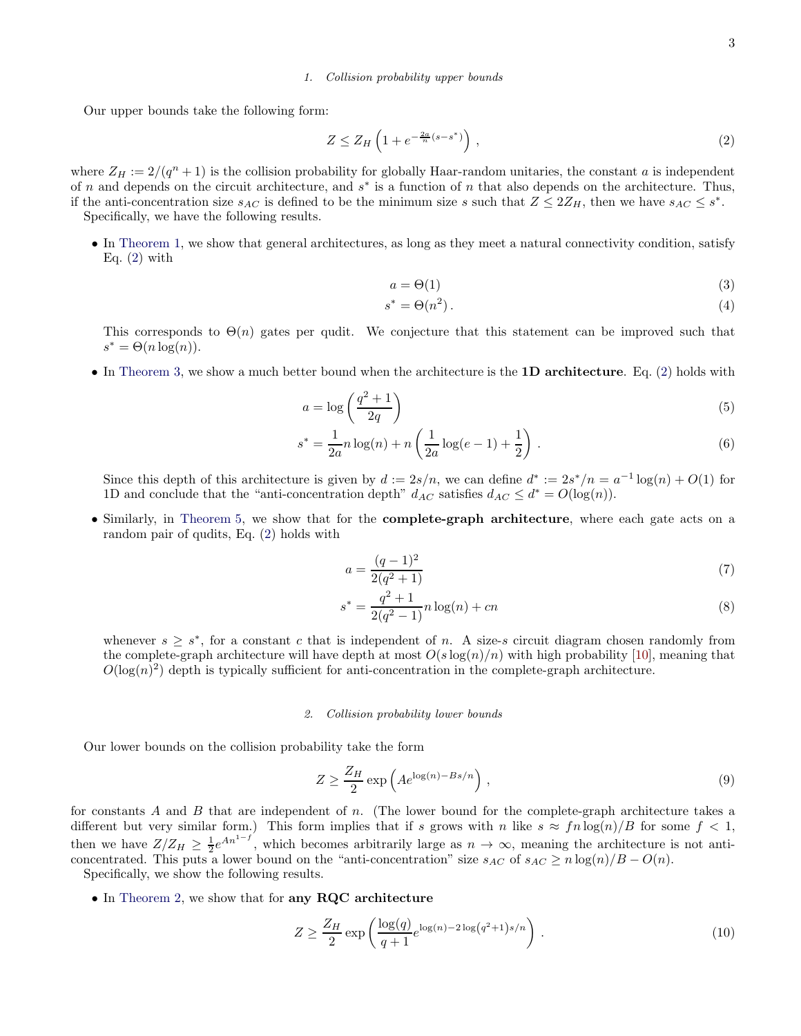### 1. Collision probability upper bounds

Our upper bounds take the following form:

<span id="page-2-0"></span>
$$
Z \le Z_H \left( 1 + e^{-\frac{2a}{n}(s - s^*)} \right) \,,\tag{2}
$$

where  $Z_H := 2/(q^n + 1)$  is the collision probability for globally Haar-random unitaries, the constant a is independent of n and depends on the circuit architecture, and  $s^*$  is a function of n that also depends on the architecture. Thus, if the anti-concentration size  $s_{AC}$  is defined to be the minimum size s such that  $Z \leq 2Z_H$ , then we have  $s_{AC} \leq s^*$ . Specifically, we have the following results.

• In [Theorem 1,](#page-17-0) we show that general architectures, as long as they meet a natural connectivity condition, satisfy Eq.  $(2)$  with

$$
a = \Theta(1) \tag{3}
$$

<span id="page-2-1"></span>
$$
s^* = \Theta(n^2). \tag{4}
$$

This corresponds to  $\Theta(n)$  gates per qudit. We conjecture that this statement can be improved such that  $s^* = \Theta(n \log(n)).$ 

• In [Theorem 3,](#page-20-0) we show a much better bound when the architecture is the 1D architecture. Eq. [\(2\)](#page-2-0) holds with

$$
a = \log\left(\frac{q^2 + 1}{2q}\right) \tag{5}
$$

$$
s^* = \frac{1}{2a}n\log(n) + n\left(\frac{1}{2a}\log(e-1) + \frac{1}{2}\right).
$$
 (6)

Since this depth of this architecture is given by  $d := 2s/n$ , we can define  $d^* := 2s^*/n = a^{-1} \log(n) + O(1)$  for 1D and conclude that the "anti-concentration depth"  $d_{AC}$  satisfies  $d_{AC} \leq d^* = O(\log(n))$ .

• Similarly, in [Theorem 5,](#page-31-0) we show that for the complete-graph architecture, where each gate acts on a random pair of qudits, Eq. [\(2\)](#page-2-0) holds with

$$
a = \frac{(q-1)^2}{2(q^2+1)}
$$
\n(7)

$$
s^* = \frac{q^2 + 1}{2(q^2 - 1)} n \log(n) + cn \tag{8}
$$

whenever  $s \geq s^*$ , for a constant c that is independent of n. A size-s circuit diagram chosen randomly from the complete-graph architecture will have depth at most  $O(s \log(n)/n)$  with high probability [\[10\]](#page-42-8), meaning that  $O(\log(n)^2)$  depth is typically sufficient for anti-concentration in the complete-graph architecture.

#### 2. Collision probability lower bounds

Our lower bounds on the collision probability take the form

$$
Z \ge \frac{Z_H}{2} \exp\left(Ae^{\log(n) - Bs/n}\right),\tag{9}
$$

for constants A and B that are independent of n. (The lower bound for the complete-graph architecture takes a different but very similar form.) This form implies that if s grows with n like  $s \approx fn \log(n)/B$  for some  $f < 1$ , then we have  $Z/Z_H \geq \frac{1}{2}e^{An^{1-f}}$ , which becomes arbitrarily large as  $n \to \infty$ , meaning the architecture is not anticoncentrated. This puts a lower bound on the "anti-concentration" size  $s_{AC}$  of  $s_{AC} \ge n \log(n)/B - O(n)$ .

Specifically, we show the following results.

• In [Theorem 2,](#page-18-0) we show that for any RQC architecture

$$
Z \ge \frac{Z_H}{2} \exp\left(\frac{\log(q)}{q+1} e^{\log(n)-2\log\left(q^2+1\right)s/n}\right). \tag{10}
$$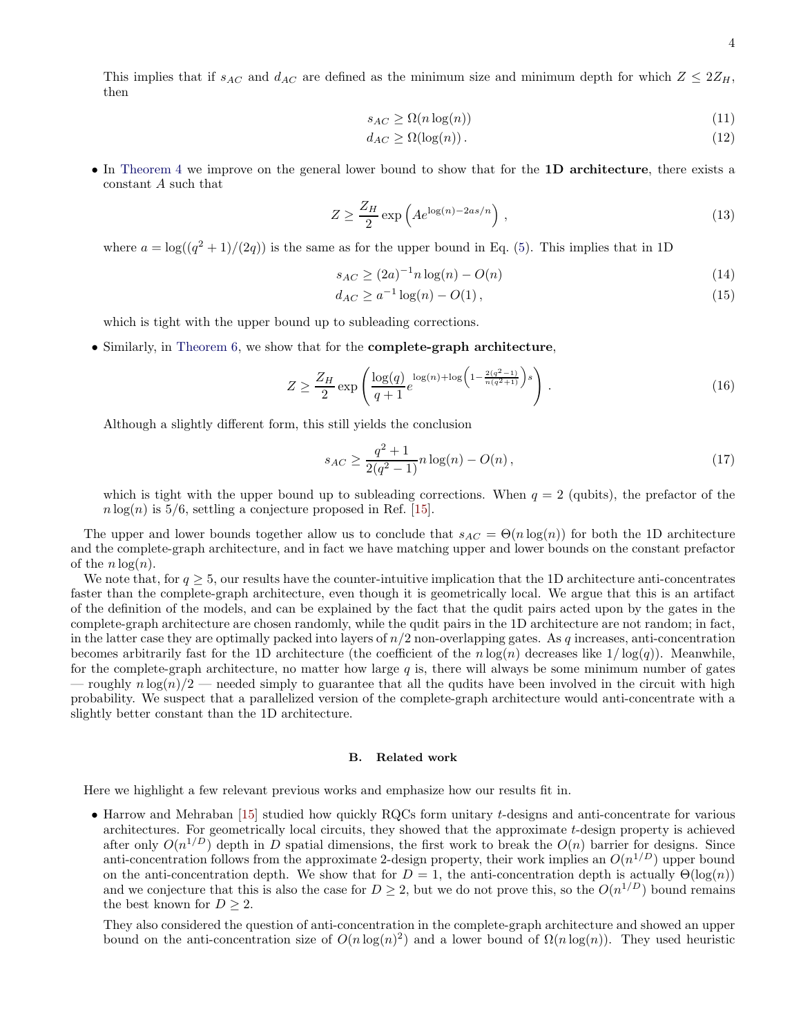$$
s_{AC} \ge \Omega(n \log(n))\tag{11}
$$

$$
d_{AC} \ge \Omega(\log(n)).\tag{12}
$$

• In [Theorem 4](#page-22-0) we improve on the general lower bound to show that for the 1D architecture, there exists a constant A such that

$$
Z \ge \frac{Z_H}{2} \exp\left(A e^{\log(n) - 2as/n}\right),\tag{13}
$$

where  $a = \log((q^2 + 1)/(2q))$  is the same as for the upper bound in Eq. [\(5\)](#page-2-1). This implies that in 1D

$$
s_{AC} \ge (2a)^{-1} n \log(n) - O(n)
$$
\n(14)

$$
d_{AC} \ge a^{-1} \log(n) - O(1), \tag{15}
$$

which is tight with the upper bound up to subleading corrections.

• Similarly, in [Theorem 6,](#page-37-0) we show that for the **complete-graph architecture**,

$$
Z \ge \frac{Z_H}{2} \exp\left(\frac{\log(q)}{q+1} e^{\log(n) + \log\left(1 - \frac{2(q^2 - 1)}{n(q^2 + 1)}\right)s}\right).
$$
 (16)

Although a slightly different form, this still yields the conclusion

$$
s_{AC} \ge \frac{q^2 + 1}{2(q^2 - 1)} n \log(n) - O(n),\tag{17}
$$

which is tight with the upper bound up to subleading corrections. When  $q = 2$  (qubits), the prefactor of the  $n \log(n)$  is 5/6, settling a conjecture proposed in Ref. [\[15\]](#page-42-16).

The upper and lower bounds together allow us to conclude that  $s_{AC} = \Theta(n \log(n))$  for both the 1D architecture and the complete-graph architecture, and in fact we have matching upper and lower bounds on the constant prefactor of the  $n \log(n)$ .

We note that, for  $q \geq 5$ , our results have the counter-intuitive implication that the 1D architecture anti-concentrates faster than the complete-graph architecture, even though it is geometrically local. We argue that this is an artifact of the definition of the models, and can be explained by the fact that the qudit pairs acted upon by the gates in the complete-graph architecture are chosen randomly, while the qudit pairs in the 1D architecture are not random; in fact, in the latter case they are optimally packed into layers of  $n/2$  non-overlapping gates. As q increases, anti-concentration becomes arbitrarily fast for the 1D architecture (the coefficient of the  $n \log(n)$  decreases like  $1/\log(q)$ ). Meanwhile, for the complete-graph architecture, no matter how large  $q$  is, there will always be some minimum number of gates — roughly  $n \log(n)/2$  — needed simply to guarantee that all the qudits have been involved in the circuit with high probability. We suspect that a parallelized version of the complete-graph architecture would anti-concentrate with a slightly better constant than the 1D architecture.

### B. Related work

Here we highlight a few relevant previous works and emphasize how our results fit in.

• Harrow and Mehraban [\[15\]](#page-42-16) studied how quickly RQCs form unitary t-designs and anti-concentrate for various architectures. For geometrically local circuits, they showed that the approximate t-design property is achieved after only  $O(n^{1/D})$  depth in D spatial dimensions, the first work to break the  $O(n)$  barrier for designs. Since anti-concentration follows from the approximate 2-design property, their work implies an  $O(n^{1/D})$  upper bound on the anti-concentration depth. We show that for  $D = 1$ , the anti-concentration depth is actually  $\Theta(\log(n))$ and we conjecture that this is also the case for  $D \ge 2$ , but we do not prove this, so the  $O(n^{1/D})$  bound remains the best known for  $D > 2$ .

They also considered the question of anti-concentration in the complete-graph architecture and showed an upper bound on the anti-concentration size of  $O(n \log(n)^2)$  and a lower bound of  $\Omega(n \log(n))$ . They used heuristic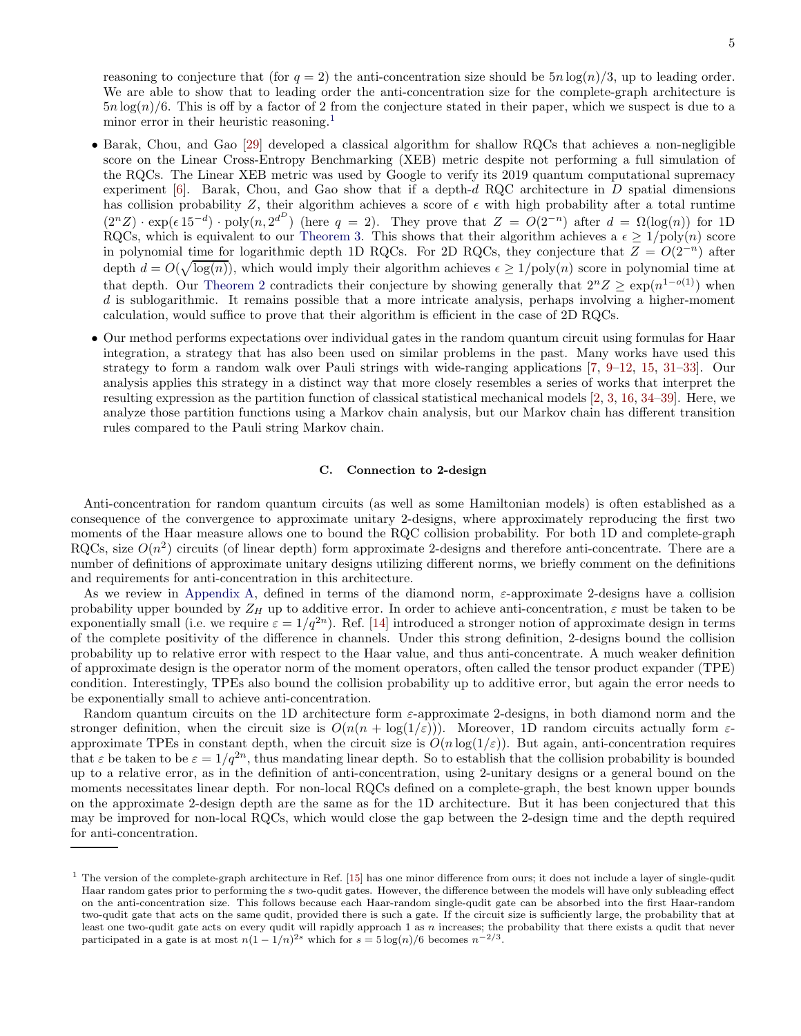reasoning to conjecture that (for  $q = 2$ ) the anti-concentration size should be  $5n \log(n)/3$ , up to leading order. We are able to show that to leading order the anti-concentration size for the complete-graph architecture is  $5n \log(n)/6$ . This is off by a factor of 2 from the conjecture stated in their paper, which we suspect is due to a minor error in their heuristic reasoning.<sup>[1](#page-4-0)</sup>

- Barak, Chou, and Gao [\[29](#page-43-3)] developed a classical algorithm for shallow RQCs that achieves a non-negligible score on the Linear Cross-Entropy Benchmarking (XEB) metric despite not performing a full simulation of the RQCs. The Linear XEB metric was used by Google to verify its 2019 quantum computational supremacy experiment  $[6]$ . Barak, Chou, and Gao show that if a depth-d RQC architecture in D spatial dimensions has collision probability Z, their algorithm achieves a score of  $\epsilon$  with high probability after a total runtime  $(2^nZ) \cdot \exp(\epsilon 15^{-d}) \cdot \text{poly}(n, 2^{d^D})$  (here  $q = 2$ ). They prove that  $Z = O(2^{-n})$  after  $d = \Omega(\log(n))$  for 1D RQCs, which is equivalent to our [Theorem 3.](#page-20-0) This shows that their algorithm achieves a  $\epsilon \geq 1/\text{poly}(n)$  score in polynomial time for logarithmic depth 1D RQCs. For 2D RQCs, they conjecture that  $Z = O(2^{-n})$  after depth  $d = O(\sqrt{\log(n)})$ , which would imply their algorithm achieves  $\epsilon \geq 1/\text{poly}(n)$  score in polynomial time at that depth. Our [Theorem 2](#page-18-0) contradicts their conjecture by showing generally that  $2^n Z \geq \exp(n^{1-o(1)})$  when d is sublogarithmic. It remains possible that a more intricate analysis, perhaps involving a higher-moment calculation, would suffice to prove that their algorithm is efficient in the case of 2D RQCs.
- Our method performs expectations over individual gates in the random quantum circuit using formulas for Haar integration, a strategy that has also been used on similar problems in the past. Many works have used this strategy to form a random walk over Pauli strings with wide-ranging applications [\[7,](#page-42-5) [9–](#page-42-7)[12,](#page-42-11) [15,](#page-42-16) [31](#page-43-6)[–33](#page-43-7)]. Our analysis applies this strategy in a distinct way that more closely resembles a series of works that interpret the resulting expression as the partition function of classical statistical mechanical models [\[2,](#page-42-10) [3](#page-42-1), [16,](#page-42-12) [34](#page-43-8)[–39](#page-43-9)]. Here, we analyze those partition functions using a Markov chain analysis, but our Markov chain has different transition rules compared to the Pauli string Markov chain.

#### C. Connection to 2-design

Anti-concentration for random quantum circuits (as well as some Hamiltonian models) is often established as a consequence of the convergence to approximate unitary 2-designs, where approximately reproducing the first two moments of the Haar measure allows one to bound the RQC collision probability. For both 1D and complete-graph RQCs, size  $O(n^2)$  circuits (of linear depth) form approximate 2-designs and therefore anti-concentrate. There are a number of definitions of approximate unitary designs utilizing different norms, we briefly comment on the definitions and requirements for anti-concentration in this architecture.

As we review in Appendix [A,](#page-40-0) defined in terms of the diamond norm, ε-approximate 2-designs have a collision probability upper bounded by  $Z_H$  up to additive error. In order to achieve anti-concentration,  $\varepsilon$  must be taken to be exponentially small (i.e. we require  $\varepsilon = 1/q^{2n}$ ). Ref. [\[14\]](#page-42-17) introduced a stronger notion of approximate design in terms of the complete positivity of the difference in channels. Under this strong definition, 2-designs bound the collision probability up to relative error with respect to the Haar value, and thus anti-concentrate. A much weaker definition of approximate design is the operator norm of the moment operators, often called the tensor product expander (TPE) condition. Interestingly, TPEs also bound the collision probability up to additive error, but again the error needs to be exponentially small to achieve anti-concentration.

Random quantum circuits on the 1D architecture form ε-approximate 2-designs, in both diamond norm and the stronger definition, when the circuit size is  $O(n(n + \log(1/\varepsilon)))$ . Moreover, 1D random circuits actually form  $\varepsilon$ approximate TPEs in constant depth, when the circuit size is  $O(n \log(1/\varepsilon))$ . But again, anti-concentration requires that  $\varepsilon$  be taken to be  $\varepsilon = 1/q^{2n}$ , thus mandating linear depth. So to establish that the collision probability is bounded up to a relative error, as in the definition of anti-concentration, using 2-unitary designs or a general bound on the moments necessitates linear depth. For non-local RQCs defined on a complete-graph, the best known upper bounds on the approximate 2-design depth are the same as for the 1D architecture. But it has been conjectured that this may be improved for non-local RQCs, which would close the gap between the 2-design time and the depth required for anti-concentration.

<span id="page-4-0"></span><sup>&</sup>lt;sup>1</sup> The version of the complete-graph architecture in Ref. [\[15](#page-42-16)] has one minor difference from ours; it does not include a layer of single-qudit Haar random gates prior to performing the s two-qudit gates. However, the difference between the models will have only subleading effect on the anti-concentration size. This follows because each Haar-random single-qudit gate can be absorbed into the first Haar-random two-qudit gate that acts on the same qudit, provided there is such a gate. If the circuit size is sufficiently large, the probability that at least one two-qudit gate acts on every qudit will rapidly approach 1 as  $n$  increases; the probability that there exists a qudit that never participated in a gate is at most  $n(1 - 1/n)^{2s}$  which for  $s = 5 \log(n)/6$  becomes  $n^{-2/3}$ .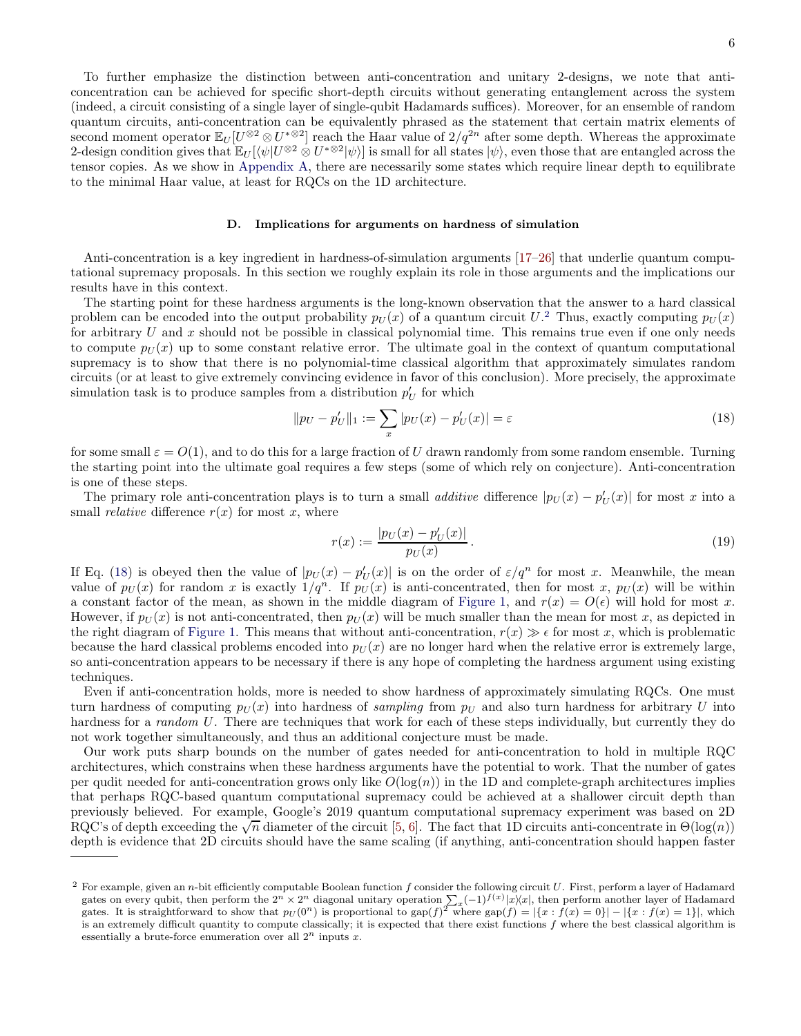To further emphasize the distinction between anti-concentration and unitary 2-designs, we note that anticoncentration can be achieved for specific short-depth circuits without generating entanglement across the system (indeed, a circuit consisting of a single layer of single-qubit Hadamards suffices). Moreover, for an ensemble of random quantum circuits, anti-concentration can be equivalently phrased as the statement that certain matrix elements of second moment operator  $\mathbb{E}_U[U^{\otimes 2} \otimes U^{*\otimes 2}]$  reach the Haar value of  $2/q^{2n}$  after some depth. Whereas the approximate 2-design condition gives that  $\mathbb{E}_U[\langle \psi | U^{\otimes 2} \otimes U^* \otimes^2 | \psi \rangle]$  is small for all states  $|\psi\rangle$ , even those that are entangled across the tensor copies. As we show in Appendix [A,](#page-40-0) there are necessarily some states which require linear depth to equilibrate to the minimal Haar value, at least for RQCs on the 1D architecture.

### D. Implications for arguments on hardness of simulation

Anti-concentration is a key ingredient in hardness-of-simulation arguments [\[17](#page-42-13)[–26\]](#page-43-0) that underlie quantum computational supremacy proposals. In this section we roughly explain its role in those arguments and the implications our results have in this context.

The starting point for these hardness arguments is the long-known observation that the answer to a hard classical problem can be encoded into the output probability  $p_U(x)$  of a quantum circuit  $U$ .<sup>[2](#page-5-0)</sup> Thus, exactly computing  $p_U(x)$ for arbitrary  $U$  and  $x$  should not be possible in classical polynomial time. This remains true even if one only needs to compute  $p_U(x)$  up to some constant relative error. The ultimate goal in the context of quantum computational supremacy is to show that there is no polynomial-time classical algorithm that approximately simulates random circuits (or at least to give extremely convincing evidence in favor of this conclusion). More precisely, the approximate simulation task is to produce samples from a distribution  $p'_U$  for which

<span id="page-5-1"></span>
$$
||p_U - p'_U||_1 := \sum_x |p_U(x) - p'_U(x)| = \varepsilon
$$
\n(18)

for some small  $\varepsilon = O(1)$ , and to do this for a large fraction of U drawn randomly from some random ensemble. Turning the starting point into the ultimate goal requires a few steps (some of which rely on conjecture). Anti-concentration is one of these steps.

The primary role anti-concentration plays is to turn a small *additive* difference  $|p_U(x) - p'_U(x)|$  for most x into a small *relative* difference  $r(x)$  for most x, where

$$
r(x) := \frac{|p_U(x) - p'_U(x)|}{p_U(x)}.
$$
\n(19)

If Eq. [\(18\)](#page-5-1) is obeyed then the value of  $|p_U(x) - p'_U(x)|$  is on the order of  $\varepsilon/q^n$  for most x. Meanwhile, the mean value of  $p_U(x)$  for random x is exactly  $1/q^n$ . If  $p_U(x)$  is anti-concentrated, then for most x,  $p_U(x)$  will be within a constant factor of the mean, as shown in the middle diagram of [Figure 1,](#page-6-0) and  $r(x) = O(\epsilon)$  will hold for most x. However, if  $p_U(x)$  is not anti-concentrated, then  $p_U(x)$  will be much smaller than the mean for most x, as depicted in the right diagram of [Figure 1.](#page-6-0) This means that without anti-concentration,  $r(x) \gg \epsilon$  for most x, which is problematic because the hard classical problems encoded into  $p_U(x)$  are no longer hard when the relative error is extremely large, so anti-concentration appears to be necessary if there is any hope of completing the hardness argument using existing techniques.

Even if anti-concentration holds, more is needed to show hardness of approximately simulating RQCs. One must turn hardness of computing  $p_U(x)$  into hardness of sampling from  $p_U$  and also turn hardness for arbitrary U into hardness for a *random U*. There are techniques that work for each of these steps individually, but currently they do not work together simultaneously, and thus an additional conjecture must be made.

Our work puts sharp bounds on the number of gates needed for anti-concentration to hold in multiple RQC architectures, which constrains when these hardness arguments have the potential to work. That the number of gates per qudit needed for anti-concentration grows only like  $O(\log(n))$  in the 1D and complete-graph architectures implies that perhaps RQC-based quantum computational supremacy could be achieved at a shallower circuit depth than previously believed. For example, Google's 2019 quantum computational supremacy experiment was based on 2D RQC's of depth exceeding the  $\sqrt{n}$  diameter of the circuit [\[5](#page-42-3), [6\]](#page-42-4). The fact that 1D circuits anti-concentrate in  $\Theta(\log(n))$ depth is evidence that 2D circuits should have the same scaling (if anything, anti-concentration should happen faster

<span id="page-5-0"></span><sup>&</sup>lt;sup>2</sup> For example, given an *n*-bit efficiently computable Boolean function  $f$  consider the following circuit  $U$ . First, perform a layer of Hadamard gates on every qubit, then perform the  $2^n \times 2^n$  diagonal unitary operation  $\sum_{x} (-1)^{f(x)} |x\rangle\langle x|$ , then perform another layer of Hadamard gates. It is straightforward to show that  $p_U(0^n)$  is proportional to  $\text{gap}(f)^2$  where  $\text{gap}(f) = |\{x : f(x) = 0\}| - |\{x : f(x) = 1\}|$ , which is an extremely difficult quantity to compute classically; it is expected that there exist functions  $f$  where the best classical algorithm is essentially a brute-force enumeration over all  $2^n$  inputs x.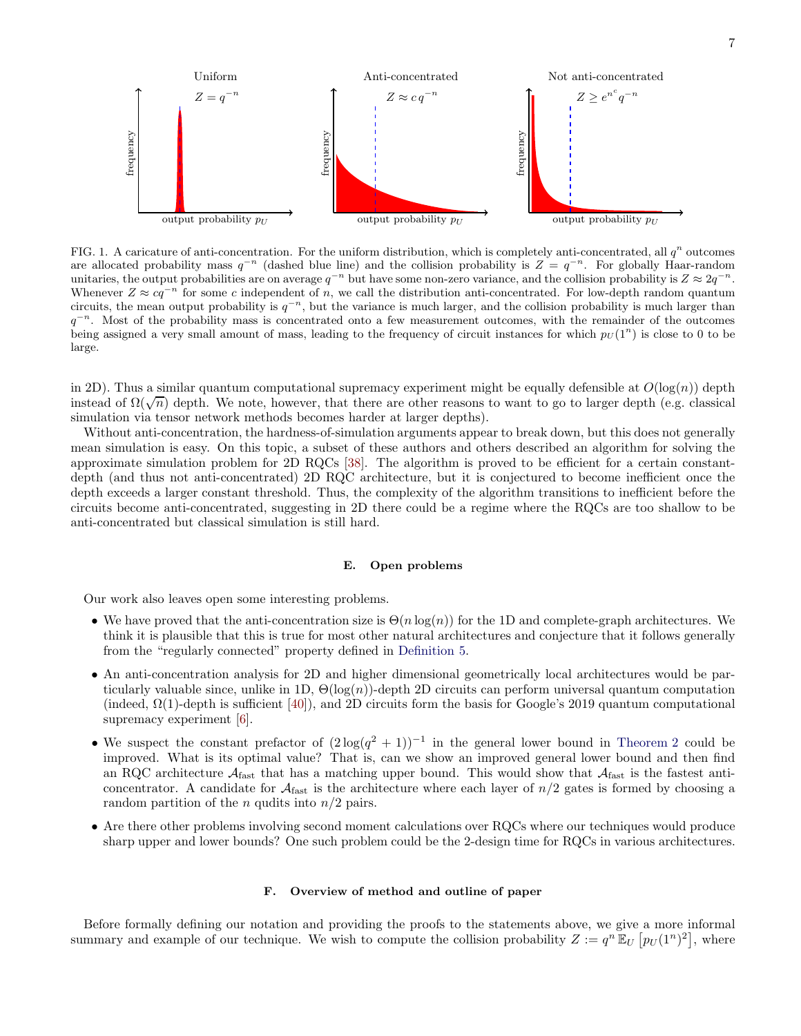

<span id="page-6-0"></span>FIG. 1. A caricature of anti-concentration. For the uniform distribution, which is completely anti-concentrated, all  $q^n$  outcomes are allocated probability mass  $q^{-n}$  (dashed blue line) and the collision probability is  $Z = q^{-n}$ . For globally Haar-random unitaries, the output probabilities are on average  $q^{-n}$  but have some non-zero variance, and the collision probability is  $Z \approx 2q^{-n}$ . Whenever  $Z \approx cq^{-n}$  for some c independent of n, we call the distribution anti-concentrated. For low-depth random quantum circuits, the mean output probability is  $q^{-n}$ , but the variance is much larger, and the collision probability is much larger than  $q^{-n}$ . Most of the probability mass is concentrated onto a few measurement outcomes, with the remainder of the outcomes being assigned a very small amount of mass, leading to the frequency of circuit instances for which  $p_U(1^n)$  is close to 0 to be large.

in 2D). Thus a similar quantum computational supremacy experiment might be equally defensible at  $O(\log(n))$  depth instead of  $\Omega(\sqrt{n})$  depth. We note, however, that there are other reasons to want to go to larger depth (e.g. classical simulation via tensor network methods becomes harder at larger depths).

Without anti-concentration, the hardness-of-simulation arguments appear to break down, but this does not generally mean simulation is easy. On this topic, a subset of these authors and others described an algorithm for solving the approximate simulation problem for 2D RQCs [\[38\]](#page-43-10). The algorithm is proved to be efficient for a certain constantdepth (and thus not anti-concentrated) 2D RQC architecture, but it is conjectured to become inefficient once the depth exceeds a larger constant threshold. Thus, the complexity of the algorithm transitions to inefficient before the circuits become anti-concentrated, suggesting in 2D there could be a regime where the RQCs are too shallow to be anti-concentrated but classical simulation is still hard.

### E. Open problems

Our work also leaves open some interesting problems.

- We have proved that the anti-concentration size is  $\Theta(n \log(n))$  for the 1D and complete-graph architectures. We think it is plausible that this is true for most other natural architectures and conjecture that it follows generally from the "regularly connected" property defined in [Definition 5.](#page-16-0)
- An anti-concentration analysis for 2D and higher dimensional geometrically local architectures would be particularly valuable since, unlike in 1D,  $\Theta(\log(n))$ -depth 2D circuits can perform universal quantum computation (indeed,  $\Omega(1)$ -depth is sufficient [\[40\]](#page-43-11)), and 2D circuits form the basis for Google's 2019 quantum computational supremacy experiment [\[6](#page-42-4)].
- We suspect the constant prefactor of  $(2\log(q^2+1))^{-1}$  in the general lower bound in [Theorem 2](#page-18-0) could be improved. What is its optimal value? That is, can we show an improved general lower bound and then find an RQC architecture  $A_{\text{fast}}$  that has a matching upper bound. This would show that  $A_{\text{fast}}$  is the fastest anticoncentrator. A candidate for  $A<sub>fast</sub>$  is the architecture where each layer of  $n/2$  gates is formed by choosing a random partition of the *n* qudits into  $n/2$  pairs.
- Are there other problems involving second moment calculations over RQCs where our techniques would produce sharp upper and lower bounds? One such problem could be the 2-design time for RQCs in various architectures.

## F. Overview of method and outline of paper

Before formally defining our notation and providing the proofs to the statements above, we give a more informal summary and example of our technique. We wish to compute the collision probability  $Z := q^n \mathbb{E}_U [p_U(1^n)^2]$ , where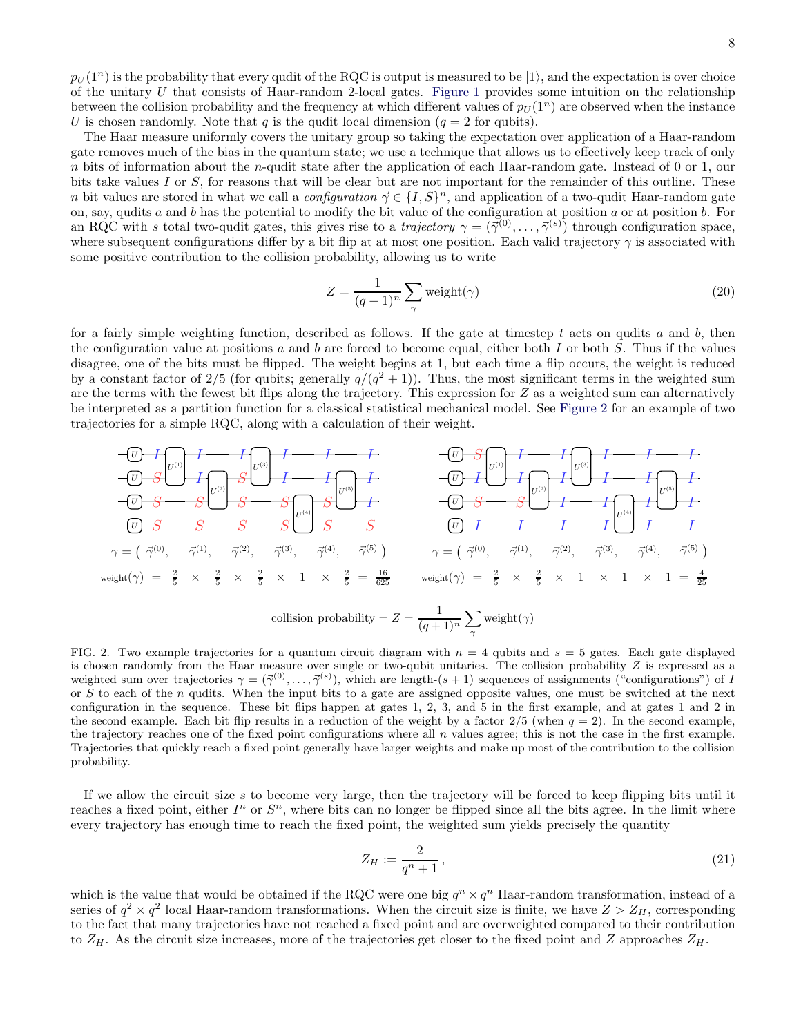$p_U(1^n)$  is the probability that every qudit of the RQC is output is measured to be  $|1\rangle$ , and the expectation is over choice of the unitary U that consists of Haar-random 2-local gates. [Figure 1](#page-6-0) provides some intuition on the relationship between the collision probability and the frequency at which different values of  $p_U(1^n)$  are observed when the instance U is chosen randomly. Note that q is the qudit local dimension  $(q = 2$  for qubits).

The Haar measure uniformly covers the unitary group so taking the expectation over application of a Haar-random gate removes much of the bias in the quantum state; we use a technique that allows us to effectively keep track of only n bits of information about the n-qudit state after the application of each Haar-random gate. Instead of 0 or 1, our bits take values I or S, for reasons that will be clear but are not important for the remainder of this outline. These n bit values are stored in what we call a *configuration*  $\vec{\gamma} \in \{I, S\}^n$ , and application of a two-qudit Haar-random gate on, say, qudits  $a$  and  $b$  has the potential to modify the bit value of the configuration at position  $a$  or at position  $b$ . For an RQC with s total two-qudit gates, this gives rise to a *trajectory*  $\gamma = (\vec{\gamma}^{(0)}, \dots, \vec{\gamma}^{(s)})$  through configuration space, where subsequent configurations differ by a bit flip at at most one position. Each valid trajectory  $\gamma$  is associated with some positive contribution to the collision probability, allowing us to write

<span id="page-7-1"></span>
$$
Z = \frac{1}{(q+1)^n} \sum_{\gamma} \text{weight}(\gamma) \tag{20}
$$

for a fairly simple weighting function, described as follows. If the gate at timestep t acts on qudits a and b, then the configuration value at positions a and b are forced to become equal, either both I or both S. Thus if the values disagree, one of the bits must be flipped. The weight begins at 1, but each time a flip occurs, the weight is reduced by a constant factor of 2/5 (for qubits; generally  $q/(q^2+1)$ ). Thus, the most significant terms in the weighted sum are the terms with the fewest bit flips along the trajectory. This expression for  $Z$  as a weighted sum can alternatively be interpreted as a partition function for a classical statistical mechanical model. See [Figure 2](#page-7-0) for an example of two trajectories for a simple RQC, along with a calculation of their weight.

$$
\frac{U}{U} \frac{1}{S} \frac{1}{U^{(3)}} \frac{1}{I} \frac{1}{U^{(4)}} \frac{1}{S} \frac{1}{I} \frac{1}{U^{(5)}} \frac{1}{I} \frac{1}{U^{(5)}} \frac{1}{I} \frac{1}{U^{(6)}} \frac{1}{I} \frac{1}{U^{(6)}} \frac{1}{I} \frac{1}{U^{(6)}} \frac{1}{I} \frac{1}{U^{(6)}} \frac{1}{I} \frac{1}{U^{(6)}} \frac{1}{I} \frac{1}{U^{(6)}} \frac{1}{I} \frac{1}{U^{(6)}} \frac{1}{I} \frac{1}{U^{(6)}} \frac{1}{I} \frac{1}{U^{(6)}} \frac{1}{I} \frac{1}{U^{(6)}} \frac{1}{I} \frac{1}{U^{(6)}} \frac{1}{I} \frac{1}{U^{(6)}} \frac{1}{I} \frac{1}{U^{(6)}} \frac{1}{I} \frac{1}{U^{(6)}} \frac{1}{I} \frac{1}{U^{(6)}} \frac{1}{I} \frac{1}{U^{(6)}} \frac{1}{I} \frac{1}{U^{(6)}} \frac{1}{I} \frac{1}{U^{(6)}} \frac{1}{I} \frac{1}{U^{(6)}} \frac{1}{I} \frac{1}{U^{(6)}} \frac{1}{I} \frac{1}{U^{(6)}} \frac{1}{I} \frac{1}{U^{(6)}} \frac{1}{I} \frac{1}{I} \frac{1}{U^{(6)}} \frac{1}{I} \frac{1}{I} \frac{1}{U^{(6)}} \frac{1}{I} \frac{1}{I} \frac{1}{U^{(6)}} \frac{1}{I} \frac{1}{I} \frac{1}{U^{(6)}} \frac{1}{I} \frac{1}{I} \frac{1}{U^{(6)}} \frac{1}{I} \frac{1}{I} \frac{1}{U^{(6)}} \frac{1}{I} \frac{1}{I} \frac{1}{U^{(6)}} \frac{1}{I} \frac{1}{I} \frac{1}{U^{(6)}} \frac{1}{I} \frac{1}{I} \frac{1}{U^{(6)}} \frac{1}{I} \frac{1}{I} \frac{1}{U^{(6)}} \frac{1}{I} \frac{1}{I} \frac{1}{U^{(6)}} \frac{1}{I} \frac{1}{I} \frac{1}{U^{(6)}} \frac{1}{I} \frac{1}{I} \frac
$$

<span id="page-7-0"></span>FIG. 2. Two example trajectories for a quantum circuit diagram with  $n = 4$  qubits and  $s = 5$  gates. Each gate displayed is chosen randomly from the Haar measure over single or two-qubit unitaries. The collision probability  $Z$  is expressed as a weighted sum over trajectories  $\gamma = (\vec{\gamma}^{(0)}, \ldots, \vec{\gamma}^{(s)})$ , which are length- $(s + 1)$  sequences of assignments ("configurations") of I or S to each of the n qudits. When the input bits to a gate are assigned opposite values, one must be switched at the next configuration in the sequence. These bit flips happen at gates 1, 2, 3, and 5 in the first example, and at gates 1 and 2 in the second example. Each bit flip results in a reduction of the weight by a factor  $2/5$  (when  $q = 2$ ). In the second example, the trajectory reaches one of the fixed point configurations where all  $n$  values agree; this is not the case in the first example. Trajectories that quickly reach a fixed point generally have larger weights and make up most of the contribution to the collision probability.

If we allow the circuit size s to become very large, then the trajectory will be forced to keep flipping bits until it reaches a fixed point, either  $I^n$  or  $S^n$ , where bits can no longer be flipped since all the bits agree. In the limit where every trajectory has enough time to reach the fixed point, the weighted sum yields precisely the quantity

$$
Z_H := \frac{2}{q^n + 1},\tag{21}
$$

which is the value that would be obtained if the RQC were one big  $q^n \times q^n$  Haar-random transformation, instead of a series of  $q^2 \times q^2$  local Haar-random transformations. When the circuit size is finite, we have  $Z > Z_H$ , corresponding to the fact that many trajectories have not reached a fixed point and are overweighted compared to their contribution to  $Z_H$ . As the circuit size increases, more of the trajectories get closer to the fixed point and Z approaches  $Z_H$ .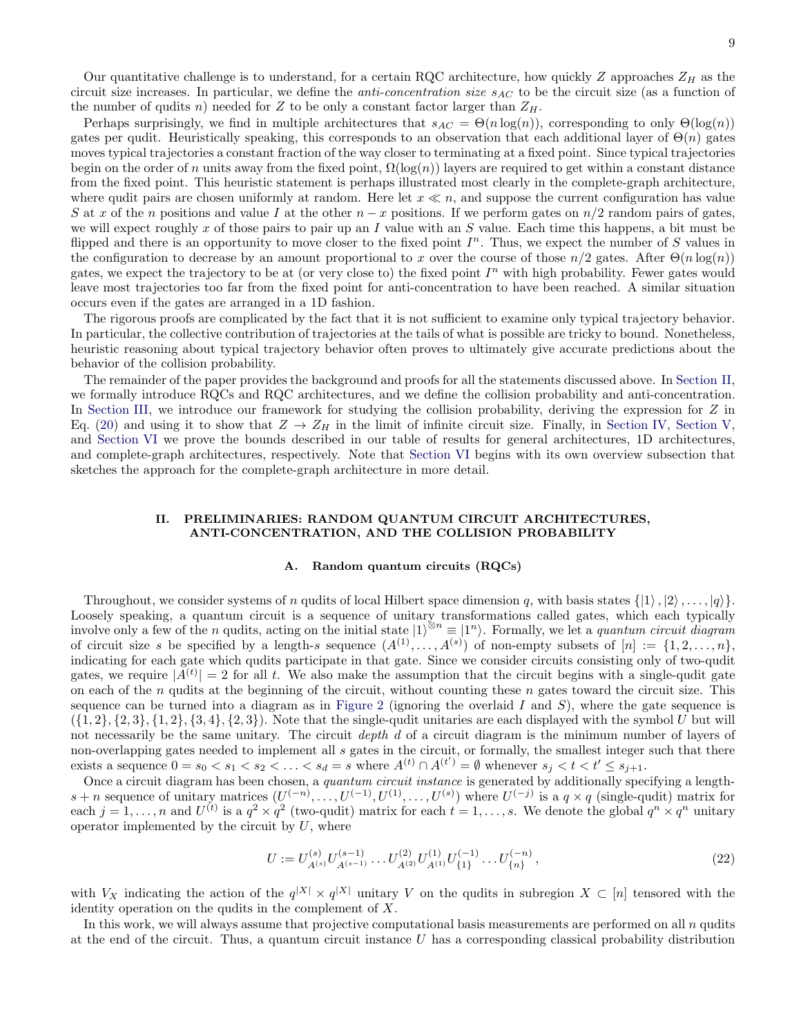Our quantitative challenge is to understand, for a certain RQC architecture, how quickly Z approaches  $Z_H$  as the circuit size increases. In particular, we define the *anti-concentration size*  $s_{AC}$  to be the circuit size (as a function of the number of qudits n) needed for Z to be only a constant factor larger than  $Z_H$ .

Perhaps surprisingly, we find in multiple architectures that  $s_{AC} = \Theta(n \log(n))$ , corresponding to only  $\Theta(\log(n))$ gates per qudit. Heuristically speaking, this corresponds to an observation that each additional layer of  $\Theta(n)$  gates moves typical trajectories a constant fraction of the way closer to terminating at a fixed point. Since typical trajectories begin on the order of n units away from the fixed point,  $\Omega(\log(n))$  layers are required to get within a constant distance from the fixed point. This heuristic statement is perhaps illustrated most clearly in the complete-graph architecture, where qudit pairs are chosen uniformly at random. Here let  $x \ll n$ , and suppose the current configuration has value S at x of the n positions and value I at the other  $n-x$  positions. If we perform gates on  $n/2$  random pairs of gates, we will expect roughly x of those pairs to pair up an I value with an S value. Each time this happens, a bit must be flipped and there is an opportunity to move closer to the fixed point  $I<sup>n</sup>$ . Thus, we expect the number of S values in the configuration to decrease by an amount proportional to x over the course of those  $n/2$  gates. After  $\Theta(n \log(n))$ gates, we expect the trajectory to be at (or very close to) the fixed point  $I<sup>n</sup>$  with high probability. Fewer gates would leave most trajectories too far from the fixed point for anti-concentration to have been reached. A similar situation occurs even if the gates are arranged in a 1D fashion.

The rigorous proofs are complicated by the fact that it is not sufficient to examine only typical trajectory behavior. In particular, the collective contribution of trajectories at the tails of what is possible are tricky to bound. Nonetheless, heuristic reasoning about typical trajectory behavior often proves to ultimately give accurate predictions about the behavior of the collision probability.

The remainder of the paper provides the background and proofs for all the statements discussed above. In [Section II,](#page-8-0) we formally introduce RQCs and RQC architectures, and we define the collision probability and anti-concentration. In [Section III,](#page-11-0) we introduce our framework for studying the collision probability, deriving the expression for Z in Eq. [\(20\)](#page-7-1) and using it to show that  $Z \to Z_H$  in the limit of infinite circuit size. Finally, in [Section IV,](#page-16-1) [Section V,](#page-19-0) and [Section VI](#page-26-0) we prove the bounds described in our table of results for general architectures, 1D architectures, and complete-graph architectures, respectively. Note that [Section VI](#page-26-0) begins with its own overview subsection that sketches the approach for the complete-graph architecture in more detail.

## <span id="page-8-0"></span>II. PRELIMINARIES: RANDOM QUANTUM CIRCUIT ARCHITECTURES, ANTI-CONCENTRATION, AND THE COLLISION PROBABILITY

### A. Random quantum circuits (RQCs)

Throughout, we consider systems of n qudits of local Hilbert space dimension q, with basis states  $\{|1\rangle, |2\rangle, \ldots, |q\rangle\}$ . Loosely speaking, a quantum circuit is a sequence of unitary transformations called gates, which each typically involve only a few of the *n* qudits, acting on the initial state  $|1\rangle^{\otimes n} \equiv |1^n\rangle$ . Formally, we let a *quantum circuit diagram* of circuit size s be specified by a length-s sequence  $(A^{(1)}, \ldots, A^{(s)})$  of non-empty subsets of  $[n] := \{1, 2, \ldots, n\},\$ indicating for each gate which qudits participate in that gate. Since we consider circuits consisting only of two-qudit gates, we require  $|A^{(t)}| = 2$  for all t. We also make the assumption that the circuit begins with a single-qudit gate on each of the  $n$  qudits at the beginning of the circuit, without counting these  $n$  gates toward the circuit size. This sequence can be turned into a diagram as in [Figure 2](#page-7-0) (ignoring the overlaid I and  $S$ ), where the gate sequence is  $({1, 2}, {2, 3}, {1, 2}, {3, 4}, {2, 3})$ . Note that the single-qudit unitaries are each displayed with the symbol U but will not necessarily be the same unitary. The circuit depth d of a circuit diagram is the minimum number of layers of non-overlapping gates needed to implement all s gates in the circuit, or formally, the smallest integer such that there exists a sequence  $0 = s_0 < s_1 < s_2 < \ldots < s_d = s$  where  $A^{(t)} \cap A^{(t')} = \emptyset$  whenever  $s_j < t < t' \leq s_{j+1}$ .

Once a circuit diagram has been chosen, a quantum circuit instance is generated by additionally specifying a length $s + n$  sequence of unitary matrices  $(U^{(-n)}, \ldots, U^{(-1)}, U^{(1)}, \ldots, U^{(s)})$  where  $U^{(-j)}$  is a  $q \times q$  (single-qudit) matrix for each  $j = 1, \ldots, n$  and  $U^{(t)}$  is a  $q^2 \times q^2$  (two-qudit) matrix for each  $t = 1, \ldots, s$ . We denote the global  $q^n \times q^n$  unitary operator implemented by the circuit by  $U$ , where

<span id="page-8-1"></span>
$$
U := U_{A^{(s)}}^{(s)} U_{A^{(s-1)}}^{(s-1)} \dots U_{A^{(2)}}^{(2)} U_{A^{(1)}}^{(1)} U_{\{1\}}^{(-1)} \dots U_{\{n\}}^{(-n)},
$$
\n
$$
(22)
$$

with  $V_X$  indicating the action of the  $q^{|X|} \times q^{|X|}$  unitary V on the qudits in subregion  $X \subset [n]$  tensored with the identity operation on the qudits in the complement of  $X$ .

In this work, we will always assume that projective computational basis measurements are performed on all n qudits at the end of the circuit. Thus, a quantum circuit instance U has a corresponding classical probability distribution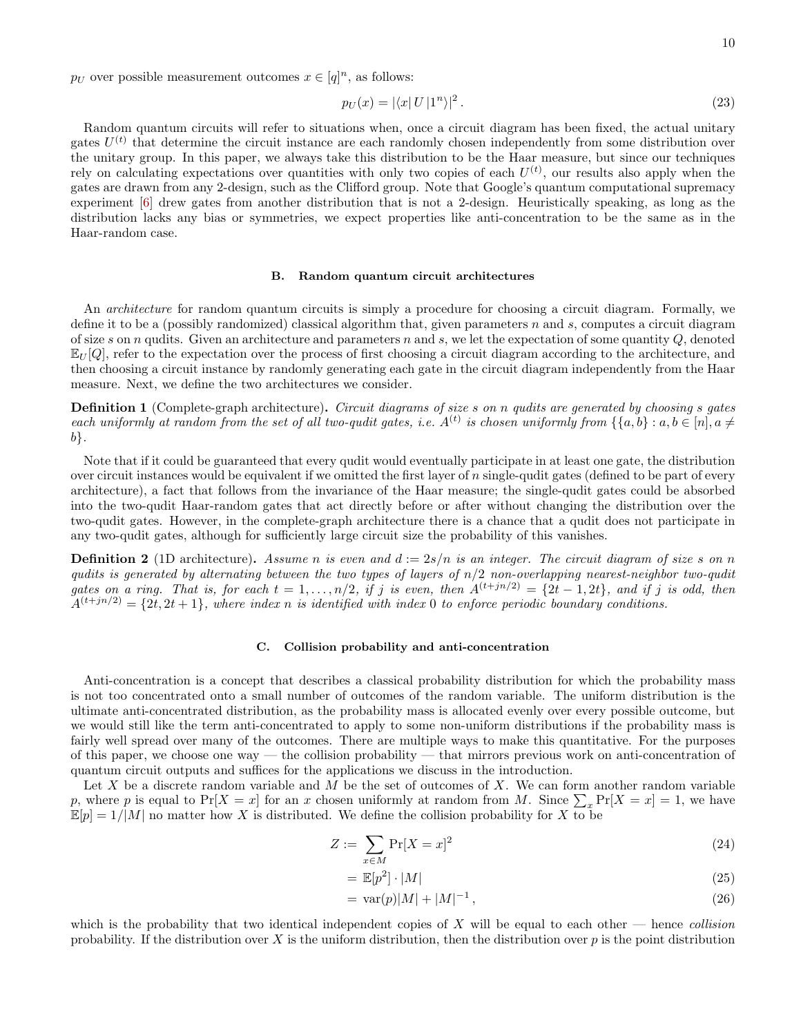$p_U$  over possible measurement outcomes  $x \in [q]^n$ , as follows:

$$
p_U(x) = |\langle x| U |1^n \rangle|^2. \tag{23}
$$

Random quantum circuits will refer to situations when, once a circuit diagram has been fixed, the actual unitary gates  $U^{(t)}$  that determine the circuit instance are each randomly chosen independently from some distribution over the unitary group. In this paper, we always take this distribution to be the Haar measure, but since our techniques rely on calculating expectations over quantities with only two copies of each  $U^{(t)}$ , our results also apply when the gates are drawn from any 2-design, such as the Clifford group. Note that Google's quantum computational supremacy experiment [\[6](#page-42-4)] drew gates from another distribution that is not a 2-design. Heuristically speaking, as long as the distribution lacks any bias or symmetries, we expect properties like anti-concentration to be the same as in the Haar-random case.

### B. Random quantum circuit architectures

An architecture for random quantum circuits is simply a procedure for choosing a circuit diagram. Formally, we define it to be a (possibly randomized) classical algorithm that, given parameters  $n$  and  $s$ , computes a circuit diagram of size s on n qudits. Given an architecture and parameters n and s, we let the expectation of some quantity  $Q$ , denoted  $\mathbb{E}_U[Q]$ , refer to the expectation over the process of first choosing a circuit diagram according to the architecture, and then choosing a circuit instance by randomly generating each gate in the circuit diagram independently from the Haar measure. Next, we define the two architectures we consider.

<span id="page-9-1"></span>Definition 1 (Complete-graph architecture). Circuit diagrams of size s on n qudits are generated by choosing s gates each uniformly at random from the set of all two-qudit gates, i.e.  $A^{(t)}$  is chosen uniformly from  $\{\{a,b\} : a,b \in [n], a \neq 0\}$ b}.

Note that if it could be guaranteed that every qudit would eventually participate in at least one gate, the distribution over circuit instances would be equivalent if we omitted the first layer of n single-qudit gates (defined to be part of every architecture), a fact that follows from the invariance of the Haar measure; the single-qudit gates could be absorbed into the two-qudit Haar-random gates that act directly before or after without changing the distribution over the two-qudit gates. However, in the complete-graph architecture there is a chance that a qudit does not participate in any two-qudit gates, although for sufficiently large circuit size the probability of this vanishes.

<span id="page-9-0"></span>**Definition 2** (1D architecture). Assume n is even and  $d := 2s/n$  is an integer. The circuit diagram of size s on n qudits is generated by alternating between the two types of layers of  $n/2$  non-overlapping nearest-neighbor two-qudit gates on a ring. That is, for each  $t = 1, \ldots, n/2$ , if j is even, then  $A^{(t+jn/2)} = \{2t - 1, 2t\}$ , and if j is odd, then  $A^{(t+jn/2)} = \{2t, 2t+1\}$ , where index n is identified with index 0 to enforce periodic boundary conditions.

### C. Collision probability and anti-concentration

Anti-concentration is a concept that describes a classical probability distribution for which the probability mass is not too concentrated onto a small number of outcomes of the random variable. The uniform distribution is the ultimate anti-concentrated distribution, as the probability mass is allocated evenly over every possible outcome, but we would still like the term anti-concentrated to apply to some non-uniform distributions if the probability mass is fairly well spread over many of the outcomes. There are multiple ways to make this quantitative. For the purposes of this paper, we choose one way — the collision probability — that mirrors previous work on anti-concentration of quantum circuit outputs and suffices for the applications we discuss in the introduction.

Let X be a discrete random variable and M be the set of outcomes of X. We can form another random variable p, where p is equal to  $Pr[X = x]$  for an x chosen uniformly at random from M. Since  $\sum_{x} Pr[X = x] = 1$ , we have  $\mathbb{E}[p] = 1/|M|$  no matter how X is distributed. We define the collision probability for X to be

$$
Z := \sum_{x \in M} \Pr[X = x]^2 \tag{24}
$$

$$
= \mathbb{E}[p^2] \cdot |M| \tag{25}
$$

$$
= \text{var}(p)|M| + |M|^{-1}, \tag{26}
$$

which is the probability that two identical independent copies of X will be equal to each other — hence collision probability. If the distribution over X is the uniform distribution, then the distribution over  $p$  is the point distribution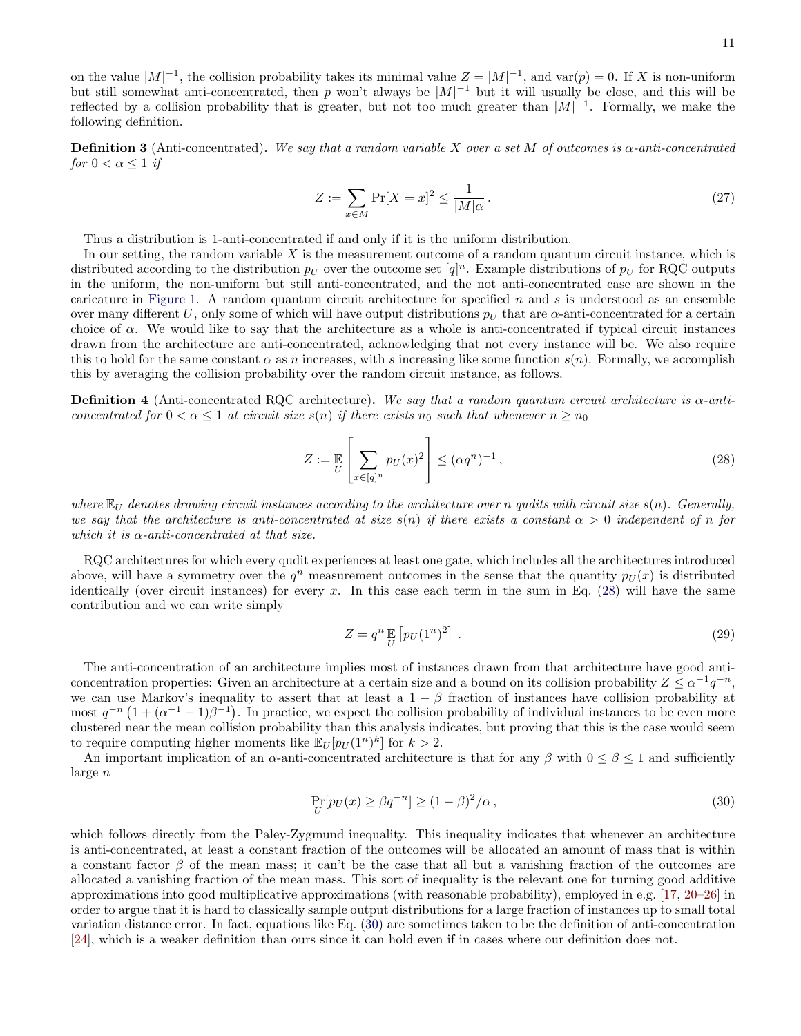on the value  $|M|^{-1}$ , the collision probability takes its minimal value  $Z = |M|^{-1}$ , and var $(p) = 0$ . If X is non-uniform but still somewhat anti-concentrated, then p won't always be  $|M|^{-1}$  but it will usually be close, and this will be reflected by a collision probability that is greater, but not too much greater than  $|M|^{-1}$ . Formally, we make the following definition.

**Definition 3** (Anti-concentrated). We say that a random variable X over a set M of outcomes is  $\alpha$ -anti-concentrated for  $0 < \alpha \leq 1$  if

$$
Z := \sum_{x \in M} \Pr[X = x]^2 \le \frac{1}{|M|\alpha} \,. \tag{27}
$$

Thus a distribution is 1-anti-concentrated if and only if it is the uniform distribution.

In our setting, the random variable  $X$  is the measurement outcome of a random quantum circuit instance, which is distributed according to the distribution  $p_U$  over the outcome set  $[q]^n$ . Example distributions of  $p_U$  for RQC outputs in the uniform, the non-uniform but still anti-concentrated, and the not anti-concentrated case are shown in the caricature in [Figure 1.](#page-6-0) A random quantum circuit architecture for specified  $n$  and  $s$  is understood as an ensemble over many different U, only some of which will have output distributions  $p_U$  that are  $\alpha$ -anti-concentrated for a certain choice of  $\alpha$ . We would like to say that the architecture as a whole is anti-concentrated if typical circuit instances drawn from the architecture are anti-concentrated, acknowledging that not every instance will be. We also require this to hold for the same constant  $\alpha$  as n increases, with s increasing like some function  $s(n)$ . Formally, we accomplish this by averaging the collision probability over the random circuit instance, as follows.

<span id="page-10-2"></span>**Definition 4** (Anti-concentrated RQC architecture). We say that a random quantum circuit architecture is  $\alpha$ -anticoncentrated for  $0 < \alpha \leq 1$  at circuit size  $s(n)$  if there exists  $n_0$  such that whenever  $n \geq n_0$ 

<span id="page-10-0"></span>
$$
Z := \mathbb{E}\left[\sum_{x \in [q]^n} p_U(x)^2\right] \le (\alpha q^n)^{-1},\tag{28}
$$

where  $\mathbb{E}_U$  denotes drawing circuit instances according to the architecture over n qudits with circuit size  $s(n)$ . Generally, we say that the architecture is anti-concentrated at size  $s(n)$  if there exists a constant  $\alpha > 0$  independent of n for which it is  $\alpha$ -anti-concentrated at that size.

RQC architectures for which every qudit experiences at least one gate, which includes all the architectures introduced above, will have a symmetry over the  $q^n$  measurement outcomes in the sense that the quantity  $p_U(x)$  is distributed identically (over circuit instances) for every x. In this case each term in the sum in Eq. [\(28\)](#page-10-0) will have the same contribution and we can write simply

$$
Z = q^n \mathop{\mathbb{E}}_{U} \left[ p_U(1^n)^2 \right]. \tag{29}
$$

The anti-concentration of an architecture implies most of instances drawn from that architecture have good anticoncentration properties: Given an architecture at a certain size and a bound on its collision probability  $Z \leq \alpha^{-1}q^{-n}$ , we can use Markov's inequality to assert that at least a  $1 - \beta$  fraction of instances have collision probability at most  $q^{-n}(1+(\alpha^{-1}-1)\beta^{-1})$ . In practice, we expect the collision probability of individual instances to be even more clustered near the mean collision probability than this analysis indicates, but proving that this is the case would seem to require computing higher moments like  $\mathbb{E}_U[p_U(1^n)^k]$  for  $k > 2$ .

An important implication of an  $\alpha$ -anti-concentrated architecture is that for any  $\beta$  with  $0 \leq \beta \leq 1$  and sufficiently large n

<span id="page-10-1"></span>
$$
\Pr_{U}[p_{U}(x) \ge \beta q^{-n}] \ge (1 - \beta)^{2}/\alpha, \tag{30}
$$

which follows directly from the Paley-Zygmund inequality. This inequality indicates that whenever an architecture is anti-concentrated, at least a constant fraction of the outcomes will be allocated an amount of mass that is within a constant factor  $\beta$  of the mean mass; it can't be the case that all but a vanishing fraction of the outcomes are allocated a vanishing fraction of the mean mass. This sort of inequality is the relevant one for turning good additive approximations into good multiplicative approximations (with reasonable probability), employed in e.g. [\[17,](#page-42-13) [20](#page-42-15)[–26](#page-43-0)] in order to argue that it is hard to classically sample output distributions for a large fraction of instances up to small total variation distance error. In fact, equations like Eq. [\(30\)](#page-10-1) are sometimes taken to be the definition of anti-concentration [\[24\]](#page-43-4), which is a weaker definition than ours since it can hold even if in cases where our definition does not.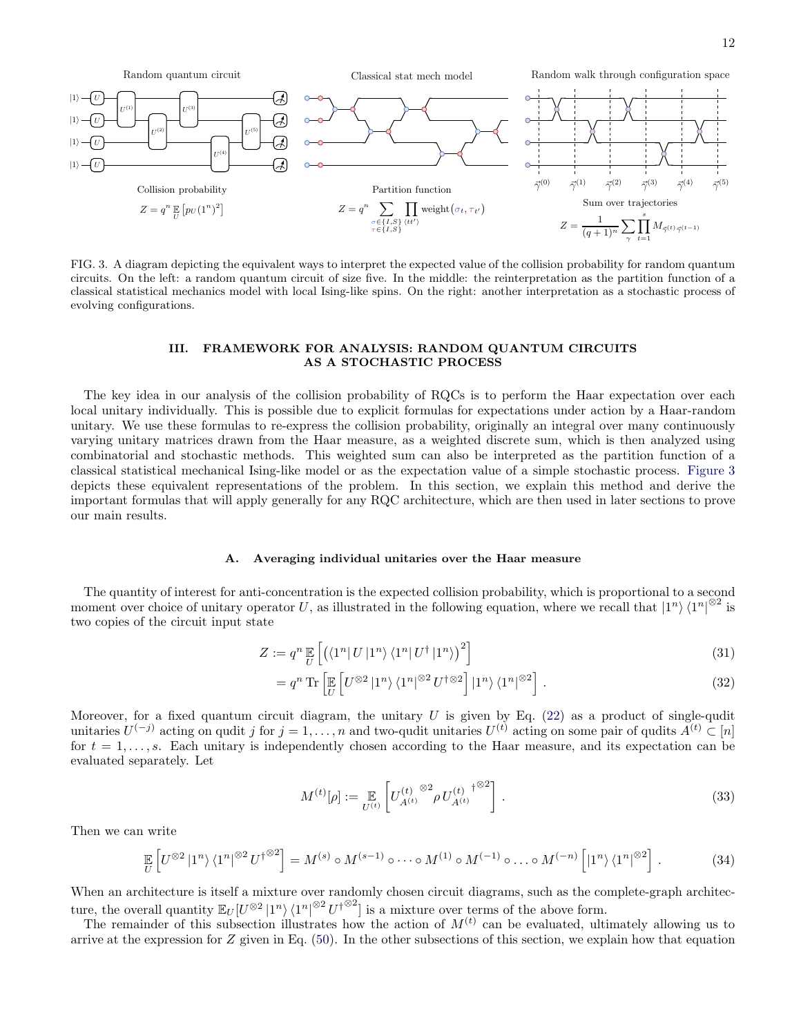

<span id="page-11-1"></span>FIG. 3. A diagram depicting the equivalent ways to interpret the expected value of the collision probability for random quantum circuits. On the left: a random quantum circuit of size five. In the middle: the reinterpretation as the partition function of a classical statistical mechanics model with local Ising-like spins. On the right: another interpretation as a stochastic process of evolving configurations.

### <span id="page-11-0"></span>III. FRAMEWORK FOR ANALYSIS: RANDOM QUANTUM CIRCUITS AS A STOCHASTIC PROCESS

The key idea in our analysis of the collision probability of RQCs is to perform the Haar expectation over each local unitary individually. This is possible due to explicit formulas for expectations under action by a Haar-random unitary. We use these formulas to re-express the collision probability, originally an integral over many continuously varying unitary matrices drawn from the Haar measure, as a weighted discrete sum, which is then analyzed using combinatorial and stochastic methods. This weighted sum can also be interpreted as the partition function of a classical statistical mechanical Ising-like model or as the expectation value of a simple stochastic process. [Figure 3](#page-11-1) depicts these equivalent representations of the problem. In this section, we explain this method and derive the important formulas that will apply generally for any RQC architecture, which are then used in later sections to prove our main results.

## A. Averaging individual unitaries over the Haar measure

The quantity of interest for anti-concentration is the expected collision probability, which is proportional to a second moment over choice of unitary operator U, as illustrated in the following equation, where we recall that  $|1^n\rangle\langle 1^n|^{ \otimes 2}$  is two copies of the circuit input state

$$
Z := q^n \mathop{\mathbb{E}}_{U} \left[ \left( \langle 1^n | U | 1^n \rangle \langle 1^n | U^{\dagger} | 1^n \rangle \right)^2 \right] \tag{31}
$$

$$
= q^n \operatorname{Tr} \left[ \mathbb{E} \left[ U^{\otimes 2} \left| 1^n \right\rangle \langle 1^n \right|^{\otimes 2} U^{\dagger \otimes 2} \right] \left| 1^n \right\rangle \langle 1^n \right]^{\otimes 2} \right]. \tag{32}
$$

Moreover, for a fixed quantum circuit diagram, the unitary  $U$  is given by Eq. [\(22\)](#page-8-1) as a product of single-qudit unitaries  $U^{(-j)}$  acting on qudit j for  $j = 1, ..., n$  and two-qudit unitaries  $U^{(t)}$  acting on some pair of qudits  $A^{(t)} \subset [n]$ for  $t = 1, \ldots, s$ . Each unitary is independently chosen according to the Haar measure, and its expectation can be evaluated separately. Let

<span id="page-11-2"></span>
$$
M^{(t)}[\rho] := \mathop{\mathbb{E}}_{U^{(t)}} \left[ U_{A^{(t)}}^{(t)} \right]^{\otimes 2} \rho \, U_{A^{(t)}}^{(t)} \bigg] \,. \tag{33}
$$

Then we can write

$$
\mathbb{E}_{U}\left[U^{\otimes 2}\left|1^{n}\right\rangle\langle1^{n}\right|^{\otimes 2}U^{\dagger^{\otimes 2}}\right] = M^{(s)} \circ M^{(s-1)} \circ \cdots \circ M^{(1)} \circ M^{(-1)} \circ \ldots \circ M^{(-n)}\left[\left|1^{n}\right\rangle\langle1^{n}\right]^{\otimes 2}\right].
$$
 (34)

When an architecture is itself a mixture over randomly chosen circuit diagrams, such as the complete-graph architecture, the overall quantity  $\mathbb{E}_U[U^{\otimes 2} | 1^n \rangle \langle 1^n |^{\otimes 2} U^{\dagger \otimes 2}]$  is a mixture over terms of the above form.

The remainder of this subsection illustrates how the action of  $M^{(t)}$  can be evaluated, ultimately allowing us to arrive at the expression for  $Z$  given in Eq. [\(50\)](#page-13-0). In the other subsections of this section, we explain how that equation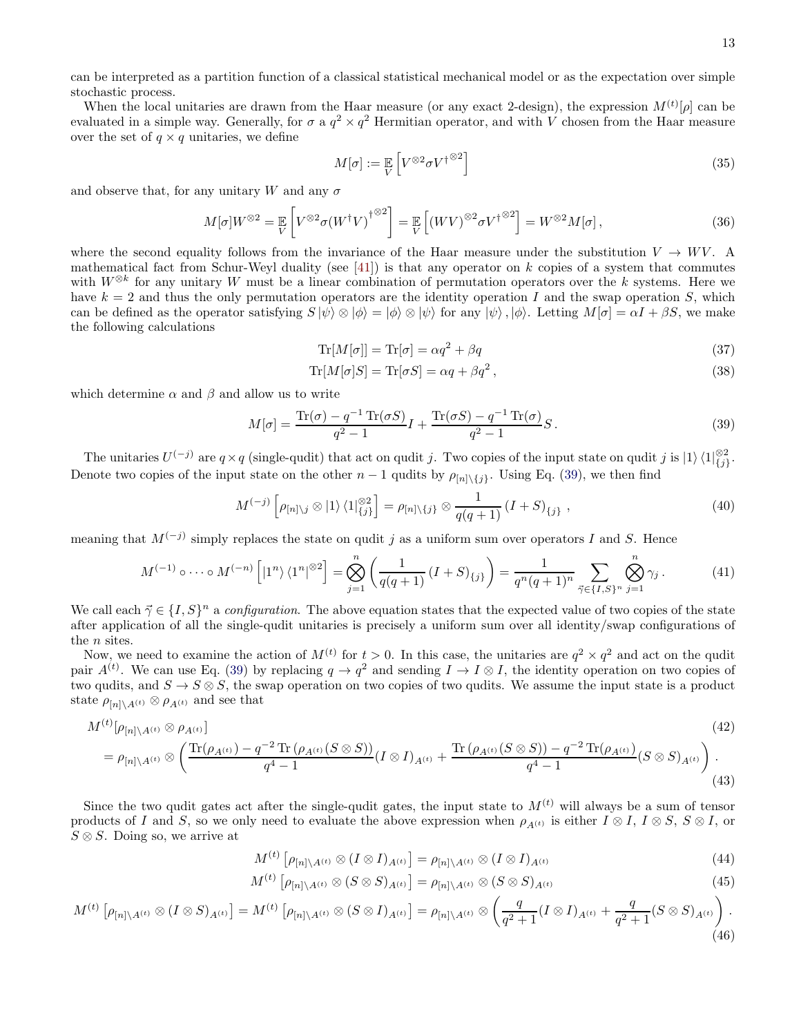can be interpreted as a partition function of a classical statistical mechanical model or as the expectation over simple stochastic process.

When the local unitaries are drawn from the Haar measure (or any exact 2-design), the expression  $M^{(t)}[\rho]$  can be evaluated in a simple way. Generally, for  $\sigma$  a  $q^2 \times q^2$  Hermitian operator, and with V chosen from the Haar measure over the set of  $q \times q$  unitaries, we define

$$
M[\sigma] := \mathbb{E}\left[V^{\otimes 2} \sigma V^{\dagger \otimes 2}\right]
$$
\n(35)

and observe that, for any unitary W and any  $\sigma$ 

$$
M[\sigma]W^{\otimes 2} = \mathop{\mathbb{E}}_{V} \left[ V^{\otimes 2} \sigma(W^{\dagger} V)^{\dagger}^{\otimes 2} \right] = \mathop{\mathbb{E}}_{V} \left[ (W V)^{\otimes 2} \sigma V^{\dagger}^{\otimes 2} \right] = W^{\otimes 2} M[\sigma], \tag{36}
$$

where the second equality follows from the invariance of the Haar measure under the substitution  $V \to W V$ . A mathematical fact from Schur-Weyl duality (see [\[41](#page-43-12)]) is that any operator on  $k$  copies of a system that commutes with  $W^{\otimes k}$  for any unitary W must be a linear combination of permutation operators over the k systems. Here we have  $k = 2$  and thus the only permutation operators are the identity operation I and the swap operation S, which can be defined as the operator satisfying  $S|\psi\rangle \otimes |\phi\rangle = |\phi\rangle \otimes |\psi\rangle$  for any  $|\psi\rangle$ ,  $|\phi\rangle$ . Letting  $M[\sigma] = \alpha I + \beta S$ , we make the following calculations

$$
\text{Tr}[M[\sigma]] = \text{Tr}[\sigma] = \alpha q^2 + \beta q \tag{37}
$$

$$
\text{Tr}[M[\sigma]S] = \text{Tr}[\sigma S] = \alpha q + \beta q^2, \qquad (38)
$$

which determine  $\alpha$  and  $\beta$  and allow us to write

<span id="page-12-0"></span>
$$
M[\sigma] = \frac{\text{Tr}(\sigma) - q^{-1}\text{Tr}(\sigma S)}{q^2 - 1}I + \frac{\text{Tr}(\sigma S) - q^{-1}\text{Tr}(\sigma)}{q^2 - 1}S.
$$
\n
$$
(39)
$$

The unitaries  $U^{(-j)}$  are  $q \times q$  (single-qudit) that act on qudit j. Two copies of the input state on qudit j is  $|1\rangle \langle 1|_{\{j\}}^{\otimes 2}$ . Denote two copies of the input state on the other  $n-1$  qudits by  $\rho_{[n]\setminus\{j\}}$ . Using Eq. [\(39\)](#page-12-0), we then find

$$
M^{(-j)}\left[\rho_{[n]\backslash j}\otimes|1\rangle\langle1|_{\{j\}}^{\otimes2}\right]=\rho_{[n]\backslash\{j\}}\otimes\frac{1}{q(q+1)}\left(I+S\right)_{\{j\}},\tag{40}
$$

meaning that  $M^{(-j)}$  simply replaces the state on qudit j as a uniform sum over operators I and S. Hence

$$
M^{(-1)} \circ \cdots \circ M^{(-n)} \left[ |1^n\rangle \langle 1^n|^{ \otimes 2} \right] = \bigotimes_{j=1}^n \left( \frac{1}{q(q+1)} (I+S)_{\{j\}} \right) = \frac{1}{q^n (q+1)^n} \sum_{\vec{\gamma} \in \{I, S\}^n} \bigotimes_{j=1}^n \gamma_j \,. \tag{41}
$$

We call each  $\vec{\gamma} \in \{I, S\}^n$  a *configuration*. The above equation states that the expected value of two copies of the state after application of all the single-qudit unitaries is precisely a uniform sum over all identity/swap configurations of the *n* sites.

Now, we need to examine the action of  $M^{(t)}$  for  $t > 0$ . In this case, the unitaries are  $q^2 \times q^2$  and act on the qudit pair  $A^{(t)}$ . We can use Eq. [\(39\)](#page-12-0) by replacing  $q \to q^2$  and sending  $I \to I \otimes I$ , the identity operation on two copies of two qudits, and  $S \to S \otimes S$ , the swap operation on two copies of two qudits. We assume the input state is a product state  $\rho_{[n]\setminus A^{(t)}} \otimes \rho_{A^{(t)}}$  and see that

$$
M^{(t)}[\rho_{[n]\setminus A^{(t)}} \otimes \rho_{A^{(t)}}]
$$
\n
$$
= \rho_{[n]\setminus A^{(t)}} \otimes \left( \frac{\text{Tr}(\rho_{A^{(t)}}) - q^{-2} \text{Tr}(\rho_{A^{(t)}}(S \otimes S))}{q^4 - 1} (I \otimes I)_{A^{(t)}} + \frac{\text{Tr}(\rho_{A^{(t)}}(S \otimes S)) - q^{-2} \text{Tr}(\rho_{A^{(t)}})}{q^4 - 1} (S \otimes S)_{A^{(t)}} \right). \tag{42}
$$

Since the two qudit gates act after the single-qudit gates, the input state to  $M^{(t)}$  will always be a sum of tensor products of I and S, so we only need to evaluate the above expression when  $\rho_{A(t)}$  is either  $I \otimes I$ ,  $I \otimes S$ ,  $S \otimes I$ , or  $S \otimes S$ . Doing so, we arrive at

<span id="page-12-3"></span><span id="page-12-2"></span><span id="page-12-1"></span>
$$
M^{(t)}\left[\rho_{[n]\backslash A^{(t)}}\otimes (I\otimes I)_{A^{(t)}}\right]=\rho_{[n]\backslash A^{(t)}}\otimes (I\otimes I)_{A^{(t)}}\tag{44}
$$

$$
M^{(t)}\left[\rho_{[n]\backslash A^{(t)}}\otimes (S\otimes S)_{A^{(t)}}\right]=\rho_{[n]\backslash A^{(t)}}\otimes (S\otimes S)_{A^{(t)}}\tag{45}
$$

$$
M^{(t)}\left[\rho_{[n]\backslash A^{(t)}}\otimes (I\otimes S)_{A^{(t)}}\right] = M^{(t)}\left[\rho_{[n]\backslash A^{(t)}}\otimes (S\otimes I)_{A^{(t)}}\right] = \rho_{[n]\backslash A^{(t)}}\otimes \left(\frac{q}{q^2+1}(I\otimes I)_{A^{(t)}} + \frac{q}{q^2+1}(S\otimes S)_{A^{(t)}}\right).
$$
\n(46)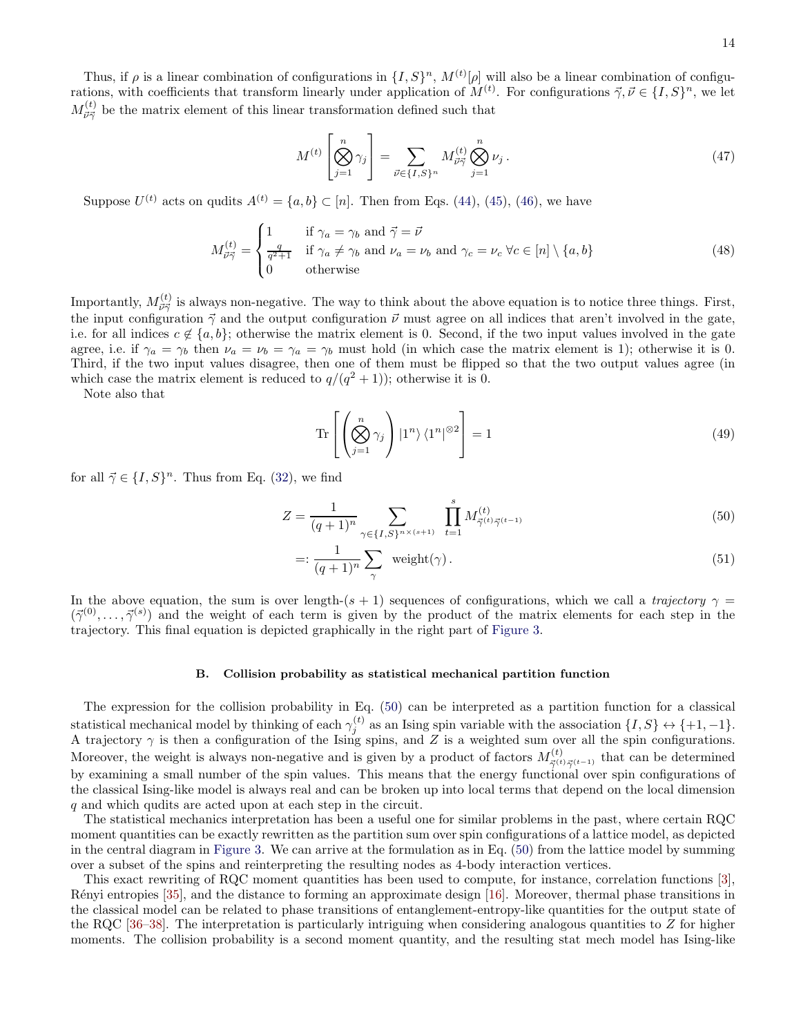Thus, if  $\rho$  is a linear combination of configurations in  $\{I, S\}^n$ ,  $M^{(t)}[\rho]$  will also be a linear combination of configurations, with coefficients that transform linearly under application of  $M^{(t)}$ . For configurations  $\vec{\gamma}, \vec{\nu} \in \{I, S\}^n$ , we let  $M_{\vec{\nu}\vec{\gamma}}^{(t)}$  be the matrix element of this linear transformation defined such that

$$
M^{(t)}\left[\bigotimes_{j=1}^{n} \gamma_{j}\right] = \sum_{\vec{\nu} \in \{I,S\}^{n}} M_{\vec{\nu}\vec{\gamma}}^{(t)} \bigotimes_{j=1}^{n} \nu_{j}.
$$
 (47)

Suppose  $U^{(t)}$  acts on qudits  $A^{(t)} = \{a, b\} \subset [n]$ . Then from Eqs. [\(44\)](#page-12-1), [\(45\)](#page-12-2), [\(46\)](#page-12-3), we have

$$
M_{\vec{\nu}\vec{\gamma}}^{(t)} = \begin{cases} 1 & \text{if } \gamma_a = \gamma_b \text{ and } \vec{\gamma} = \vec{\nu} \\ \frac{q}{q^2 + 1} & \text{if } \gamma_a \neq \gamma_b \text{ and } \nu_a = \nu_b \text{ and } \gamma_c = \nu_c \ \forall c \in [n] \setminus \{a, b\} \\ 0 & \text{otherwise} \end{cases}
$$
(48)

Importantly,  $M_{\vec{\nu}\vec{\gamma}}^{(t)}$  is always non-negative. The way to think about the above equation is to notice three things. First, the input configuration  $\vec{\gamma}$  and the output configuration  $\vec{\nu}$  must agree on all indices that aren't involved in the gate, i.e. for all indices  $c \notin \{a, b\}$ ; otherwise the matrix element is 0. Second, if the two input values involved in the gate agree, i.e. if  $\gamma_a = \gamma_b$  then  $\nu_a = \nu_b = \gamma_a = \gamma_b$  must hold (in which case the matrix element is 1); otherwise it is 0. Third, if the two input values disagree, then one of them must be flipped so that the two output values agree (in which case the matrix element is reduced to  $q/(q^2+1)$ ; otherwise it is 0.

Note also that

<span id="page-13-0"></span>
$$
\operatorname{Tr}\left[\left(\bigotimes_{j=1}^{n} \gamma_{j}\right) \left|1^{n}\right\rangle \left\langle1^{n}\right|^{\otimes 2}\right] = 1\tag{49}
$$

for all  $\vec{\gamma} \in \{I, S\}^n$ . Thus from Eq. [\(32\)](#page-11-2), we find

$$
Z = \frac{1}{(q+1)^n} \sum_{\gamma \in \{I, S\}^{n \times (s+1)}} \prod_{t=1}^s M_{\vec{\gamma}^{(t)} \vec{\gamma}^{(t-1)}}^{(t)} \tag{50}
$$

$$
=:\frac{1}{(q+1)^n}\sum_{\gamma}\text{ weight}(\gamma).
$$
 (51)

In the above equation, the sum is over length- $(s + 1)$  sequences of configurations, which we call a trajectory  $\gamma =$  $(\vec{\gamma}^{(0)}, \ldots, \vec{\gamma}^{(s)})$  and the weight of each term is given by the product of the matrix elements for each step in the trajectory. This final equation is depicted graphically in the right part of [Figure 3.](#page-11-1)

### B. Collision probability as statistical mechanical partition function

The expression for the collision probability in Eq. [\(50\)](#page-13-0) can be interpreted as a partition function for a classical statistical mechanical model by thinking of each  $\gamma_i^{(t)}$  $j^{(l)}$  as an Ising spin variable with the association  $\{I, S\} \leftrightarrow \{+1, -1\}.$ A trajectory  $\gamma$  is then a configuration of the Ising spins, and Z is a weighted sum over all the spin configurations. Moreover, the weight is always non-negative and is given by a product of factors  $M_{\vec{\gamma}^{(t)}\vec{\gamma}^{(t-1)}}^{(t)}$  that can be determined by examining a small number of the spin values. This means that the energy functional over spin configurations of the classical Ising-like model is always real and can be broken up into local terms that depend on the local dimension q and which qudits are acted upon at each step in the circuit.

The statistical mechanics interpretation has been a useful one for similar problems in the past, where certain RQC moment quantities can be exactly rewritten as the partition sum over spin configurations of a lattice model, as depicted in the central diagram in [Figure 3.](#page-11-1) We can arrive at the formulation as in Eq. [\(50\)](#page-13-0) from the lattice model by summing over a subset of the spins and reinterpreting the resulting nodes as 4-body interaction vertices.

This exact rewriting of RQC moment quantities has been used to compute, for instance, correlation functions [\[3\]](#page-42-1), R´enyi entropies [\[35](#page-43-13)], and the distance to forming an approximate design [\[16\]](#page-42-12). Moreover, thermal phase transitions in the classical model can be related to phase transitions of entanglement-entropy-like quantities for the output state of the RQC [\[36](#page-43-14)[–38\]](#page-43-10). The interpretation is particularly intriguing when considering analogous quantities to  $Z$  for higher moments. The collision probability is a second moment quantity, and the resulting stat mech model has Ising-like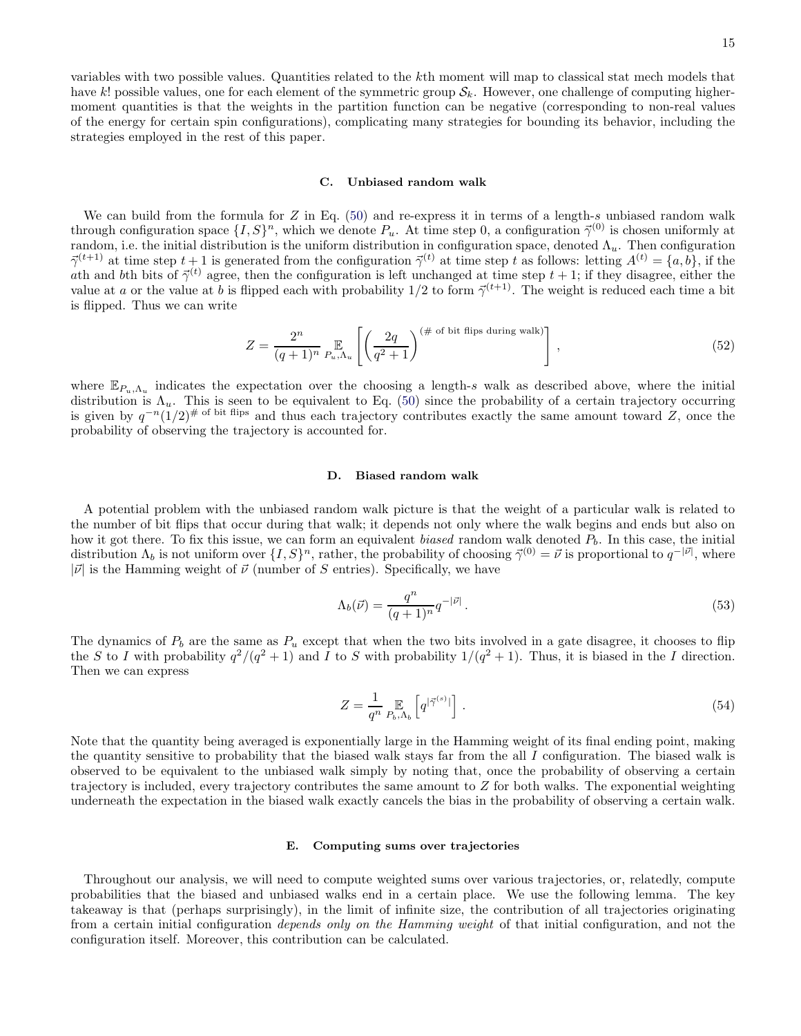variables with two possible values. Quantities related to the kth moment will map to classical stat mech models that have k! possible values, one for each element of the symmetric group  $\mathcal{S}_k$ . However, one challenge of computing highermoment quantities is that the weights in the partition function can be negative (corresponding to non-real values of the energy for certain spin configurations), complicating many strategies for bounding its behavior, including the strategies employed in the rest of this paper.

#### C. Unbiased random walk

We can build from the formula for  $Z$  in Eq. [\(50\)](#page-13-0) and re-express it in terms of a length-s unbiased random walk through configuration space  $\{I, S\}^n$ , which we denote  $P_u$ . At time step 0, a configuration  $\vec{\gamma}^{(0)}$  is chosen uniformly at random, i.e. the initial distribution is the uniform distribution in configuration space, denoted  $\Lambda_u$ . Then configuration  $\vec{\gamma}^{(t+1)}$  at time step  $t+1$  is generated from the configuration  $\vec{\gamma}^{(t)}$  at time step t as follows: letting  $A^{(t)} = \{a, b\}$ , if the ath and bth bits of  $\vec{\gamma}^{(t)}$  agree, then the configuration is left unchanged at time step  $t + 1$ ; if they disagree, either the value at a or the value at b is flipped each with probability  $1/2$  to form  $\vec{\gamma}^{(t+1)}$ . The weight is reduced each time a bit is flipped. Thus we can write

<span id="page-14-0"></span>
$$
Z = \frac{2^n}{(q+1)^n} \mathop{\mathbb{E}}_{P_u, \Lambda_u} \left[ \left( \frac{2q}{q^2+1} \right)^{(\# \text{ of bit flips during walk})} \right], \qquad (52)
$$

where  $\mathbb{E}_{P_u,\Lambda_u}$  indicates the expectation over the choosing a length-s walk as described above, where the initial distribution is  $\Lambda_u$ . This is seen to be equivalent to Eq. [\(50\)](#page-13-0) since the probability of a certain trajectory occurring is given by  $q^{-n}(1/2)^{\# \text{ of bit flips}}$  and thus each trajectory contributes exactly the same amount toward Z, once the probability of observing the trajectory is accounted for.

#### D. Biased random walk

A potential problem with the unbiased random walk picture is that the weight of a particular walk is related to the number of bit flips that occur during that walk; it depends not only where the walk begins and ends but also on how it got there. To fix this issue, we can form an equivalent biased random walk denoted  $P_b$ . In this case, the initial distribution  $\Lambda_b$  is not uniform over  $\{I, S\}^n$ , rather, the probability of choosing  $\vec{\gamma}^{(0)} = \vec{\nu}$  is proportional to  $q^{-|\vec{\nu}|}$ , where  $|\vec{v}|$  is the Hamming weight of  $\vec{v}$  (number of S entries). Specifically, we have

$$
\Lambda_b(\vec{\nu}) = \frac{q^n}{(q+1)^n} q^{-|\vec{\nu}|} \,. \tag{53}
$$

The dynamics of  $P_b$  are the same as  $P_u$  except that when the two bits involved in a gate disagree, it chooses to flip the S to I with probability  $q^2/(q^2+1)$  and I to S with probability  $1/(q^2+1)$ . Thus, it is biased in the I direction. Then we can express

<span id="page-14-1"></span>
$$
Z = \frac{1}{q^n} \mathop{\mathbb{E}}_{P_b, \Lambda_b} \left[ q^{|\vec{\gamma}^{(s)}|} \right]. \tag{54}
$$

Note that the quantity being averaged is exponentially large in the Hamming weight of its final ending point, making the quantity sensitive to probability that the biased walk stays far from the all I configuration. The biased walk is observed to be equivalent to the unbiased walk simply by noting that, once the probability of observing a certain trajectory is included, every trajectory contributes the same amount to Z for both walks. The exponential weighting underneath the expectation in the biased walk exactly cancels the bias in the probability of observing a certain walk.

### E. Computing sums over trajectories

Throughout our analysis, we will need to compute weighted sums over various trajectories, or, relatedly, compute probabilities that the biased and unbiased walks end in a certain place. We use the following lemma. The key takeaway is that (perhaps surprisingly), in the limit of infinite size, the contribution of all trajectories originating from a certain initial configuration depends only on the Hamming weight of that initial configuration, and not the configuration itself. Moreover, this contribution can be calculated.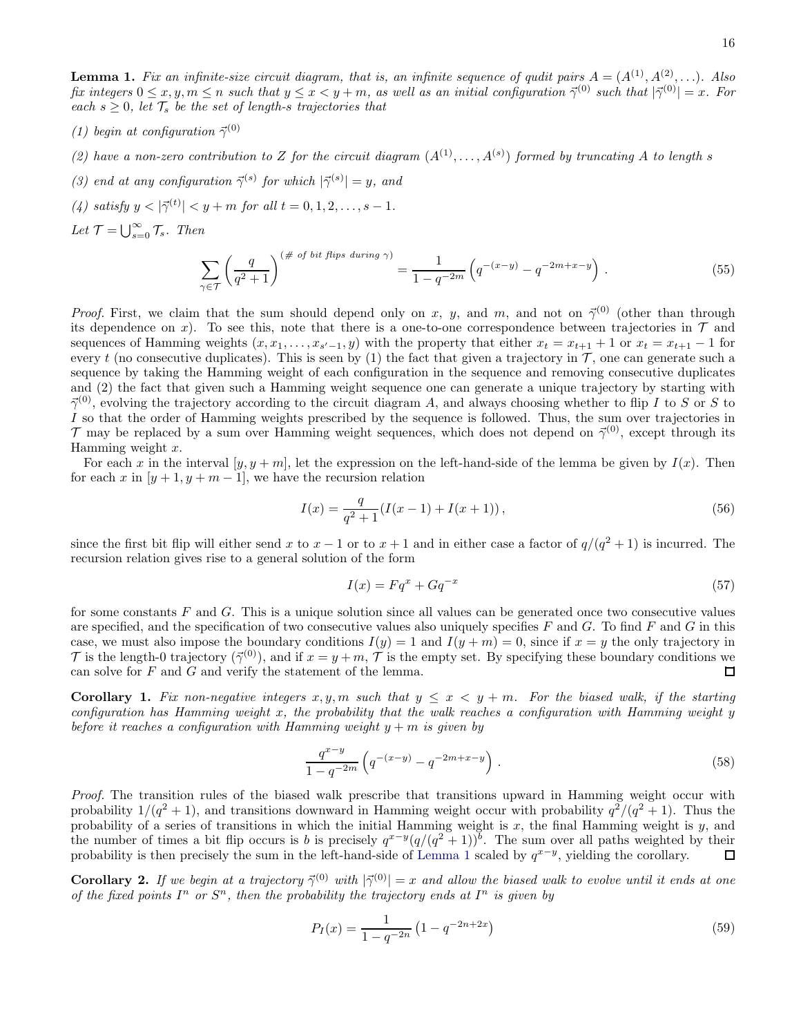<span id="page-15-0"></span>**Lemma 1.** Fix an infinite-size circuit diagram, that is, an infinite sequence of qudit pairs  $A = (A^{(1)}, A^{(2)}, \ldots)$ . Also fix integers  $0 \le x, y, m \le n$  such that  $y \le x < y + m$ , as well as an initial configuration  $\vec{\gamma}^{(0)}$  such that  $|\vec{\gamma}^{(0)}| = x$ . For each  $s \geq 0$ , let  $\mathcal{T}_s$  be the set of length-s trajectories that

- (1) begin at configuration  $\vec{\gamma}^{(0)}$
- (2) have a non-zero contribution to Z for the circuit diagram  $(A^{(1)},...,A^{(s)})$  formed by truncating A to length s
- (3) end at any configuration  $\vec{\gamma}^{(s)}$  for which  $|\vec{\gamma}^{(s)}| = y$ , and
- (4) satisfy  $y < |\vec{\gamma}^{(t)}| < y + m$  for all  $t = 0, 1, 2, ..., s 1$ .
- Let  $\mathcal{T} = \bigcup_{s=0}^{\infty} \mathcal{T}_s$ . Then

$$
\sum_{\gamma \in \mathcal{T}} \left( \frac{q}{q^2 + 1} \right)^{(\text{# of bit flips during }\gamma)} = \frac{1}{1 - q^{-2m}} \left( q^{-(x-y)} - q^{-2m+x-y} \right). \tag{55}
$$

*Proof.* First, we claim that the sum should depend only on x, y, and m, and not on  $\vec{\gamma}^{(0)}$  (other than through its dependence on x). To see this, note that there is a one-to-one correspondence between trajectories in  $\mathcal T$  and sequences of Hamming weights  $(x, x_1, \ldots, x_{s'-1}, y)$  with the property that either  $x_t = x_{t+1} + 1$  or  $x_t = x_{t+1} - 1$  for every t (no consecutive duplicates). This is seen by (1) the fact that given a trajectory in  $\mathcal T$ , one can generate such a sequence by taking the Hamming weight of each configuration in the sequence and removing consecutive duplicates and (2) the fact that given such a Hamming weight sequence one can generate a unique trajectory by starting with  $\vec{\gamma}^{(0)}$ , evolving the trajectory according to the circuit diagram A, and always choosing whether to flip I to S or S to I so that the order of Hamming weights prescribed by the sequence is followed. Thus, the sum over trajectories in  $\mathcal T$  may be replaced by a sum over Hamming weight sequences, which does not depend on  $\vec{\gamma}^{(0)}$ , except through its Hamming weight  $x$ .

For each x in the interval  $[y, y + m]$ , let the expression on the left-hand-side of the lemma be given by  $I(x)$ . Then for each x in  $[y + 1, y + m - 1]$ , we have the recursion relation

$$
I(x) = \frac{q}{q^2 + 1} (I(x - 1) + I(x + 1)),
$$
\n(56)

since the first bit flip will either send x to  $x - 1$  or to  $x + 1$  and in either case a factor of  $q/(q^2 + 1)$  is incurred. The recursion relation gives rise to a general solution of the form

$$
I(x) = Fq^x + Gq^{-x} \tag{57}
$$

for some constants  $F$  and  $G$ . This is a unique solution since all values can be generated once two consecutive values are specified, and the specification of two consecutive values also uniquely specifies  $F$  and  $G$ . To find  $F$  and  $G$  in this case, we must also impose the boundary conditions  $I(y) = 1$  and  $I(y + m) = 0$ , since if  $x = y$  the only trajectory in T is the length-0 trajectory ( $\vec{\gamma}^{(0)}$ ), and if  $x = y + m$ , T is the empty set. By specifying these boundary conditions we can solve for F and G and verify the statement of the lemma. can solve for  $F$  and  $G$  and verify the statement of the lemma.

<span id="page-15-1"></span>**Corollary 1.** Fix non-negative integers  $x, y, m$  such that  $y \leq x < y + m$ . For the biased walk, if the starting configuration has Hamming weight x, the probability that the walk reaches a configuration with Hamming weight y before it reaches a configuration with Hamming weight  $y + m$  is given by

$$
\frac{q^{x-y}}{1-q^{-2m}}\left(q^{-(x-y)}-q^{-2m+x-y}\right).
$$
\n(58)

Proof. The transition rules of the biased walk prescribe that transitions upward in Hamming weight occur with probability  $1/(q^2+1)$ , and transitions downward in Hamming weight occur with probability  $q^2/(q^2+1)$ . Thus the probability of a series of transitions in which the initial Hamming weight is  $x$ , the final Hamming weight is  $y$ , and the number of times a bit flip occurs is b is precisely  $q^{x-y}(q/(q^2+1))^b$ . The sum over all paths weighted by their probability is then precisely the sum in the left-hand-side of [Lemma 1](#page-15-0) scaled by  $q^{x-y}$ , yielding the corollary.  $\Box$ 

<span id="page-15-2"></span>**Corollary 2.** If we begin at a trajectory  $\vec{\gamma}^{(0)}$  with  $|\vec{\gamma}^{(0)}| = x$  and allow the biased walk to evolve until it ends at one of the fixed points  $I^n$  or  $S^n$ , then the probability the trajectory ends at  $I^n$  is given by

$$
P_I(x) = \frac{1}{1 - q^{-2n}} \left( 1 - q^{-2n + 2x} \right) \tag{59}
$$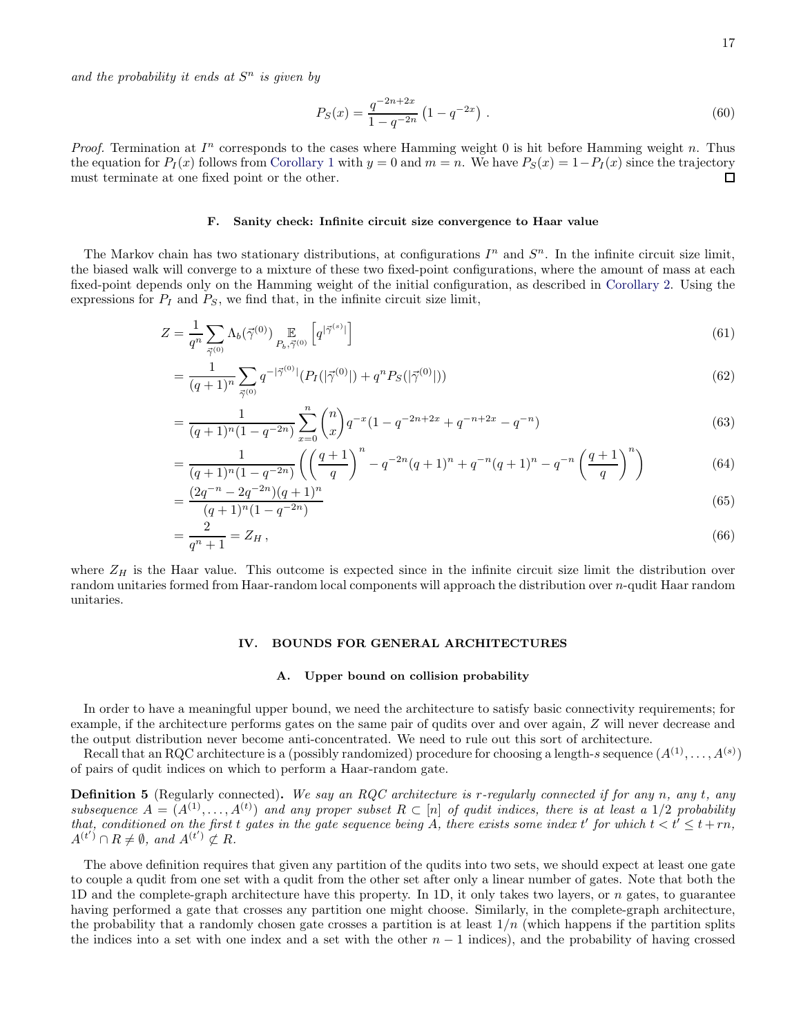and the probability it ends at  $S<sup>n</sup>$  is given by

$$
P_S(x) = \frac{q^{-2n+2x}}{1-q^{-2n}} \left(1 - q^{-2x}\right) \,. \tag{60}
$$

*Proof.* Termination at  $I<sup>n</sup>$  corresponds to the cases where Hamming weight 0 is hit before Hamming weight n. Thus the equation for  $P_I(x)$  follows from [Corollary 1](#page-15-1) with  $y = 0$  and  $m = n$ . We have  $P_S(x) = 1 - P_I(x)$  since the trajectory must terminate at one fixed point or the other. must terminate at one fixed point or the other.

## <span id="page-16-2"></span>F. Sanity check: Infinite circuit size convergence to Haar value

The Markov chain has two stationary distributions, at configurations  $I^n$  and  $S^n$ . In the infinite circuit size limit, the biased walk will converge to a mixture of these two fixed-point configurations, where the amount of mass at each fixed-point depends only on the Hamming weight of the initial configuration, as described in [Corollary 2.](#page-15-2) Using the expressions for  $P_I$  and  $P_S$ , we find that, in the infinite circuit size limit,

$$
Z = \frac{1}{q^n} \sum_{\vec{\gamma}^{(0)}} \Lambda_b(\vec{\gamma}^{(0)}) \underset{P_b, \vec{\gamma}^{(0)}}{\mathbb{E}} \left[ q^{|\vec{\gamma}^{(s)}|} \right] \tag{61}
$$

$$
= \frac{1}{(q+1)^n} \sum_{\vec{\gamma}^{(0)}} q^{-|\vec{\gamma}^{(0)}|} (P_I(|\vec{\gamma}^{(0)}|) + q^n P_S(|\vec{\gamma}^{(0)}|))
$$
(62)

$$
= \frac{1}{(q+1)^n (1-q^{-2n})} \sum_{x=0}^n \binom{n}{x} q^{-x} (1-q^{-2n+2x}+q^{-n+2x}-q^{-n}) \tag{63}
$$

$$
= \frac{1}{(q+1)^n (1-q^{-2n})} \left( \left( \frac{q+1}{q} \right)^n - q^{-2n} (q+1)^n + q^{-n} (q+1)^n - q^{-n} \left( \frac{q+1}{q} \right)^n \right) \tag{64}
$$

$$
=\frac{(2q^{-n}-2q^{-2n})(q+1)^n}{(q+1)^n(1-q^{-2n})}\tag{65}
$$

$$
=\frac{2}{q^n+1} = Z_H\,,\tag{66}
$$

where  $Z_H$  is the Haar value. This outcome is expected since in the infinite circuit size limit the distribution over random unitaries formed from Haar-random local components will approach the distribution over n-qudit Haar random unitaries.

## <span id="page-16-1"></span>IV. BOUNDS FOR GENERAL ARCHITECTURES

#### A. Upper bound on collision probability

In order to have a meaningful upper bound, we need the architecture to satisfy basic connectivity requirements; for example, if the architecture performs gates on the same pair of qudits over and over again, Z will never decrease and the output distribution never become anti-concentrated. We need to rule out this sort of architecture.

Recall that an RQC architecture is a (possibly randomized) procedure for choosing a length-s sequence  $(A^{(1)}, \ldots, A^{(s)})$ of pairs of qudit indices on which to perform a Haar-random gate.

<span id="page-16-0"></span>**Definition 5** (Regularly connected). We say an RQC architecture is r-regularly connected if for any n, any t, any subsequence  $A = (A^{(1)}, \ldots, A^{(t)})$  and any proper subset  $R \subset [n]$  of qudit indices, there is at least a 1/2 probability that, conditioned on the first t gates in the gate sequence being A, there exists some index t' for which  $t < t' \leq t + rn$ ,  $A^{(t')}\cap R\neq\emptyset$ , and  $A^{(t')}\not\subset R$ .

The above definition requires that given any partition of the qudits into two sets, we should expect at least one gate to couple a qudit from one set with a qudit from the other set after only a linear number of gates. Note that both the 1D and the complete-graph architecture have this property. In 1D, it only takes two layers, or n gates, to guarantee having performed a gate that crosses any partition one might choose. Similarly, in the complete-graph architecture, the probability that a randomly chosen gate crosses a partition is at least  $1/n$  (which happens if the partition splits the indices into a set with one index and a set with the other  $n-1$  indices), and the probability of having crossed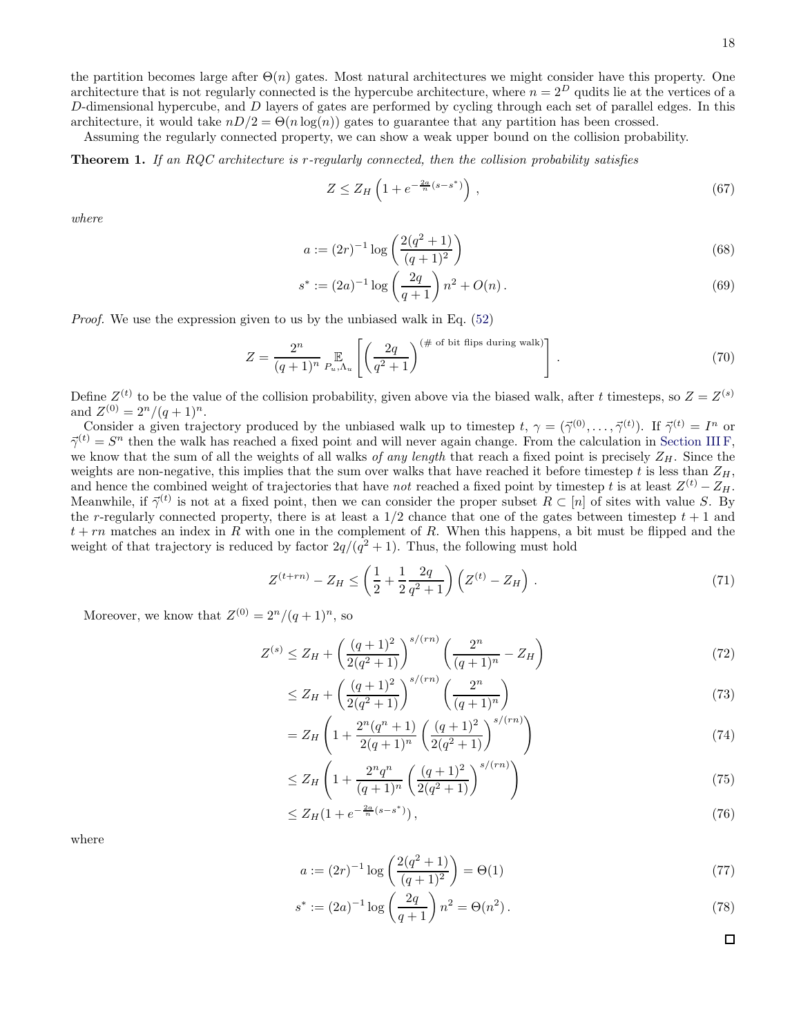the partition becomes large after  $\Theta(n)$  gates. Most natural architectures we might consider have this property. One architecture that is not regularly connected is the hypercube architecture, where  $n = 2^D$  qudits lie at the vertices of a  $D$ -dimensional hypercube, and  $D$  layers of gates are performed by cycling through each set of parallel edges. In this architecture, it would take  $nD/2 = \Theta(n \log(n))$  gates to guarantee that any partition has been crossed.

Assuming the regularly connected property, we can show a weak upper bound on the collision probability.

<span id="page-17-0"></span>Theorem 1. If an RQC architecture is r-regularly connected, then the collision probability satisfies

$$
Z \le Z_H \left( 1 + e^{-\frac{2a}{n}(s - s^*)} \right),\tag{67}
$$

where

$$
a := (2r)^{-1} \log \left( \frac{2(q^2 + 1)}{(q+1)^2} \right) \tag{68}
$$

$$
s^* := (2a)^{-1} \log \left(\frac{2q}{q+1}\right) n^2 + O(n). \tag{69}
$$

Proof. We use the expression given to us by the unbiased walk in Eq. [\(52\)](#page-14-0)

$$
Z = \frac{2^n}{(q+1)^n} \mathop{\mathbb{E}}_{P_u, \Lambda_u} \left[ \left( \frac{2q}{q^2+1} \right)^{(\# \text{ of bit flips during walk})} \right]. \tag{70}
$$

Define  $Z^{(t)}$  to be the value of the collision probability, given above via the biased walk, after t timesteps, so  $Z = Z^{(s)}$ and  $Z^{(0)} = 2^n/(q+1)^n$ .

Consider a given trajectory produced by the unbiased walk up to timestep  $t, \gamma = (\vec{\gamma}^{(0)}, \dots, \vec{\gamma}^{(t)})$ . If  $\vec{\gamma}^{(t)} = I^n$  or  $\vec{\gamma}^{(t)} = S^n$  then the walk has reached a fixed point and will never again change. From the calculation in [Section III F,](#page-16-2) we know that the sum of all the weights of all walks of any length that reach a fixed point is precisely  $Z_H$ . Since the weights are non-negative, this implies that the sum over walks that have reached it before timestep t is less than  $Z_H$ , and hence the combined weight of trajectories that have *not* reached a fixed point by timestep t is at least  $Z^{(t)} - Z_H$ . Meanwhile, if  $\vec{\gamma}^{(t)}$  is not at a fixed point, then we can consider the proper subset  $R \subset [n]$  of sites with value S. By the r-regularly connected property, there is at least a  $1/2$  chance that one of the gates between timestep  $t + 1$  and  $t + rn$  matches an index in R with one in the complement of R. When this happens, a bit must be flipped and the weight of that trajectory is reduced by factor  $2q/(q^2+1)$ . Thus, the following must hold

$$
Z^{(t+rn)} - Z_H \le \left(\frac{1}{2} + \frac{1}{2}\frac{2q}{q^2 + 1}\right) \left(Z^{(t)} - Z_H\right) \,. \tag{71}
$$

Moreover, we know that  $Z^{(0)} = 2^n/(q+1)^n$ , so

$$
Z^{(s)} \le Z_H + \left(\frac{(q+1)^2}{2(q^2+1)}\right)^{s/(rn)} \left(\frac{2^n}{(q+1)^n} - Z_H\right) \tag{72}
$$

$$
\leq Z_H + \left(\frac{(q+1)^2}{2(q^2+1)}\right)^{s/(rn)} \left(\frac{2^n}{(q+1)^n}\right) \tag{73}
$$

$$
=Z_H\left(1+\frac{2^n(q^n+1)}{2(q+1)^n}\left(\frac{(q+1)^2}{2(q^2+1)}\right)^{s/(rn)}\right)
$$
\n(74)

$$
\leq Z_H \left( 1 + \frac{2^n q^n}{(q+1)^n} \left( \frac{(q+1)^2}{2(q^2+1)} \right)^{s/(rn)} \right) \tag{75}
$$

$$
\leq Z_H(1 + e^{-\frac{2a}{n}(s - s^*)}),\tag{76}
$$

where

$$
a := (2r)^{-1} \log \left( \frac{2(q^2 + 1)}{(q+1)^2} \right) = \Theta(1)
$$
\n(77)

$$
s^* := (2a)^{-1} \log \left(\frac{2q}{q+1}\right) n^2 = \Theta(n^2).
$$
 (78)

 $\Box$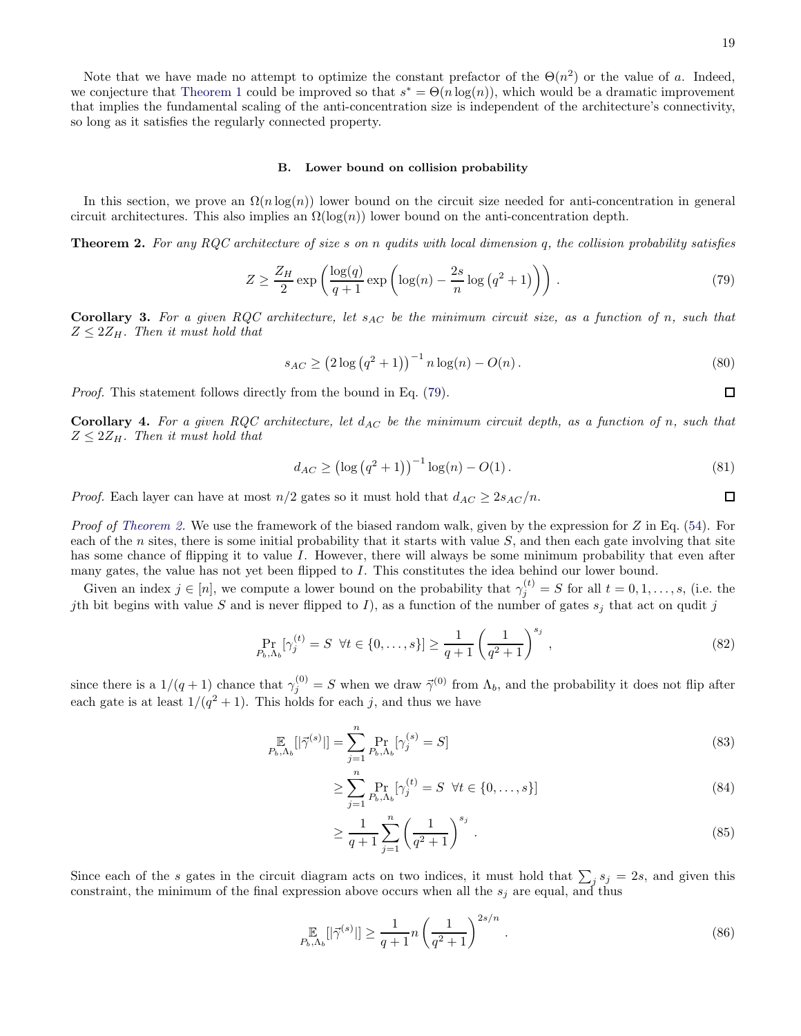#### B. Lower bound on collision probability

In this section, we prove an  $\Omega(n \log(n))$  lower bound on the circuit size needed for anti-concentration in general circuit architectures. This also implies an  $\Omega(\log(n))$  lower bound on the anti-concentration depth.

<span id="page-18-0"></span>**Theorem 2.** For any RQC architecture of size s on n qudits with local dimension q, the collision probability satisfies

<span id="page-18-1"></span>
$$
Z \ge \frac{Z_H}{2} \exp\left(\frac{\log(q)}{q+1} \exp\left(\log(n) - \frac{2s}{n} \log\left(q^2 + 1\right)\right)\right). \tag{79}
$$

**Corollary 3.** For a given RQC architecture, let  $s_{AC}$  be the minimum circuit size, as a function of n, such that  $Z \leq 2Z_H$ . Then it must hold that

$$
s_{AC} \ge (2\log\left(q^2 + 1\right))^{-1} n \log(n) - O(n). \tag{80}
$$

Proof. This statement follows directly from the bound in Eq. [\(79\)](#page-18-1).

**Corollary 4.** For a given RQC architecture, let  $d_{AC}$  be the minimum circuit depth, as a function of n, such that  $Z \leq 2Z_H$ . Then it must hold that

$$
d_{AC} \ge (\log (q^2 + 1))^{-1} \log(n) - O(1).
$$
 (81)

*Proof.* Each layer can have at most  $n/2$  gates so it must hold that  $d_{AC} \geq 2s_{AC}/n$ .

*Proof of [Theorem 2.](#page-18-0)* We use the framework of the biased random walk, given by the expression for  $Z$  in Eq. [\(54\)](#page-14-1). For each of the n sites, there is some initial probability that it starts with value  $S$ , and then each gate involving that site has some chance of flipping it to value I. However, there will always be some minimum probability that even after many gates, the value has not yet been flipped to  $I$ . This constitutes the idea behind our lower bound.

Given an index  $j \in [n]$ , we compute a lower bound on the probability that  $\gamma_j^{(t)} = S$  for all  $t = 0, 1, \ldots, s$ , (i.e. the *j*th bit begins with value S and is never flipped to I), as a function of the number of gates  $s_j$  that act on qudit j

$$
\Pr_{P_b, \Lambda_b} [\gamma_j^{(t)} = S \ \forall t \in \{0, \dots, s\}] \ge \frac{1}{q+1} \left(\frac{1}{q^2+1}\right)^{s_j},\tag{82}
$$

since there is a  $1/(q+1)$  chance that  $\gamma_j^{(0)} = S$  when we draw  $\vec{\gamma}^{(0)}$  from  $\Lambda_b$ , and the probability it does not flip after each gate is at least  $1/(q^2+1)$ . This holds for each j, and thus we have

$$
\mathop{\mathbb{E}}_{P_b,\Lambda_b}[|\vec{\gamma}^{(s)}|] = \sum_{j=1}^n \Pr_{P_b,\Lambda_b}[\gamma_j^{(s)} = S] \tag{83}
$$

$$
\geq \sum_{j=1}^{n} \Pr_{P_b, \Lambda_b} [\gamma_j^{(t)} = S \quad \forall t \in \{0, \dots, s\}]
$$
\n
$$
(84)
$$

$$
\geq \frac{1}{q+1} \sum_{j=1}^{n} \left( \frac{1}{q^2+1} \right)^{s_j} . \tag{85}
$$

Since each of the s gates in the circuit diagram acts on two indices, it must hold that  $\sum_j s_j = 2s$ , and given this constraint, the minimum of the final expression above occurs when all the  $s_j$  are equal, and thus

$$
\mathop{\mathbb{E}}_{P_b,\Lambda_b} [|\vec{\gamma}^{(s)}|] \ge \frac{1}{q+1} n \left(\frac{1}{q^2+1}\right)^{2s/n} . \tag{86}
$$

 $\Box$ 

 $\Box$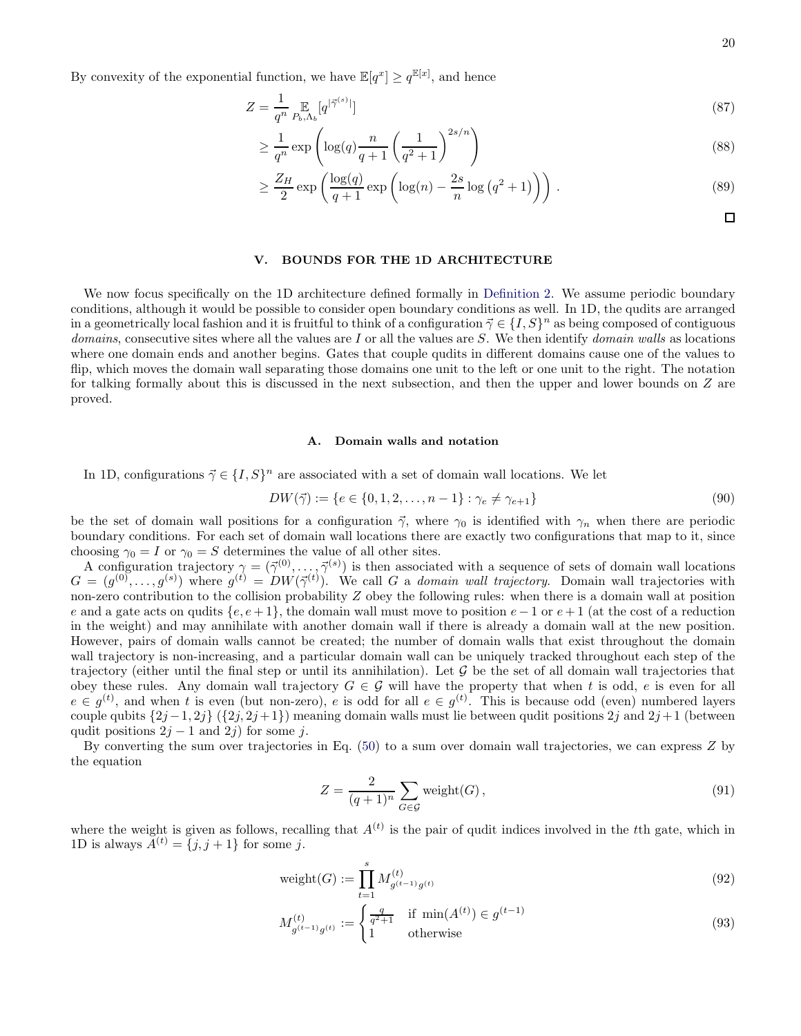By convexity of the exponential function, we have  $\mathbb{E}[q^x] \ge q^{\mathbb{E}[x]}$ , and hence

$$
Z = \frac{1}{q^n} \mathop{\mathbb{E}}_{P_b, \Lambda_b}[q^{|\vec{\gamma}^{(s)}|}]
$$
\n(87)

$$
\geq \frac{1}{q^n} \exp\left(\log(q) \frac{n}{q+1} \left(\frac{1}{q^2+1}\right)^{2s/n}\right) \tag{88}
$$

$$
\geq \frac{Z_H}{2} \exp\left(\frac{\log(q)}{q+1} \exp\left(\log(n) - \frac{2s}{n} \log\left(q^2+1\right)\right)\right). \tag{89}
$$

 $\Box$ 

## <span id="page-19-0"></span>V. BOUNDS FOR THE 1D ARCHITECTURE

We now focus specifically on the 1D architecture defined formally in [Definition 2.](#page-9-0) We assume periodic boundary conditions, although it would be possible to consider open boundary conditions as well. In 1D, the qudits are arranged in a geometrically local fashion and it is fruitful to think of a configuration  $\vec{\gamma} \in \{I, S\}^n$  as being composed of contiguous  $domains$ , consecutive sites where all the values are  $I$  or all the values are  $S$ . We then identify  $domain$  walls as locations where one domain ends and another begins. Gates that couple qudits in different domains cause one of the values to flip, which moves the domain wall separating those domains one unit to the left or one unit to the right. The notation for talking formally about this is discussed in the next subsection, and then the upper and lower bounds on Z are proved.

#### A. Domain walls and notation

In 1D, configurations  $\vec{\gamma} \in \{I, S\}^n$  are associated with a set of domain wall locations. We let

$$
DW(\vec{\gamma}) := \{ e \in \{0, 1, 2, \dots, n - 1\} : \gamma_e \neq \gamma_{e+1} \}
$$
\n(90)

be the set of domain wall positions for a configuration  $\vec{\gamma}$ , where  $\gamma_0$  is identified with  $\gamma_n$  when there are periodic boundary conditions. For each set of domain wall locations there are exactly two configurations that map to it, since choosing  $\gamma_0 = I$  or  $\gamma_0 = S$  determines the value of all other sites.

A configuration trajectory  $\gamma = (\vec{\gamma}^{(0)}, \ldots, \vec{\gamma}^{(s)})$  is then associated with a sequence of sets of domain wall locations  $G = (g^{(0)}, \ldots, g^{(s)})$  where  $g^{(t)} = DW(\vec{\gamma}^{(t)})$ . We call G a domain wall trajectory. Domain wall trajectories with non-zero contribution to the collision probability  $Z$  obey the following rules: when there is a domain wall at position e and a gate acts on qudits  $\{e, e+1\}$ , the domain wall must move to position  $e-1$  or  $e+1$  (at the cost of a reduction in the weight) and may annihilate with another domain wall if there is already a domain wall at the new position. However, pairs of domain walls cannot be created; the number of domain walls that exist throughout the domain wall trajectory is non-increasing, and a particular domain wall can be uniquely tracked throughout each step of the trajectory (either until the final step or until its annihilation). Let  $G$  be the set of all domain wall trajectories that obey these rules. Any domain wall trajectory  $G \in \mathcal{G}$  will have the property that when t is odd, e is even for all  $e \in g^{(t)}$ , and when t is even (but non-zero), e is odd for all  $e \in g^{(t)}$ . This is because odd (even) numbered layers couple qubits  $\{2j-1, 2j\}$   $(\{2j, 2j+1\})$  meaning domain walls must lie between qudit positions  $2j$  and  $2j+1$  (between qudit positions  $2j - 1$  and  $2j$ ) for some j.

By converting the sum over trajectories in Eq. [\(50\)](#page-13-0) to a sum over domain wall trajectories, we can express Z by the equation

<span id="page-19-1"></span>
$$
Z = \frac{2}{(q+1)^n} \sum_{G \in \mathcal{G}} \text{weight}(G),\tag{91}
$$

where the weight is given as follows, recalling that  $A<sup>(t)</sup>$  is the pair of qudit indices involved in the tth gate, which in 1D is always  $A^{(t)} = \{j, j+1\}$  for some j.

$$
weight(G) := \prod_{t=1}^{s} M_{g^{(t-1)}g^{(t)}}^{(t)}
$$
\n(92)

$$
M_{g^{(t-1)}g^{(t)}}^{(t)} := \begin{cases} \frac{q}{q^2+1} & \text{if } \min(A^{(t)}) \in g^{(t-1)}\\ 1 & \text{otherwise} \end{cases} \tag{93}
$$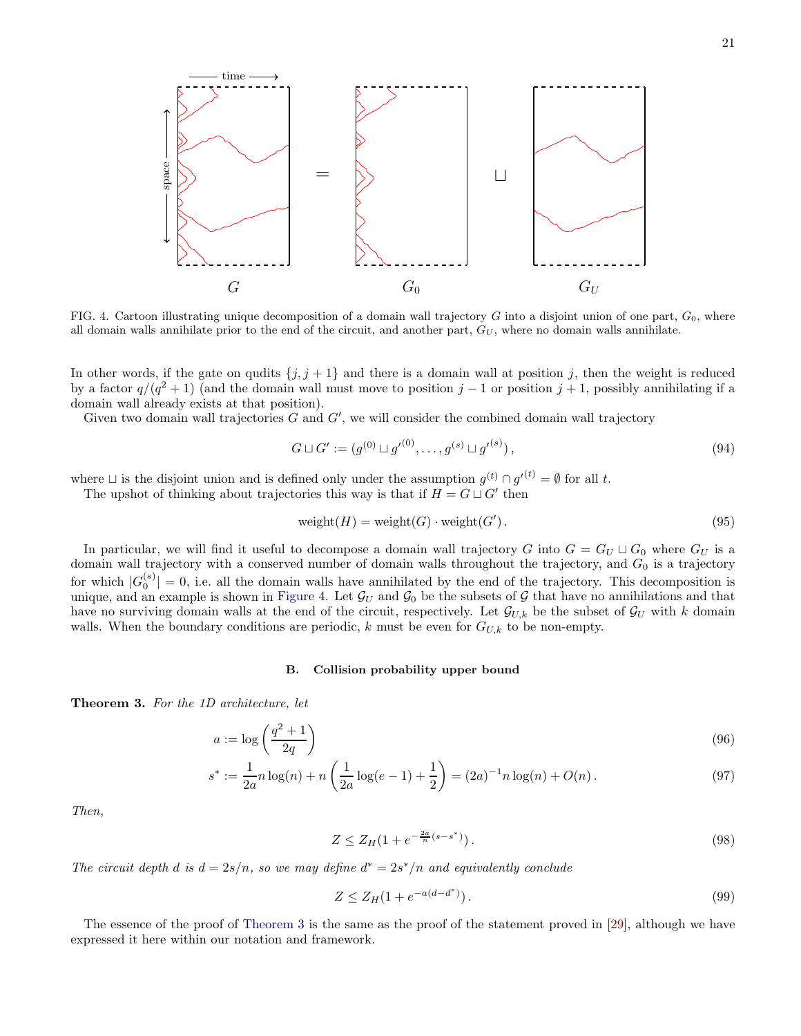

<span id="page-20-1"></span>FIG. 4. Cartoon illustrating unique decomposition of a domain wall trajectory  $G$  into a disjoint union of one part,  $G_0$ , where all domain walls annihilate prior to the end of the circuit, and another part,  $G_U$ , where no domain walls annihilate.

In other words, if the gate on qudits  $\{j, j + 1\}$  and there is a domain wall at position j, then the weight is reduced by a factor  $q/(q^2+1)$  (and the domain wall must move to position  $j-1$  or position  $j+1$ , possibly annihilating if a domain wall already exists at that position).

Given two domain wall trajectories  $G$  and  $G'$ , we will consider the combined domain wall trajectory

$$
G \sqcup G' := (g^{(0)} \sqcup g'^{(0)}, \dots, g^{(s)} \sqcup g'^{(s)}),
$$
\n(94)

where  $\Box$  is the disjoint union and is defined only under the assumption  $g^{(t)} \cap g'^{(t)} = \emptyset$  for all t. The upshot of thinking about trajectories this way is that if  $H = G \sqcup G'$  then

$$
weight(H) = weight(G) \cdot weight(G'). \qquad (95)
$$

In particular, we will find it useful to decompose a domain wall trajectory G into  $G = G_U \sqcup G_0$  where  $G_U$  is a domain wall trajectory with a conserved number of domain walls throughout the trajectory, and  $G_0$  is a trajectory for which  $|G_0^{(s)}|=0$ , i.e. all the domain walls have annihilated by the end of the trajectory. This decomposition is unique, and an example is shown in [Figure 4.](#page-20-1) Let  $\mathcal{G}_U$  and  $\mathcal{G}_0$  be the subsets of G that have no annihilations and that have no surviving domain walls at the end of the circuit, respectively. Let  $\mathcal{G}_{U,k}$  be the subset of  $\mathcal{G}_U$  with k domain walls. When the boundary conditions are periodic, k must be even for  $G_{U,k}$  to be non-empty.

## B. Collision probability upper bound

<span id="page-20-0"></span>Theorem 3. For the 1D architecture, let

$$
a := \log\left(\frac{q^2 + 1}{2q}\right) \tag{96}
$$

$$
s^* := \frac{1}{2a} n \log(n) + n \left( \frac{1}{2a} \log(e-1) + \frac{1}{2} \right) = (2a)^{-1} n \log(n) + O(n).
$$
 (97)

Then,

$$
Z \le Z_H(1 + e^{-\frac{2a}{n}(s - s^*)}).
$$
\n(98)

The circuit depth d is  $d = 2s/n$ , so we may define  $d^* = 2s^*/n$  and equivalently conclude

$$
Z \le Z_H(1 + e^{-a(d - d^*)}).\tag{99}
$$

The essence of the proof of [Theorem 3](#page-20-0) is the same as the proof of the statement proved in [\[29\]](#page-43-3), although we have expressed it here within our notation and framework.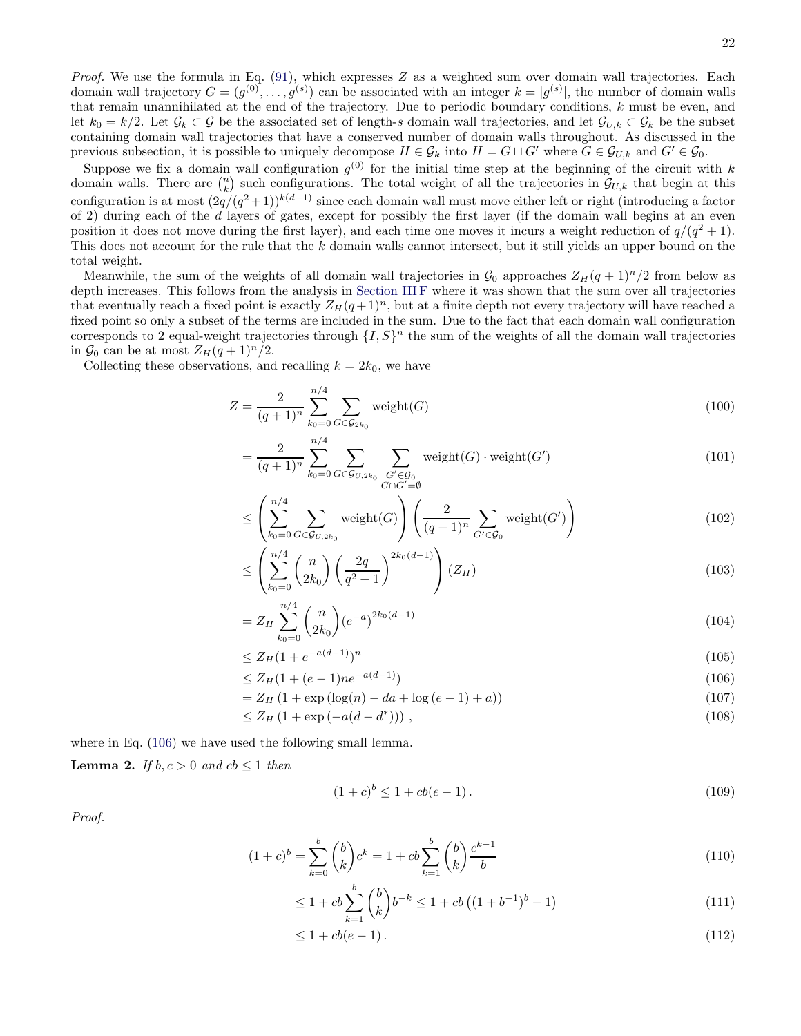Suppose we fix a domain wall configuration  $g^{(0)}$  for the initial time step at the beginning of the circuit with k domain walls. There are  $\binom{n}{k}$  such configurations. The total weight of all the trajectories in  $\mathcal{G}_{U,k}$  that begin at this configuration is at most  $(2q/(q^2+1))^{k(d-1)}$  since each domain wall must move either left or right (introducing a factor of 2) during each of the d layers of gates, except for possibly the first layer (if the domain wall begins at an even position it does not move during the first layer), and each time one moves it incurs a weight reduction of  $q/(q^2+1)$ . This does not account for the rule that the k domain walls cannot intersect, but it still yields an upper bound on the total weight.

Meanwhile, the sum of the weights of all domain wall trajectories in  $\mathcal{G}_0$  approaches  $Z_H(q + 1)^n/2$  from below as depth increases. This follows from the analysis in [Section III F](#page-16-2) where it was shown that the sum over all trajectories that eventually reach a fixed point is exactly  $Z_H(q + 1)^n$ , but at a finite depth not every trajectory will have reached a fixed point so only a subset of the terms are included in the sum. Due to the fact that each domain wall configuration corresponds to 2 equal-weight trajectories through  $\{I, S\}^n$  the sum of the weights of all the domain wall trajectories in  $\mathcal{G}_0$  can be at most  $Z_H(q+1)^n/2$ .

Collecting these observations, and recalling  $k = 2k_0$ , we have

$$
Z = \frac{2}{(q+1)^n} \sum_{k_0=0}^{n/4} \sum_{G \in \mathcal{G}_{2k_0}} \text{weight}(G) \tag{100}
$$

$$
= \frac{2}{(q+1)^n} \sum_{k_0=0}^{n/4} \sum_{G \in \mathcal{G}_{U,2k_0}} \sum_{\substack{G' \in \mathcal{G}_0 \\ G \cap G' = \emptyset}} \text{weight}(G) \cdot \text{weight}(G') \tag{101}
$$

$$
\leq \left(\sum_{k_0=0}^{n/4} \sum_{G \in \mathcal{G}_{U,2k_0}} \text{weight}(G)\right) \left(\frac{2}{(q+1)^n} \sum_{G' \in \mathcal{G}_0} \text{weight}(G')\right) \tag{102}
$$

$$
\leq \left(\sum_{k_0=0}^{n/4} \binom{n}{2k_0} \left(\frac{2q}{q^2+1}\right)^{2k_0(d-1)}\right) (Z_H) \tag{103}
$$

$$
=Z_H \sum_{k_0=0}^{n/4} \binom{n}{2k_0} \left(e^{-a}\right)^{2k_0(d-1)}\tag{104}
$$

$$
\leq Z_H (1 + e^{-a(d-1)})^n \tag{105}
$$

$$
\leq Z_H(1 + (e-1)ne^{-a(d-1)})\tag{106}
$$

$$
=Z_H(1+\exp(\log(n)-da+\log(e-1)+a))
$$
\n(107)

$$
\leq Z_H \left(1 + \exp\left(-a(d - d^*)\right)\right),\tag{108}
$$

where in Eq.  $(106)$  we have used the following small lemma.

**Lemma 2.** If  $b, c > 0$  and  $cb \le 1$  then

<span id="page-21-0"></span>
$$
(1+c)^b \le 1 + cb(e-1). \tag{109}
$$

Proof.

$$
(1+c)^b = \sum_{k=0}^b \binom{b}{k} c^k = 1 + cb \sum_{k=1}^b \binom{b}{k} \frac{c^{k-1}}{b}
$$
\n(110)

$$
\leq 1 + cb \sum_{k=1}^{b} \binom{b}{k} b^{-k} \leq 1 + cb \left( (1 + b^{-1})^b - 1 \right) \tag{111}
$$

$$
\leq 1 + cb(e-1). \tag{112}
$$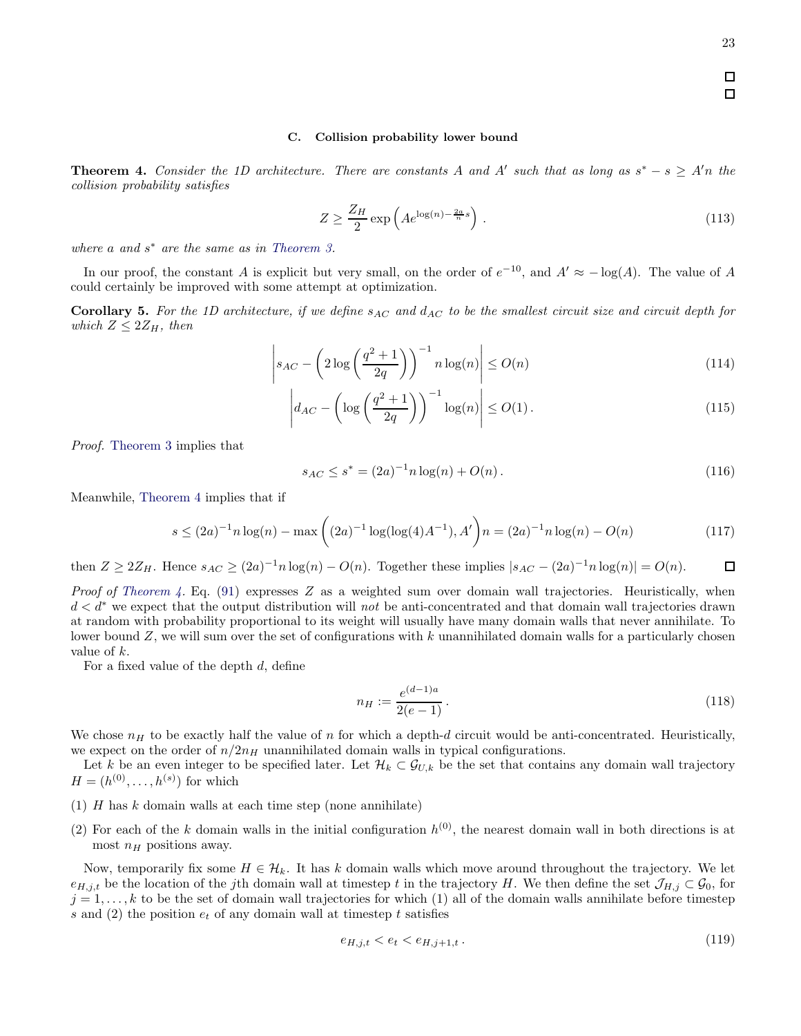### C. Collision probability lower bound

<span id="page-22-0"></span>**Theorem 4.** Consider the 1D architecture. There are constants A and A' such that as long as  $s^* - s \geq A'$ n the collision probability satisfies

$$
Z \ge \frac{Z_H}{2} \exp\left(Ae^{\log(n) - \frac{2a}{n}s}\right). \tag{113}
$$

where  $a$  and  $s^*$  are the same as in [Theorem 3.](#page-20-0)

In our proof, the constant A is explicit but very small, on the order of  $e^{-10}$ , and  $A' \approx -\log(A)$ . The value of A could certainly be improved with some attempt at optimization.

**Corollary 5.** For the 1D architecture, if we define  $s_{AC}$  and  $d_{AC}$  to be the smallest circuit size and circuit depth for which  $Z \leq 2Z_H$ , then

$$
\left| s_{AC} - \left( 2 \log \left( \frac{q^2 + 1}{2q} \right) \right)^{-1} n \log(n) \right| \le O(n)
$$
\n(114)

$$
\left| d_{AC} - \left( \log \left( \frac{q^2 + 1}{2q} \right) \right)^{-1} \log(n) \right| \le O(1). \tag{115}
$$

Proof. [Theorem 3](#page-20-0) implies that

$$
s_{AC} \le s^* = (2a)^{-1} n \log(n) + O(n). \tag{116}
$$

Meanwhile, [Theorem 4](#page-22-0) implies that if

$$
s \le (2a)^{-1}n \log(n) - \max\left( (2a)^{-1} \log(\log(4)A^{-1}), A' \right) n = (2a)^{-1}n \log(n) - O(n) \tag{117}
$$

then  $Z \geq 2Z_H$ . Hence  $s_{AC} \geq (2a)^{-1}n \log(n) - O(n)$ . Together these implies  $|s_{AC} - (2a)^{-1}n \log(n)| = O(n)$ . 口

*Proof of [Theorem 4.](#page-22-0)* Eq. [\(91\)](#page-19-1) expresses Z as a weighted sum over domain wall trajectories. Heuristically, when d < d<sup>∗</sup> we expect that the output distribution will not be anti-concentrated and that domain wall trajectories drawn at random with probability proportional to its weight will usually have many domain walls that never annihilate. To lower bound  $Z$ , we will sum over the set of configurations with  $k$  unannihilated domain walls for a particularly chosen value of k.

For a fixed value of the depth d, define

$$
n_H := \frac{e^{(d-1)a}}{2(e-1)}.
$$
\n(118)

We chose  $n_H$  to be exactly half the value of n for which a depth-d circuit would be anti-concentrated. Heuristically, we expect on the order of  $n/2n<sub>H</sub>$  unannihilated domain walls in typical configurations.

Let k be an even integer to be specified later. Let  $\mathcal{H}_k \subset \mathcal{G}_{U,k}$  be the set that contains any domain wall trajectory  $H = (h^{(0)}, \ldots, h^{(s)})$  for which

- (1)  $H$  has  $k$  domain walls at each time step (none annihilate)
- (2) For each of the k domain walls in the initial configuration  $h^{(0)}$ , the nearest domain wall in both directions is at most  $n_H$  positions away.

Now, temporarily fix some  $H \in \mathcal{H}_k$ . It has k domain walls which move around throughout the trajectory. We let  $e_{H,j,t}$  be the location of the j<sup>th</sup> domain wall at timestep t in the trajectory H. We then define the set  $\mathcal{J}_{H,j} \subset \mathcal{G}_0$ , for  $j = 1, \ldots, k$  to be the set of domain wall trajectories for which (1) all of the domain walls annihilate before timestep s and (2) the position  $e_t$  of any domain wall at timestep t satisfies

$$
e_{H,j,t} < e_t < e_{H,j+1,t} \tag{119}
$$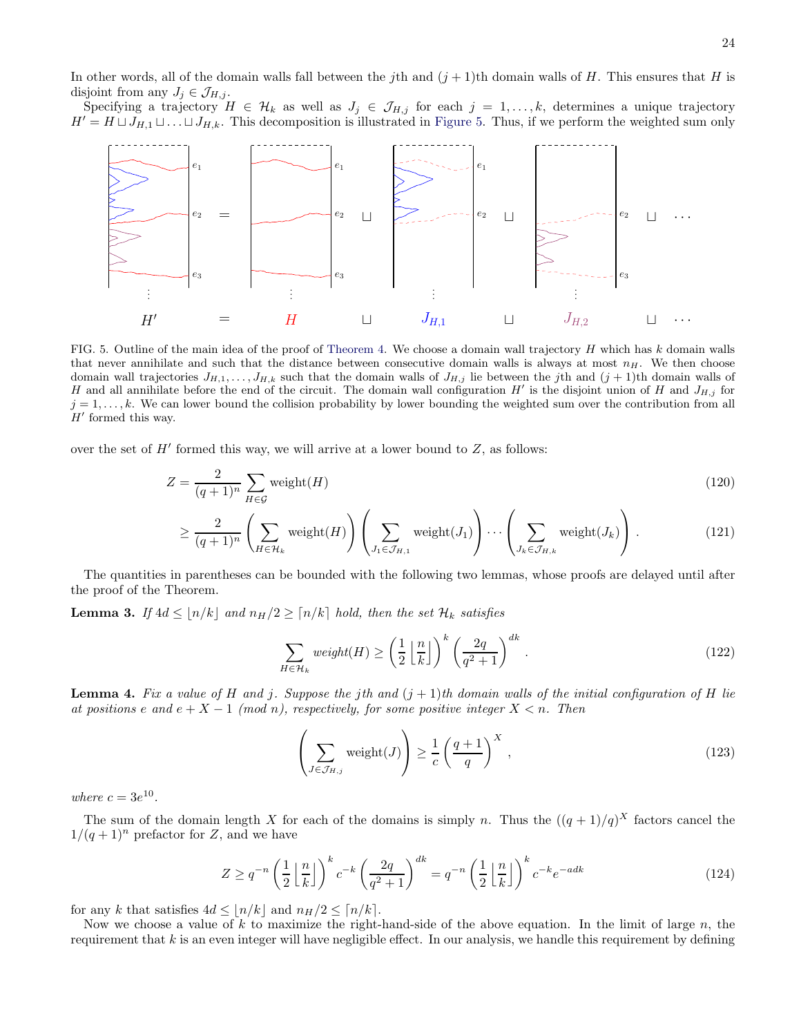In other words, all of the domain walls fall between the jth and  $(j + 1)$ th domain walls of H. This ensures that H is disjoint from any  $J_j \in \mathcal{J}_{H,j}$ .

Specifying a trajectory  $H \in \mathcal{H}_k$  as well as  $J_j \in \mathcal{J}_{H,j}$  for each  $j = 1, \ldots, k$ , determines a unique trajectory  $H' = H \sqcup J_{H,1} \sqcup \ldots \sqcup J_{H,k}$ . This decomposition is illustrated in [Figure 5.](#page-23-0) Thus, if we perform the weighted sum only



<span id="page-23-0"></span>FIG. 5. Outline of the main idea of the proof of [Theorem 4.](#page-22-0) We choose a domain wall trajectory  $H$  which has  $k$  domain walls that never annihilate and such that the distance between consecutive domain walls is always at most  $n_H$ . We then choose domain wall trajectories  $J_{H,1}, \ldots, J_{H,k}$  such that the domain walls of  $J_{H,j}$  lie between the jth and  $(j + 1)$ th domain walls of H and all annihilate before the end of the circuit. The domain wall configuration  $H'$  is the disjoint union of H and  $J_{H,j}$  for  $j = 1, \ldots, k$ . We can lower bound the collision probability by lower bounding the weighted sum over the contribution from all  $H'$  formed this way.

over the set of  $H'$  formed this way, we will arrive at a lower bound to  $Z$ , as follows:

$$
Z = \frac{2}{(q+1)^n} \sum_{H \in \mathcal{G}} \text{weight}(H) \tag{120}
$$

$$
\geq \frac{2}{(q+1)^n} \left(\sum_{H \in \mathcal{H}_k} \text{weight}(H)\right) \left(\sum_{J_1 \in \mathcal{J}_{H,1}} \text{weight}(J_1)\right) \cdots \left(\sum_{J_k \in \mathcal{J}_{H,k}} \text{weight}(J_k)\right). \tag{121}
$$

The quantities in parentheses can be bounded with the following two lemmas, whose proofs are delayed until after the proof of the Theorem.

<span id="page-23-2"></span>**Lemma 3.** If  $4d \leq \lfloor n/k \rfloor$  and  $n_H/2 \geq \lfloor n/k \rfloor$  hold, then the set  $\mathcal{H}_k$  satisfies

$$
\sum_{H \in \mathcal{H}_k} weight(H) \ge \left(\frac{1}{2} \left\lfloor \frac{n}{k} \right\rfloor\right)^k \left(\frac{2q}{q^2 + 1}\right)^{dk}.
$$
\n(122)

<span id="page-23-3"></span>**Lemma 4.** Fix a value of H and j. Suppose the jth and  $(j + 1)$ th domain walls of the initial configuration of H lie at positions e and  $e + X - 1 \pmod{n}$ , respectively, for some positive integer  $X < n$ . Then

<span id="page-23-1"></span>
$$
\left(\sum_{J \in \mathcal{J}_{H,j}} \text{weight}(J)\right) \ge \frac{1}{c} \left(\frac{q+1}{q}\right)^X,\tag{123}
$$

where  $c = 3e^{10}$ .

The sum of the domain length X for each of the domains is simply n. Thus the  $((q+1)/q)^{X}$  factors cancel the  $1/(q+1)^n$  prefactor for Z, and we have

$$
Z \ge q^{-n} \left(\frac{1}{2} \left\lfloor \frac{n}{k} \right\rfloor\right)^k c^{-k} \left(\frac{2q}{q^2 + 1}\right)^{dk} = q^{-n} \left(\frac{1}{2} \left\lfloor \frac{n}{k} \right\rfloor\right)^k c^{-k} e^{-adk}
$$
 (124)

for any k that satisfies  $4d \leq |n/k|$  and  $n_H/2 \leq \lceil n/k \rceil$ .

Now we choose a value of k to maximize the right-hand-side of the above equation. In the limit of large n, the requirement that  $k$  is an even integer will have negligible effect. In our analysis, we handle this requirement by defining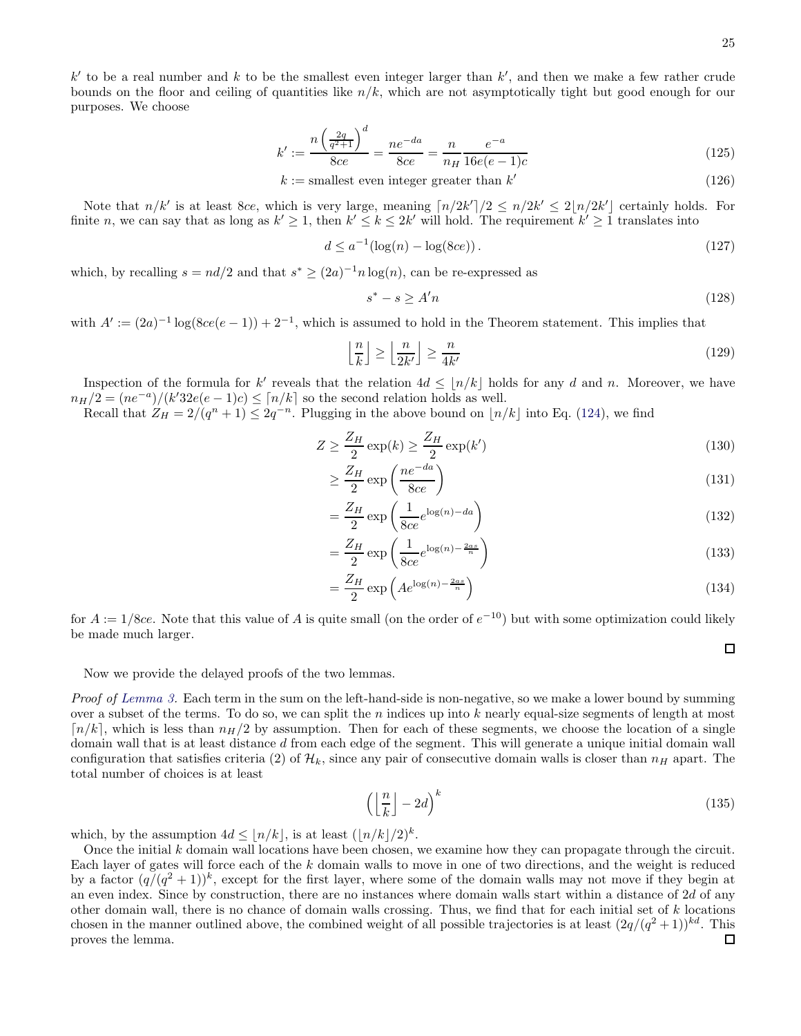$k'$  to be a real number and k to be the smallest even integer larger than  $k'$ , and then we make a few rather crude bounds on the floor and ceiling of quantities like  $n/k$ , which are not asymptotically tight but good enough for our purposes. We choose

$$
k' := \frac{n\left(\frac{2q}{q^2+1}\right)^d}{8ce} = \frac{ne^{-da}}{8ce} = \frac{n}{n_H} \frac{e^{-a}}{16e(e-1)c}
$$
\n(125)

 $k := \text{smallest even integer greater than } k'$ (126)

Note that  $n/k'$  is at least 8ce, which is very large, meaning  $\lceil n/2k' \rceil/2 \le n/2k' \le 2\lfloor n/2k' \rfloor$  certainly holds. For finite n, we can say that as long as  $k' \ge 1$ , then  $k' \le k \le 2k'$  will hold. The requirement  $k' \ge 1$  translates into

$$
d \le a^{-1} (\log(n) - \log(8ce)). \tag{127}
$$

which, by recalling  $s = nd/2$  and that  $s^* \ge (2a)^{-1}n \log(n)$ , can be re-expressed as

$$
s^* - s \ge A'n \tag{128}
$$

with  $A' := (2a)^{-1} \log(8ce(e-1)) + 2^{-1}$ , which is assumed to hold in the Theorem statement. This implies that

$$
\left\lfloor \frac{n}{k} \right\rfloor \ge \left\lfloor \frac{n}{2k'} \right\rfloor \ge \frac{n}{4k'}
$$
\n(129)

Inspection of the formula for k' reveals that the relation  $4d \leq \lfloor n/k \rfloor$  holds for any d and n. Moreover, we have  $n_H/2 = (ne^{-a})/(k'32e(e-1)c) \leq \lceil n/k \rceil$  so the second relation holds as well.

Recall that  $Z_H = 2/(q^n + 1) \leq 2q^{-n}$ . Plugging in the above bound on  $\lfloor n/k \rfloor$  into Eq. [\(124\)](#page-23-1), we find

$$
Z \ge \frac{Z_H}{2} \exp(k) \ge \frac{Z_H}{2} \exp(k')
$$
\n(130)

$$
\geq \frac{Z_H}{2} \exp\left(\frac{ne^{-da}}{8ce}\right) \tag{131}
$$

$$
=\frac{Z_H}{2}\exp\left(\frac{1}{8ce}e^{\log(n)-da}\right)
$$
\n(132)

$$
=\frac{Z_H}{2}\exp\left(\frac{1}{8ce}e^{\log(n)-\frac{2as}{n}}\right)
$$
\n(133)

$$
=\frac{Z_H}{2}\exp\left(Ae^{\log(n)-\frac{2as}{n}}\right)
$$
\n(134)

for  $A := 1/8ce$ . Note that this value of A is quite small (on the order of  $e^{-10}$ ) but with some optimization could likely be made much larger.

Now we provide the delayed proofs of the two lemmas.

Proof of [Lemma 3.](#page-23-2) Each term in the sum on the left-hand-side is non-negative, so we make a lower bound by summing over a subset of the terms. To do so, we can split the  $n$  indices up into  $k$  nearly equal-size segments of length at most  $\lceil n/k \rceil$ , which is less than  $n_H/2$  by assumption. Then for each of these segments, we choose the location of a single domain wall that is at least distance d from each edge of the segment. This will generate a unique initial domain wall configuration that satisfies criteria (2) of  $\mathcal{H}_k$ , since any pair of consecutive domain walls is closer than  $n_H$  apart. The total number of choices is at least

$$
\left(\left\lfloor \frac{n}{k} \right\rfloor - 2d\right)^k \tag{135}
$$

which, by the assumption  $4d \leq \lfloor n/k \rfloor$ , is at least  $(\lfloor n/k \rfloor / 2)^k$ .

Once the initial  $k$  domain wall locations have been chosen, we examine how they can propagate through the circuit. Each layer of gates will force each of the k domain walls to move in one of two directions, and the weight is reduced by a factor  $(q/(q^2+1))^k$ , except for the first layer, where some of the domain walls may not move if they begin at an even index. Since by construction, there are no instances where domain walls start within a distance of 2d of any other domain wall, there is no chance of domain walls crossing. Thus, we find that for each initial set of  $k$  locations chosen in the manner outlined above, the combined weight of all possible trajectories is at least  $(2q/(q^2+1))^{kd}$ . This proves the lemma.□

 $\Box$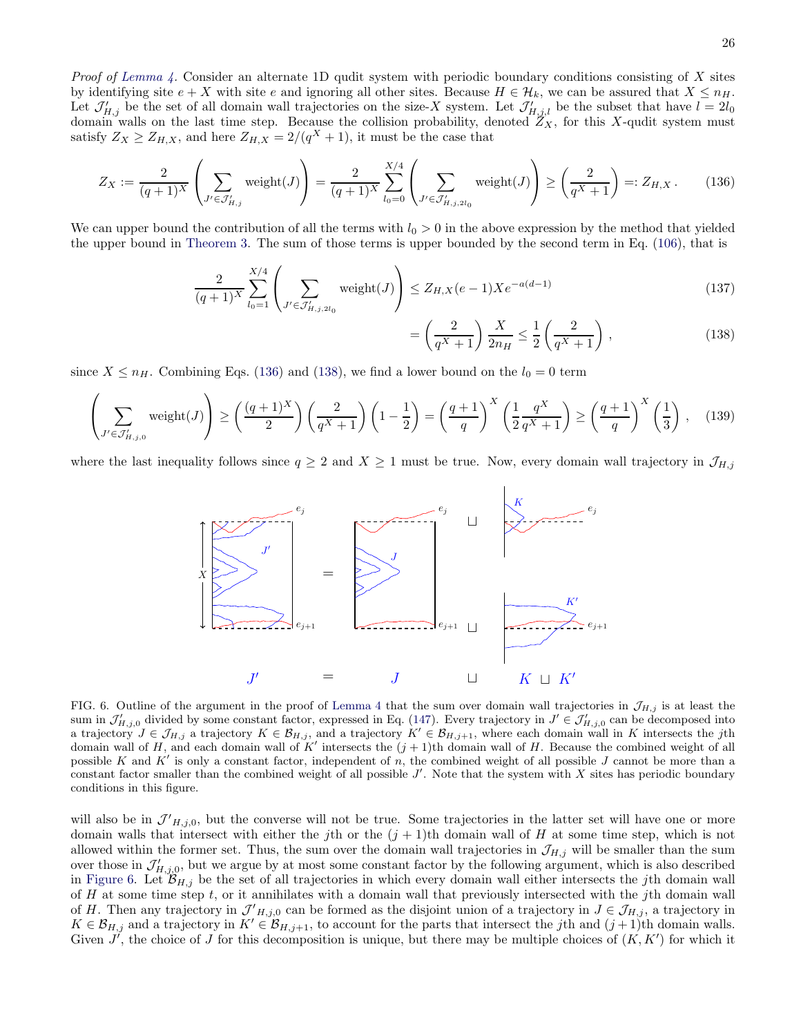*Proof of [Lemma 4.](#page-23-3)* Consider an alternate 1D qudit system with periodic boundary conditions consisting of X sites by identifying site  $e + X$  with site e and ignoring all other sites. Because  $H \in \mathcal{H}_k$ , we can be assured that  $X \leq n_H$ . Let  $\mathcal{J}'_{H,j}$  be the set of all domain wall trajectories on the size-X system. Let  $\mathcal{J}'_{H,j,l}$  be the subset that have  $l = 2l_0$ domain walls on the last time step. Because the collision probability, denoted  $Z_X$ , for this X-qudit system must satisfy  $Z_X \geq Z_{H,X}$ , and here  $Z_{H,X} = 2/(q^X + 1)$ , it must be the case that

<span id="page-25-0"></span>
$$
Z_X := \frac{2}{(q+1)^X} \left( \sum_{J' \in \mathcal{J}'_{H,j}} \text{weight}(J) \right) = \frac{2}{(q+1)^X} \sum_{l_0=0}^{X/4} \left( \sum_{J' \in \mathcal{J}'_{H,j,2l_0}} \text{weight}(J) \right) \ge \left( \frac{2}{q^X + 1} \right) =: Z_{H,X}. \tag{136}
$$

We can upper bound the contribution of all the terms with  $l_0 > 0$  in the above expression by the method that yielded the upper bound in [Theorem 3.](#page-20-0) The sum of those terms is upper bounded by the second term in Eq. [\(106\)](#page-21-0), that is

$$
\frac{2}{(q+1)^X} \sum_{l_0=1}^{X/4} \left( \sum_{J' \in \mathcal{J}'_{H,j,2l_0}} \text{weight}(J) \right) \le Z_{H,X}(e-1)Xe^{-a(d-1)} \tag{137}
$$

<span id="page-25-1"></span>
$$
=\left(\frac{2}{q^X+1}\right)\frac{X}{2n_H}\leq\frac{1}{2}\left(\frac{2}{q^X+1}\right),\tag{138}
$$

since  $X \leq n_H$ . Combining Eqs. [\(136\)](#page-25-0) and [\(138\)](#page-25-1), we find a lower bound on the  $l_0 = 0$  term

<span id="page-25-3"></span>
$$
\left(\sum_{J' \in \mathcal{J}'_{H,j,0}} \text{weight}(J)\right) \ge \left(\frac{(q+1)^X}{2}\right) \left(\frac{2}{q^X+1}\right) \left(1-\frac{1}{2}\right) = \left(\frac{q+1}{q}\right)^X \left(\frac{1}{2}\frac{q^X}{q^X+1}\right) \ge \left(\frac{q+1}{q}\right)^X \left(\frac{1}{3}\right),\tag{139}
$$

where the last inequality follows since  $q \ge 2$  and  $X \ge 1$  must be true. Now, every domain wall trajectory in  $\mathcal{J}_{H,j}$ 



<span id="page-25-2"></span>FIG. 6. Outline of the argument in the proof of [Lemma 4](#page-23-3) that the sum over domain wall trajectories in  $\mathcal{J}_{H,j}$  is at least the sum in  $\mathcal{J}'_{H,j,0}$  divided by some constant factor, expressed in Eq. [\(147\)](#page-26-1). Every trajectory in  $J' \in \mathcal{J}'_{H,j,0}$  can be decomposed into a trajectory  $J \in \mathcal{J}_{H,j}$  a trajectory  $K \in \mathcal{B}_{H,j}$ , and a trajectory  $K' \in \mathcal{B}_{H,j+1}$ , where each domain wall in K intersects the jth domain wall of H, and each domain wall of K' intersects the  $(j+1)$ th domain wall of H. Because the combined weight of all possible K and K' is only a constant factor, independent of n, the combined weight of all possible J cannot be more than a constant factor smaller than the combined weight of all possible  $J'$ . Note that the system with X sites has periodic boundary conditions in this figure.

will also be in  $\mathcal{J}'_{H,j,0}$ , but the converse will not be true. Some trajectories in the latter set will have one or more domain walls that intersect with either the jth or the  $(j + 1)$ th domain wall of H at some time step, which is not allowed within the former set. Thus, the sum over the domain wall trajectories in  $\mathcal{J}_{H,j}$  will be smaller than the sum over those in  $\mathcal{J}'_{H,j,0}$ , but we argue by at most some constant factor by the following argument, which is also described in [Figure 6.](#page-25-2) Let  $\mathcal{B}_{H,j}$  be the set of all trajectories in which every domain wall either intersects the jth domain wall of H at some time step t, or it annihilates with a domain wall that previously intersected with the jth domain wall of H. Then any trajectory in  $\mathcal{J}'_{H,j,0}$  can be formed as the disjoint union of a trajectory in  $J \in \mathcal{J}_{H,j}$ , a trajectory in  $K \in \mathcal{B}_{H,j}$  and a trajectory in  $K' \in \mathcal{B}_{H,j+1}$ , to account for the parts that intersect the jth and  $(j+1)$ th domain walls. Given  $J'$ , the choice of J for this decomposition is unique, but there may be multiple choices of  $(K, K')$  for which it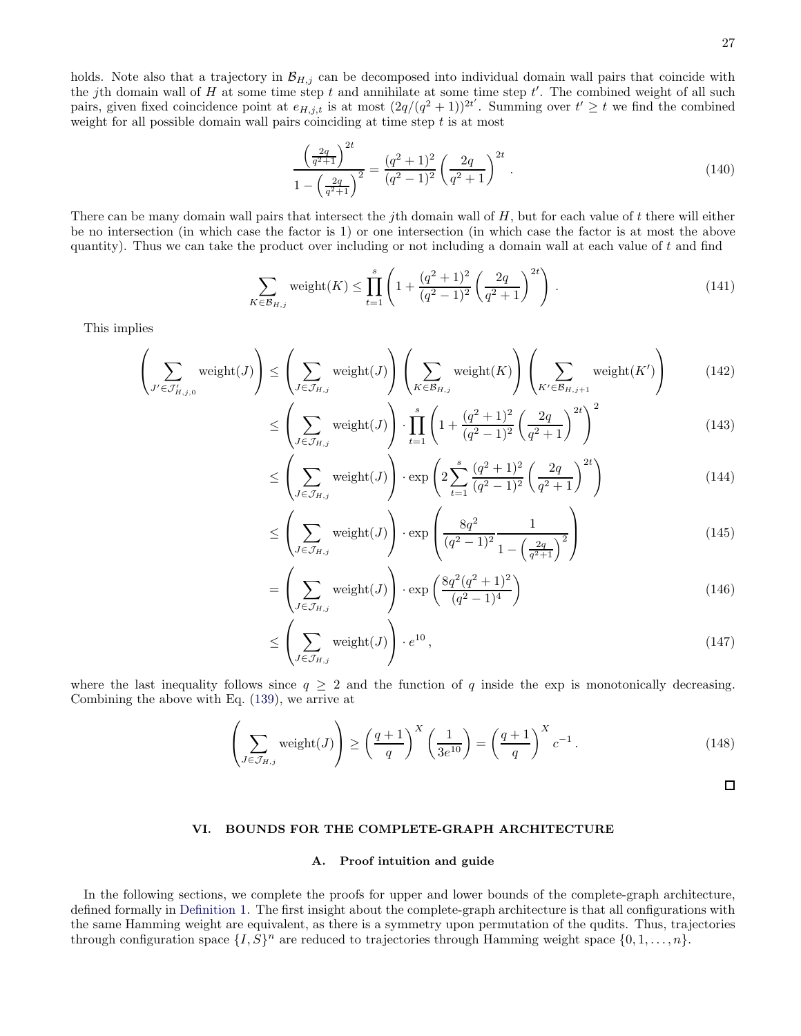holds. Note also that a trajectory in  $\mathcal{B}_{H,j}$  can be decomposed into individual domain wall pairs that coincide with the jth domain wall of H at some time step t and annihilate at some time step  $t'$ . The combined weight of all such pairs, given fixed coincidence point at  $e_{H,j,t}$  is at most  $(2q/(q^2+1))^{2t'}$ . Summing over  $t' \geq t$  we find the combined weight for all possible domain wall pairs coinciding at time step  $t$  is at most

$$
\frac{\left(\frac{2q}{q^2+1}\right)^{2t}}{1-\left(\frac{2q}{q^2+1}\right)^2} = \frac{(q^2+1)^2}{(q^2-1)^2} \left(\frac{2q}{q^2+1}\right)^{2t} . \tag{140}
$$

There can be many domain wall pairs that intersect the jth domain wall of  $H$ , but for each value of  $t$  there will either be no intersection (in which case the factor is 1) or one intersection (in which case the factor is at most the above quantity). Thus we can take the product over including or not including a domain wall at each value of  $t$  and find

$$
\sum_{K \in \mathcal{B}_{H,j}} \text{weight}(K) \le \prod_{t=1}^{s} \left( 1 + \frac{(q^2 + 1)^2}{(q^2 - 1)^2} \left( \frac{2q}{q^2 + 1} \right)^{2t} \right). \tag{141}
$$

This implies

$$
\left(\sum_{J' \in \mathcal{J}'_{H,j,0}} \text{weight}(J)\right) \le \left(\sum_{J \in \mathcal{J}_{H,j}} \text{weight}(J)\right) \left(\sum_{K \in \mathcal{B}_{H,j}} \text{weight}(K)\right) \left(\sum_{K' \in \mathcal{B}_{H,j+1}} \text{weight}(K')\right) \tag{142}
$$

$$
\leq \left(\sum_{J \in \mathcal{J}_{H,j}} \text{weight}(J)\right) \cdot \prod_{t=1}^{s} \left(1 + \frac{(q^2 + 1)^2}{(q^2 - 1)^2} \left(\frac{2q}{q^2 + 1}\right)^{2t}\right)^2\tag{143}
$$

$$
\leq \left(\sum_{J \in \mathcal{J}_{H,j}} \text{weight}(J)\right) \cdot \exp\left(2\sum_{t=1}^{s} \frac{(q^2+1)^2}{(q^2-1)^2} \left(\frac{2q}{q^2+1}\right)^{2t}\right) \tag{144}
$$

$$
\leq \left(\sum_{J \in \mathcal{J}_{H,j}} \text{weight}(J)\right) \cdot \exp\left(\frac{8q^2}{(q^2 - 1)^2} \frac{1}{1 - \left(\frac{2q}{q^2 + 1}\right)^2}\right) \tag{145}
$$

$$
= \left(\sum_{J \in \mathcal{J}_{H,j}} \text{weight}(J)\right) \cdot \exp\left(\frac{8q^2(q^2+1)^2}{(q^2-1)^4}\right) \tag{146}
$$

$$
\leq \left(\sum_{J \in \mathcal{J}_{H,j}} \text{weight}(J)\right) \cdot e^{10},\tag{147}
$$

where the last inequality follows since  $q \geq 2$  and the function of q inside the exp is monotonically decreasing. Combining the above with Eq. [\(139\)](#page-25-3), we arrive at

$$
\left(\sum_{J \in \mathcal{J}_{H,j}} \text{weight}(J)\right) \ge \left(\frac{q+1}{q}\right)^X \left(\frac{1}{3e^{10}}\right) = \left(\frac{q+1}{q}\right)^X c^{-1}.
$$
\n(148)

<span id="page-26-1"></span> $\Box$ 

## <span id="page-26-0"></span>VI. BOUNDS FOR THE COMPLETE-GRAPH ARCHITECTURE

## A. Proof intuition and guide

In the following sections, we complete the proofs for upper and lower bounds of the complete-graph architecture, defined formally in [Definition 1.](#page-9-1) The first insight about the complete-graph architecture is that all configurations with the same Hamming weight are equivalent, as there is a symmetry upon permutation of the qudits. Thus, trajectories through configuration space  $\{I, S\}^n$  are reduced to trajectories through Hamming weight space  $\{0, 1, \ldots, n\}$ .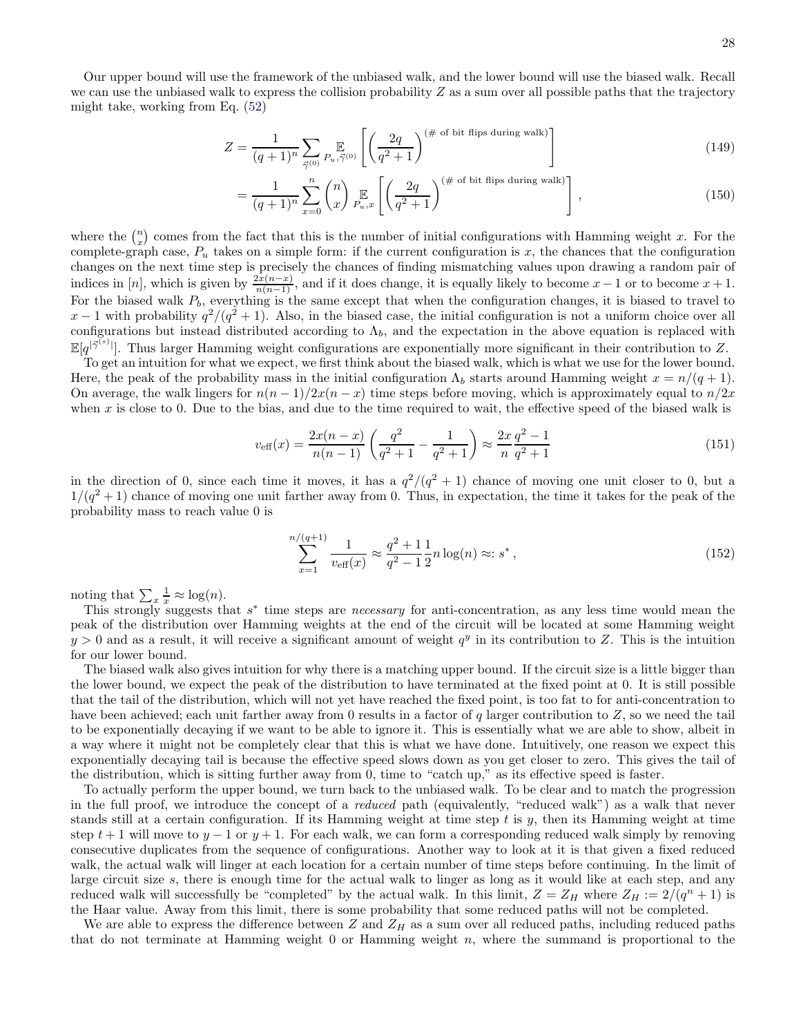Our upper bound will use the framework of the unbiased walk, and the lower bound will use the biased walk. Recall we can use the unbiased walk to express the collision probability  $Z$  as a sum over all possible paths that the trajectory might take, working from Eq. [\(52\)](#page-14-0)

$$
Z = \frac{1}{(q+1)^n} \sum_{\vec{\gamma}^{(0)}} \mathbb{E}_{u,\vec{\gamma}^{(0)}} \left[ \left( \frac{2q}{q^2+1} \right)^{(\text{\# of bit flips during walk})} \right] \tag{149}
$$

$$
= \frac{1}{(q+1)^n} \sum_{x=0}^n {n \choose x} \mathop{\mathbb{E}}_{P_u,x} \left[ \left( \frac{2q}{q^2+1} \right)^{(\text{\# of bit flips during walk})} \right], \tag{150}
$$

where the  $\binom{n}{x}$  comes from the fact that this is the number of initial configurations with Hamming weight x. For the complete-graph case,  $P_u$  takes on a simple form: if the current configuration is x, the chances that the configuration changes on the next time step is precisely the chances of finding mismatching values upon drawing a random pair of indices in [n], which is given by  $\frac{2x(n-x)}{n(n-1)}$ , and if it does change, it is equally likely to become  $x-1$  or to become  $x+1$ . For the biased walk  $P_b$ , everything is the same except that when the configuration changes, it is biased to travel to  $x-1$  with probability  $q^2/(q^2+1)$ . Also, in the biased case, the initial configuration is not a uniform choice over all configurations but instead distributed according to  $\Lambda_b$ , and the expectation in the above equation is replaced with  $\mathbb{E}[q^{|\vec{\gamma}^{(s)}|}]$ . Thus larger Hamming weight configurations are exponentially more significant in their contribution to Z.

To get an intuition for what we expect, we first think about the biased walk, which is what we use for the lower bound. Here, the peak of the probability mass in the initial configuration  $\Lambda_b$  starts around Hamming weight  $x = n/(q+1)$ . On average, the walk lingers for  $n(n-1)/2x(n-x)$  time steps before moving, which is approximately equal to  $n/2x$ when x is close to 0. Due to the bias, and due to the time required to wait, the effective speed of the biased walk is

$$
v_{\text{eff}}(x) = \frac{2x(n-x)}{n(n-1)} \left( \frac{q^2}{q^2+1} - \frac{1}{q^2+1} \right) \approx \frac{2x}{n} \frac{q^2-1}{q^2+1}
$$
 (151)

in the direction of 0, since each time it moves, it has a  $q^2/(q^2+1)$  chance of moving one unit closer to 0, but a  $1/(q^2+1)$  chance of moving one unit farther away from 0. Thus, in expectation, the time it takes for the peak of the probability mass to reach value 0 is

$$
\sum_{x=1}^{n/(q+1)} \frac{1}{v_{\text{eff}}(x)} \approx \frac{q^2 + 1}{q^2 - 1} \frac{1}{2} n \log(n) \approx: s^*,
$$
\n(152)

noting that  $\sum_{x} \frac{1}{x} \approx \log(n)$ .

This strongly suggests that  $s^*$  time steps are *necessary* for anti-concentration, as any less time would mean the peak of the distribution over Hamming weights at the end of the circuit will be located at some Hamming weight  $y > 0$  and as a result, it will receive a significant amount of weight  $q^y$  in its contribution to Z. This is the intuition for our lower bound.

The biased walk also gives intuition for why there is a matching upper bound. If the circuit size is a little bigger than the lower bound, we expect the peak of the distribution to have terminated at the fixed point at 0. It is still possible that the tail of the distribution, which will not yet have reached the fixed point, is too fat to for anti-concentration to have been achieved; each unit farther away from 0 results in a factor of q larger contribution to  $Z$ , so we need the tail to be exponentially decaying if we want to be able to ignore it. This is essentially what we are able to show, albeit in a way where it might not be completely clear that this is what we have done. Intuitively, one reason we expect this exponentially decaying tail is because the effective speed slows down as you get closer to zero. This gives the tail of the distribution, which is sitting further away from 0, time to "catch up," as its effective speed is faster.

To actually perform the upper bound, we turn back to the unbiased walk. To be clear and to match the progression in the full proof, we introduce the concept of a *reduced* path (equivalently, "reduced walk") as a walk that never stands still at a certain configuration. If its Hamming weight at time step  $t$  is  $y$ , then its Hamming weight at time step  $t + 1$  will move to  $y - 1$  or  $y + 1$ . For each walk, we can form a corresponding reduced walk simply by removing consecutive duplicates from the sequence of configurations. Another way to look at it is that given a fixed reduced walk, the actual walk will linger at each location for a certain number of time steps before continuing. In the limit of large circuit size s, there is enough time for the actual walk to linger as long as it would like at each step, and any reduced walk will successfully be "completed" by the actual walk. In this limit,  $Z = Z_H$  where  $Z_H := 2/(q^n + 1)$  is the Haar value. Away from this limit, there is some probability that some reduced paths will not be completed.

We are able to express the difference between  $Z$  and  $Z_H$  as a sum over all reduced paths, including reduced paths that do not terminate at Hamming weight  $0$  or Hamming weight  $n$ , where the summand is proportional to the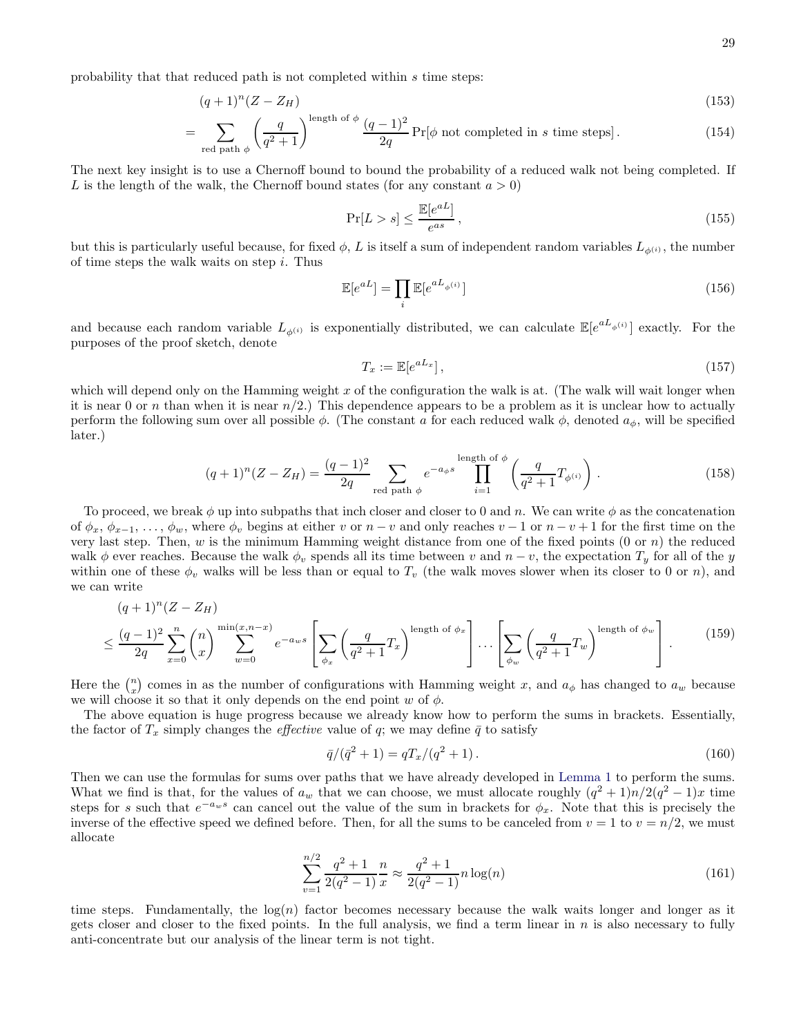probability that that reduced path is not completed within s time steps:

$$
(q+1)^n(Z-Z_H) \tag{153}
$$

$$
= \sum_{\text{red path } \phi} \left(\frac{q}{q^2 + 1}\right)^{\text{length of } \phi} \frac{(q-1)^2}{2q} \Pr[\phi \text{ not completed in } s \text{ time steps}]. \tag{154}
$$

The next key insight is to use a Chernoff bound to bound the probability of a reduced walk not being completed. If L is the length of the walk, the Chernoff bound states (for any constant  $a > 0$ )

$$
\Pr[L > s] \le \frac{\mathbb{E}[e^{aL}]}{e^{as}},\tag{155}
$$

but this is particularly useful because, for fixed  $\phi$ , L is itself a sum of independent random variables  $L_{\phi^{(i)}}$ , the number of time steps the walk waits on step  $i$ . Thus

$$
\mathbb{E}[e^{aL}] = \prod_i \mathbb{E}[e^{aL_{\phi^{(i)}}}]
$$
\n(156)

and because each random variable  $L_{\phi^{(i)}}$  is exponentially distributed, we can calculate  $\mathbb{E}[e^{aL_{\phi^{(i)}}}]$  exactly. For the purposes of the proof sketch, denote

$$
T_x := \mathbb{E}[e^{aL_x}],\tag{157}
$$

which will depend only on the Hamming weight  $x$  of the configuration the walk is at. (The walk will wait longer when it is near 0 or n than when it is near  $n/2$ .) This dependence appears to be a problem as it is unclear how to actually perform the following sum over all possible  $\phi$ . (The constant a for each reduced walk  $\phi$ , denoted  $a_{\phi}$ , will be specified later.)

$$
(q+1)^n (Z - Z_H) = \frac{(q-1)^2}{2q} \sum_{\text{red path } \phi} e^{-a_{\phi}s} \prod_{i=1}^{\text{length of } \phi} \left(\frac{q}{q^2+1} T_{\phi^{(i)}}\right). \tag{158}
$$

To proceed, we break  $\phi$  up into subpaths that inch closer and closer to 0 and n. We can write  $\phi$  as the concatenation of  $\phi_x, \phi_{x-1}, \ldots, \phi_w$ , where  $\phi_v$  begins at either v or  $n-v$  and only reaches  $v-1$  or  $n-v+1$  for the first time on the very last step. Then, w is the minimum Hamming weight distance from one of the fixed points  $(0 \text{ or } n)$  the reduced walk  $\phi$  ever reaches. Because the walk  $\phi_v$  spends all its time between v and  $n - v$ , the expectation  $T_y$  for all of the y within one of these  $\phi_v$  walks will be less than or equal to  $T_v$  (the walk moves slower when its closer to 0 or n), and we can write

$$
(q+1)^n (Z - Z_H)
$$
  
\n
$$
\leq \frac{(q-1)^2}{2q} \sum_{x=0}^n {n \choose x} \sum_{w=0}^{\min(x,n-x)} e^{-a_w s} \left[ \sum_{\phi_x} \left( \frac{q}{q^2+1} T_x \right)^{\text{length of } \phi_x} \right] \dots \left[ \sum_{\phi_w} \left( \frac{q}{q^2+1} T_w \right)^{\text{length of } \phi_w} \right].
$$
 (159)

Here the  $\binom{n}{x}$  comes in as the number of configurations with Hamming weight x, and  $a_{\phi}$  has changed to  $a_w$  because we will choose it so that it only depends on the end point w of  $\phi$ .

The above equation is huge progress because we already know how to perform the sums in brackets. Essentially, the factor of  $T_x$  simply changes the *effective* value of q; we may define  $\bar{q}$  to satisfy

$$
\bar{q}/(\bar{q}^2+1) = qT_x/(q^2+1). \tag{160}
$$

Then we can use the formulas for sums over paths that we have already developed in [Lemma 1](#page-15-0) to perform the sums. What we find is that, for the values of  $a_w$  that we can choose, we must allocate roughly  $(q^2 + 1)n/2(q^2 - 1)x$  time steps for s such that  $e^{-a_w s}$  can cancel out the value of the sum in brackets for  $\phi_x$ . Note that this is precisely the inverse of the effective speed we defined before. Then, for all the sums to be canceled from  $v = 1$  to  $v = n/2$ , we must allocate

$$
\sum_{v=1}^{n/2} \frac{q^2 + 1}{2(q^2 - 1)} \frac{n}{x} \approx \frac{q^2 + 1}{2(q^2 - 1)} n \log(n)
$$
\n(161)

time steps. Fundamentally, the  $log(n)$  factor becomes necessary because the walk waits longer and longer as it gets closer and closer to the fixed points. In the full analysis, we find a term linear in  $n$  is also necessary to fully anti-concentrate but our analysis of the linear term is not tight.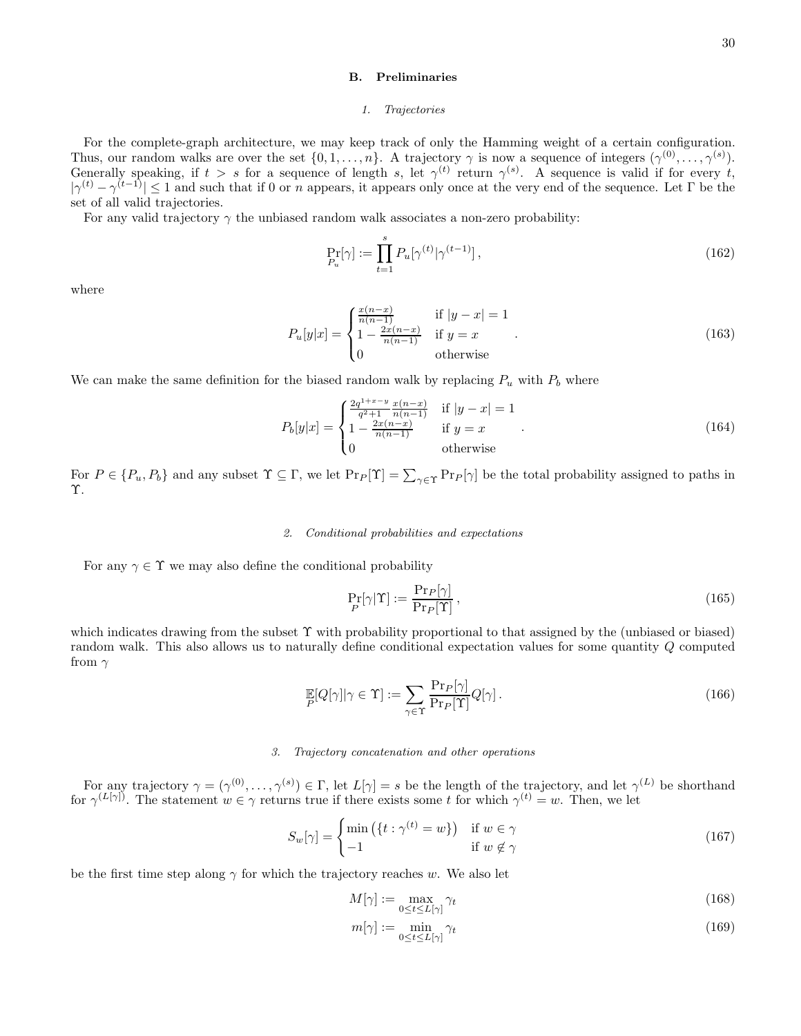## B. Preliminaries

#### 1. Trajectories

For the complete-graph architecture, we may keep track of only the Hamming weight of a certain configuration. Thus, our random walks are over the set  $\{0, 1, \ldots, n\}$ . A trajectory  $\gamma$  is now a sequence of integers  $(\gamma^{(0)}, \ldots, \gamma^{(s)})$ . Generally speaking, if  $t > s$  for a sequence of length s, let  $\gamma^{(t)}$  return  $\gamma^{(s)}$ . A sequence is valid if for every t,  $|\gamma^{(t)} - \gamma^{(t-1)}| \leq 1$  and such that if 0 or n appears, it appears only once at the very end of the sequence. Let  $\Gamma$  be the set of all valid trajectories.

For any valid trajectory  $\gamma$  the unbiased random walk associates a non-zero probability:

$$
\Pr_{P_u}[\gamma] := \prod_{t=1}^s P_u[\gamma^{(t)} | \gamma^{(t-1)}],\tag{162}
$$

where

$$
P_u[y|x] = \begin{cases} \frac{x(n-x)}{n(n-1)} & \text{if } |y-x| = 1\\ 1 - \frac{2x(n-x)}{n(n-1)} & \text{if } y = x\\ 0 & \text{otherwise} \end{cases}
$$
 (163)

We can make the same definition for the biased random walk by replacing  $P_u$  with  $P_b$  where

$$
P_b[y|x] = \begin{cases} \frac{2q^{1+x-y}}{q^2+1} \frac{x(n-x)}{n(n-1)} & \text{if } |y-x| = 1\\ 1 - \frac{2x(n-x)}{n(n-1)} & \text{if } y = x\\ 0 & \text{otherwise} \end{cases} \tag{164}
$$

For  $P \in \{P_u, P_b\}$  and any subset  $\Upsilon \subseteq \Gamma$ , we let  $\Pr_P[\Upsilon] = \sum_{\gamma \in \Upsilon} \Pr[\gamma]$  be the total probability assigned to paths in Υ.

### 2. Conditional probabilities and expectations

For any  $\gamma \in \Upsilon$  we may also define the conditional probability

$$
\Pr_{P}[\gamma|\Upsilon] := \frac{\Pr_{P}[\gamma]}{\Pr_{P}[\Upsilon]},\tag{165}
$$

which indicates drawing from the subset Υ with probability proportional to that assigned by the (unbiased or biased) random walk. This also allows us to naturally define conditional expectation values for some quantity Q computed from  $\gamma$ 

$$
\mathbb{E}[Q[\gamma]|\gamma \in \Upsilon] := \sum_{\gamma \in \Upsilon} \frac{\Pr_P[\gamma]}{\Pr_P[\Upsilon]} Q[\gamma]. \tag{166}
$$

### 3. Trajectory concatenation and other operations

For any trajectory  $\gamma = (\gamma^{(0)}, \ldots, \gamma^{(s)}) \in \Gamma$ , let  $L[\gamma] = s$  be the length of the trajectory, and let  $\gamma^{(L)}$  be shorthand for  $\gamma^{(L[\gamma])}$ . The statement  $w \in \gamma$  returns true if there exists some t for which  $\gamma^{(t)} = w$ . Then, we let

$$
S_w[\gamma] = \begin{cases} \min\left(\{t : \gamma^{(t)} = w\}\right) & \text{if } w \in \gamma\\ -1 & \text{if } w \notin \gamma \end{cases}
$$
 (167)

be the first time step along  $\gamma$  for which the trajectory reaches w. We also let

$$
M[\gamma] := \max_{0 \le t \le L[\gamma]} \gamma_t \tag{168}
$$

$$
m[\gamma] := \min_{0 \le t \le L[\gamma]} \gamma_t \tag{169}
$$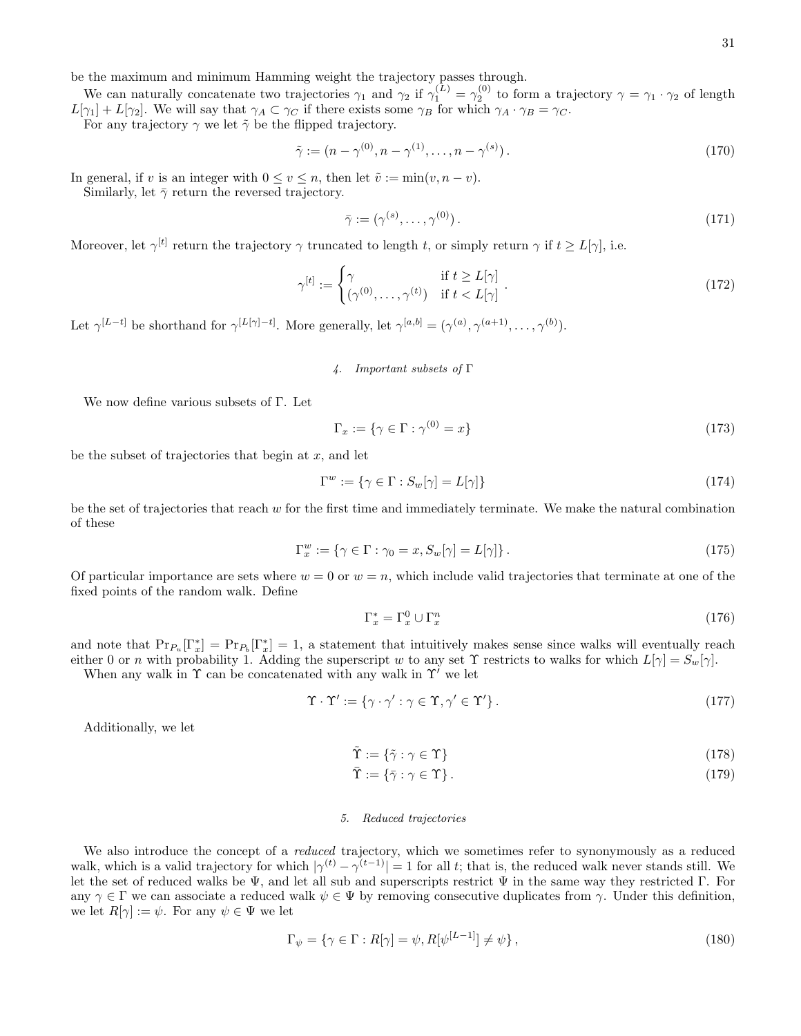We can naturally concatenate two trajectories  $\gamma_1$  and  $\gamma_2$  if  $\gamma_1^{(L)} = \gamma_2^{(0)}$  to form a trajectory  $\gamma = \gamma_1 \cdot \gamma_2$  of length  $L[\gamma_1] + L[\gamma_2]$ . We will say that  $\gamma_A \subset \gamma_C$  if there exists some  $\gamma_B$  for which  $\gamma_A \cdot \gamma_B = \gamma_C$ .

For any trajectory  $\gamma$  we let  $\tilde{\gamma}$  be the flipped trajectory.

$$
\tilde{\gamma} := (n - \gamma^{(0)}, n - \gamma^{(1)}, \dots, n - \gamma^{(s)}).
$$
\n(170)

In general, if v is an integer with  $0 \le v \le n$ , then let  $\tilde{v} := \min(v, n - v)$ .

Similarly, let  $\bar{\gamma}$  return the reversed trajectory.

$$
\bar{\gamma} := (\gamma^{(s)}, \dots, \gamma^{(0)}). \tag{171}
$$

Moreover, let  $\gamma^{[t]}$  return the trajectory  $\gamma$  truncated to length t, or simply return  $\gamma$  if  $t \ge L[\gamma]$ , i.e.

$$
\gamma^{[t]} := \begin{cases} \gamma & \text{if } t \ge L[\gamma] \\ (\gamma^{(0)}, \dots, \gamma^{(t)}) & \text{if } t < L[\gamma] \end{cases} . \tag{172}
$$

Let  $\gamma^{[L-t]}$  be shorthand for  $\gamma^{[L[\gamma]-t]}$ . More generally, let  $\gamma^{[a,b]} = (\gamma^{(a)}, \gamma^{(a+1)}, \dots, \gamma^{(b)})$ .

4. Important subsets of Γ

We now define various subsets of Γ. Let

$$
\Gamma_x := \{ \gamma \in \Gamma : \gamma^{(0)} = x \} \tag{173}
$$

be the subset of trajectories that begin at  $x$ , and let

$$
\Gamma^w := \{ \gamma \in \Gamma : S_w[\gamma] = L[\gamma] \}
$$
\n(174)

be the set of trajectories that reach w for the first time and immediately terminate. We make the natural combination of these

$$
\Gamma_x^w := \{ \gamma \in \Gamma : \gamma_0 = x, S_w[\gamma] = L[\gamma] \}.
$$
\n(175)

Of particular importance are sets where  $w = 0$  or  $w = n$ , which include valid trajectories that terminate at one of the fixed points of the random walk. Define

$$
\Gamma_x^* = \Gamma_x^0 \cup \Gamma_x^n \tag{176}
$$

and note that  $Pr_{P_u}[\Gamma_x^*] = Pr_{P_b}[\Gamma_x^*] = 1$ , a statement that intuitively makes sense since walks will eventually reach either 0 or n with probability 1. Adding the superscript w to any set  $\Upsilon$  restricts to walks for which  $L[\gamma] = S_w[\gamma]$ .

When any walk in  $\Upsilon$  can be concatenated with any walk in  $\Upsilon'$  we let

$$
\Upsilon \cdot \Upsilon' := \{ \gamma \cdot \gamma' : \gamma \in \Upsilon, \gamma' \in \Upsilon' \}.
$$
\n(177)

Additionally, we let

$$
\tilde{\Upsilon} := \{ \tilde{\gamma} : \gamma \in \Upsilon \} \tag{178}
$$

$$
\bar{\Upsilon} := \{ \bar{\gamma} : \gamma \in \Upsilon \} \,. \tag{179}
$$

## 5. Reduced trajectories

We also introduce the concept of a *reduced* trajectory, which we sometimes refer to synonymously as a reduced walk, which is a valid trajectory for which  $|\gamma^{(t)} - \gamma^{(t-1)}| = 1$  for all t; that is, the reduced walk never stands still. We let the set of reduced walks be  $\Psi$ , and let all sub and superscripts restrict  $\Psi$  in the same way they restricted Γ. For any  $\gamma \in \Gamma$  we can associate a reduced walk  $\psi \in \Psi$  by removing consecutive duplicates from  $\gamma$ . Under this definition, we let  $R[\gamma] := \psi$ . For any  $\psi \in \Psi$  we let

$$
\Gamma_{\psi} = \{ \gamma \in \Gamma : R[\gamma] = \psi, R[\psi^{[L-1]}] \neq \psi \},\tag{180}
$$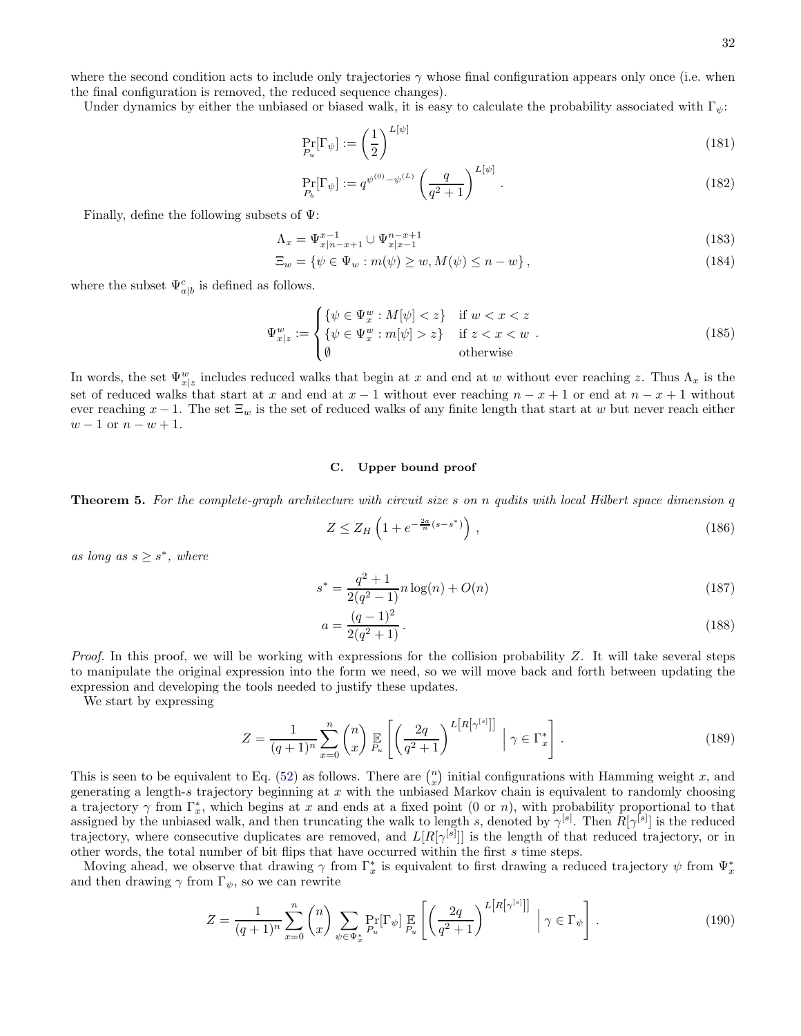where the second condition acts to include only trajectories  $\gamma$  whose final configuration appears only once (i.e. when the final configuration is removed, the reduced sequence changes).

Under dynamics by either the unbiased or biased walk, it is easy to calculate the probability associated with  $\Gamma_{\psi}$ :

$$
\Pr_{P_u}[\Gamma_\psi] := \left(\frac{1}{2}\right)^{L[\psi]}
$$
\n(181)

<span id="page-31-2"></span><span id="page-31-1"></span>
$$
\Pr_{P_b}[\Gamma_{\psi}] := q^{\psi^{(0)} - \psi^{(L)}} \left(\frac{q}{q^2 + 1}\right)^{L[\psi]}.
$$
\n(182)

Finally, define the following subsets of  $\Psi$ :

$$
\Lambda_x = \Psi_{x|n-x+1}^{x-1} \cup \Psi_{x|x-1}^{n-x+1}
$$
\n(183)

$$
\Xi_w = \{ \psi \in \Psi_w : m(\psi) \ge w, M(\psi) \le n - w \},\tag{184}
$$

where the subset  $\Psi_{a|b}^c$  is defined as follows.

$$
\Psi_{x|z}^{w} := \begin{cases}\n\{\psi \in \Psi_x^w : M[\psi] < z\} & \text{if } w < x < z \\
\{\psi \in \Psi_x^w : m[\psi] > z\} & \text{if } z < x < w \\
\emptyset & \text{otherwise}\n\end{cases} \tag{185}
$$

In words, the set  $\Psi_{x|z}^w$  includes reduced walks that begin at x and end at w without ever reaching z. Thus  $\Lambda_x$  is the set of reduced walks that start at x and end at  $x - 1$  without ever reaching  $n - x + 1$  or end at  $n - x + 1$  without ever reaching  $x - 1$ . The set  $\Xi_w$  is the set of reduced walks of any finite length that start at w but never reach either  $w - 1$  or  $n - w + 1$ .

## C. Upper bound proof

<span id="page-31-0"></span>**Theorem 5.** For the complete-graph architecture with circuit size s on n qudits with local Hilbert space dimension q

$$
Z \le Z_H \left( 1 + e^{-\frac{2a}{n}(s - s^*)} \right),\tag{186}
$$

as long as  $s \geq s^*$ , where

$$
s^* = \frac{q^2 + 1}{2(q^2 - 1)} n \log(n) + O(n)
$$
\n(187)

$$
a = \frac{(q-1)^2}{2(q^2+1)}.
$$
\n(188)

*Proof.* In this proof, we will be working with expressions for the collision probability  $Z$ . It will take several steps to manipulate the original expression into the form we need, so we will move back and forth between updating the expression and developing the tools needed to justify these updates.

We start by expressing

$$
Z = \frac{1}{(q+1)^n} \sum_{x=0}^n \binom{n}{x} \mathbb{E}\left[\left(\frac{2q}{q^2+1}\right)^{L\left[R\left[\gamma^{[s]}\right]\right]} \; \middle| \; \gamma \in \Gamma_x^*\right].\tag{189}
$$

This is seen to be equivalent to Eq. [\(52\)](#page-14-0) as follows. There are  $\binom{n}{x}$  initial configurations with Hamming weight x, and generating a length-s trajectory beginning at  $x$  with the unbiased Markov chain is equivalent to randomly choosing a trajectory  $\gamma$  from  $\Gamma_x^*$ , which begins at x and ends at a fixed point (0 or n), with probability proportional to that assigned by the unbiased walk, and then truncating the walk to length s, denoted by  $\gamma^{[s]}$ . Then  $R[\gamma^{[s]}]$  is the reduced trajectory, where consecutive duplicates are removed, and  $L[R[\gamma^{[s]}]]$  is the length of that reduced trajectory, or in other words, the total number of bit flips that have occurred within the first s time steps.

Moving ahead, we observe that drawing  $\gamma$  from  $\Gamma_x^*$  is equivalent to first drawing a reduced trajectory  $\psi$  from  $\Psi_x^*$ and then drawing  $\gamma$  from  $\Gamma_{\psi}$ , so we can rewrite

$$
Z = \frac{1}{(q+1)^n} \sum_{x=0}^n \binom{n}{x} \sum_{\psi \in \Psi_x^*} \Pr_{P_u}[\Gamma_{\psi}] \mathop{\mathbb{E}}_{P_u} \left[ \left( \frac{2q}{q^2+1} \right)^{L[R[\gamma^{[s]}]]} \middle| \gamma \in \Gamma_{\psi} \right]. \tag{190}
$$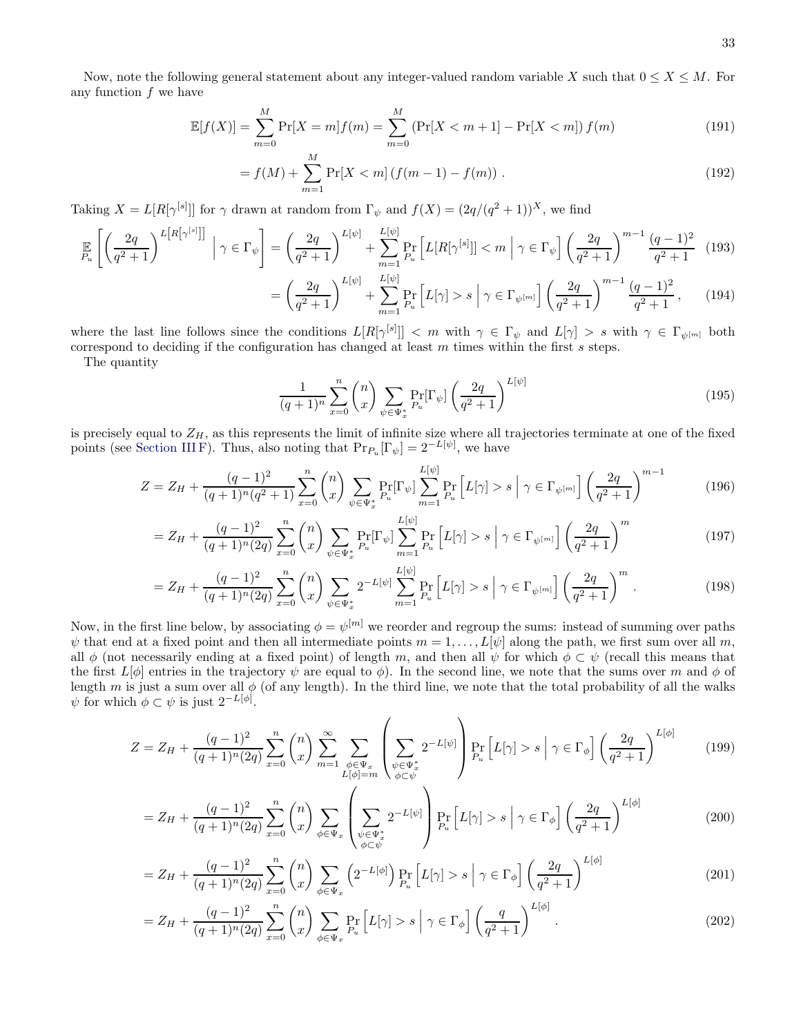$$
\mathbb{E}[f(X)] = \sum_{m=0}^{M} \Pr[X=m]f(m) = \sum_{m=0}^{M} \left( \Pr[X < m+1] - \Pr[X < m] \right) f(m)
$$
\n(191)

$$
= f(M) + \sum_{m=1}^{M} \Pr[X < m] \left( f(m-1) - f(m) \right) \,. \tag{192}
$$

Taking  $X = L[R[\gamma^{[s]}]]$  for  $\gamma$  drawn at random from  $\Gamma_{\psi}$  and  $f(X) = (2q/(q^2+1))^X$ , we find

$$
\mathbb{E}\left[\left(\frac{2q}{q^2+1}\right)^{L[R\left[\gamma^{[s]}\right]}\Big|\ \gamma\in\Gamma_{\psi}\right] = \left(\frac{2q}{q^2+1}\right)^{L[\psi]} + \sum_{m=1}^{L[\psi]} \Pr_{P_u}\left[L[R[\gamma^{[s]}]] < m\ \Big|\ \gamma\in\Gamma_{\psi}\right] \left(\frac{2q}{q^2+1}\right)^{m-1} \frac{(q-1)^2}{q^2+1} \tag{193}
$$
\n
$$
= \left(\frac{2q}{q^2+1}\right)^{L[\psi]} + \sum_{m=1}^{L[\psi]} \Pr_{P_u}\left[L[\gamma] > s\ \Big|\ \gamma\in\Gamma_{\psi^{[m]}}\right] \left(\frac{2q}{q^2+1}\right)^{m-1} \frac{(q-1)^2}{q^2+1}, \tag{194}
$$

where the last line follows since the conditions  $L[R[\gamma^{[s]}]] < m$  with  $\gamma \in \Gamma_{\psi}$  and  $L[\gamma] > s$  with  $\gamma \in \Gamma_{\psi^{[m]}}$  both correspond to deciding if the configuration has changed at least  $m$  times within the first  $s$  steps.

The quantity

$$
\frac{1}{(q+1)^n} \sum_{x=0}^n \binom{n}{x} \sum_{\psi \in \Psi_x^*} \Pr_{P_u}[\Gamma_\psi] \left(\frac{2q}{q^2+1}\right)^{L[\psi]}
$$
\n
$$
(195)
$$

is precisely equal to  $Z_H$ , as this represents the limit of infinite size where all trajectories terminate at one of the fixed points (see [Section III F\)](#page-16-2). Thus, also noting that  $Pr_{P_u}[\Gamma_{\psi}] = 2^{-L[\psi]}$ , we have

$$
Z = Z_H + \frac{(q-1)^2}{(q+1)^n (q^2+1)} \sum_{x=0}^n {n \choose x} \sum_{\psi \in \Psi_x^*} \Pr_{P_u}[\Gamma_{\psi}] \sum_{m=1}^{L[\psi]} \Pr_{P_u} [L[\gamma] > s \mid \gamma \in \Gamma_{\psi^{[m]}}] \left(\frac{2q}{q^2+1}\right)^{m-1} \tag{196}
$$

$$
=Z_H + \frac{(q-1)^2}{(q+1)^n(2q)} \sum_{x=0}^n \binom{n}{x} \sum_{\psi \in \Psi_x^*} \Pr_{P_u}[\Gamma_{\psi}] \sum_{m=1}^{L[\psi]} \Pr_{P_u} \left[ L[\gamma] > s \; \middle| \; \gamma \in \Gamma_{\psi}[m] \right] \left( \frac{2q}{q^2+1} \right)^m \tag{197}
$$

$$
=Z_H + \frac{(q-1)^2}{(q+1)^n(2q)} \sum_{x=0}^n \binom{n}{x} \sum_{\psi \in \Psi_x^*} 2^{-L[\psi]} \sum_{m=1}^{L[\psi]} \Pr_{P_u} \left[ L[\gamma] > s \; \middle| \; \gamma \in \Gamma_{\psi^{[m]}} \right] \left( \frac{2q}{q^2+1} \right)^m. \tag{198}
$$

Now, in the first line below, by associating  $\phi = \psi^{[m]}$  we reorder and regroup the sums: instead of summing over paths  $\psi$  that end at a fixed point and then all intermediate points  $m = 1, \ldots, L[\psi]$  along the path, we first sum over all m, all  $\phi$  (not necessarily ending at a fixed point) of length m, and then all  $\psi$  for which  $\phi \subset \psi$  (recall this means that the first  $L[\phi]$  entries in the trajectory  $\psi$  are equal to  $\phi$ ). In the second line, we note that the sums over m and  $\phi$  of length m is just a sum over all  $\phi$  (of any length). In the third line, we note that the total probability of all the walks  $\psi$  for which  $\phi \subset \psi$  is just  $2^{-L[\phi]}$ .

$$
Z = Z_H + \frac{(q-1)^2}{(q+1)^n (2q)} \sum_{x=0}^n {n \choose x} \sum_{m=1}^\infty \sum_{\substack{\phi \in \Psi_x \\ L[\phi] = m}} \left( \sum_{\substack{\psi \in \Psi_x^* \\ \phi \subset \psi}} 2^{-L[\psi]} \right) \Pr_{P_u} \left[ L[\gamma] > s \middle| \gamma \in \Gamma_\phi \right] \left( \frac{2q}{q^2+1} \right)^{L[\phi]} \tag{199}
$$

$$
=Z_H+\frac{(q-1)^2}{(q+1)^n(2q)}\sum_{x=0}^n\binom{n}{x}\sum_{\phi\in\Psi_x}\left(\sum_{\substack{\psi\in\Psi_x^*\\ \phi\subset\psi}}2^{-L[\psi]}\right)\Pr_{P_u}\left[L[\gamma]>s\;\middle|\;\gamma\in\Gamma_\phi\right]\left(\frac{2q}{q^2+1}\right)^{L[\phi]} \tag{200}
$$

$$
=Z_H+\frac{(q-1)^2}{(q+1)^n(2q)}\sum_{x=0}^n\binom{n}{x}\sum_{\phi\in\Psi_x}\left(2^{-L[\phi]}\right)\Pr_{P_u}\left[L[\gamma]>s\bigg|\gamma\in\Gamma_\phi\right]\left(\frac{2q}{q^2+1}\right)^{L[\phi]}
$$
\n
$$
(201)
$$

$$
=Z_H+\frac{(q-1)^2}{(q+1)^n(2q)}\sum_{x=0}^n\binom{n}{x}\sum_{\phi\in\Psi_x}\Pr_{P_u}\left[L[\gamma]>s\;\middle|\;\gamma\in\Gamma_\phi\right]\left(\frac{q}{q^2+1}\right)^{L[\phi]}.\tag{202}
$$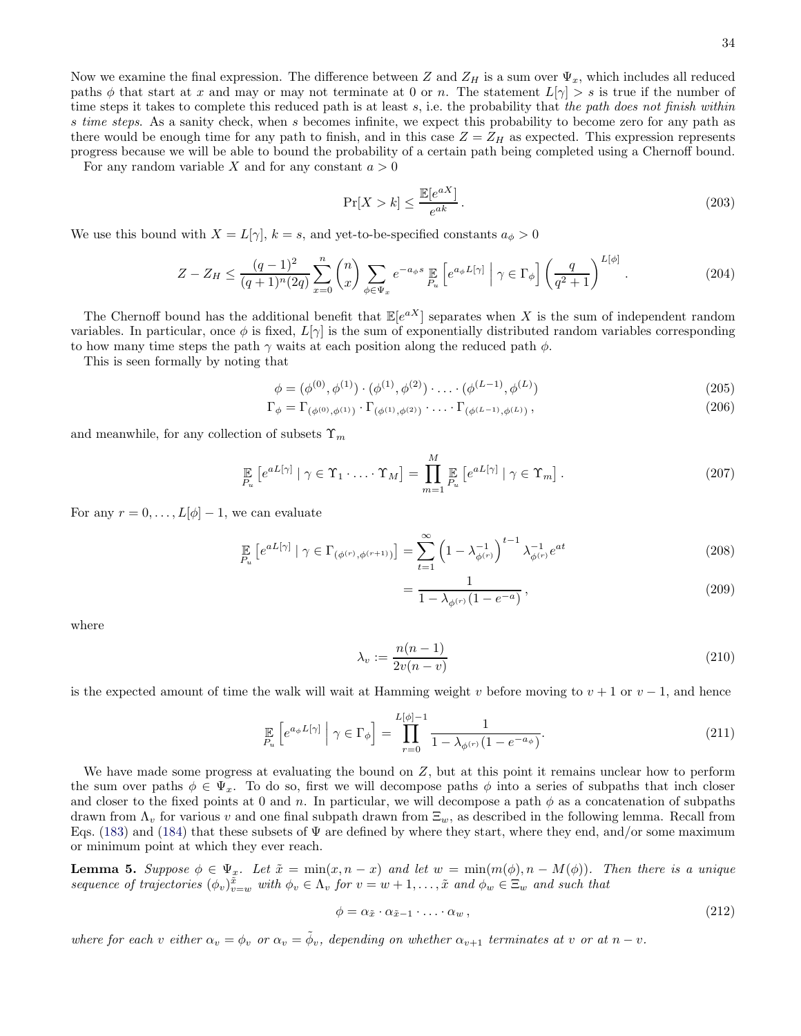Now we examine the final expression. The difference between Z and  $Z_H$  is a sum over  $\Psi_x$ , which includes all reduced paths  $\phi$  that start at x and may or may not terminate at 0 or n. The statement  $L[\gamma] > s$  is true if the number of time steps it takes to complete this reduced path is at least  $s$ , i.e. the probability that the path does not finish within s time steps. As a sanity check, when s becomes infinite, we expect this probability to become zero for any path as there would be enough time for any path to finish, and in this case  $Z = Z_H$  as expected. This expression represents progress because we will be able to bound the probability of a certain path being completed using a Chernoff bound.

For any random variable X and for any constant  $a > 0$ 

$$
\Pr[X > k] \le \frac{\mathbb{E}[e^{aX}]}{e^{ak}}.\tag{203}
$$

We use this bound with  $X = L[\gamma], k = s$ , and yet-to-be-specified constants  $a_{\phi} > 0$ 

$$
Z - Z_H \le \frac{(q-1)^2}{(q+1)^n (2q)} \sum_{x=0}^n \binom{n}{x} \sum_{\phi \in \Psi_x} e^{-a_\phi s} \mathbb{E}_{P_u} \left[ e^{a_\phi L[\gamma]} \middle| \gamma \in \Gamma_\phi \right] \left( \frac{q}{q^2+1} \right)^{L[\phi]} . \tag{204}
$$

The Chernoff bound has the additional benefit that  $\mathbb{E}[e^{aX}]$  separates when X is the sum of independent random variables. In particular, once  $\phi$  is fixed,  $L[\gamma]$  is the sum of exponentially distributed random variables corresponding to how many time steps the path  $\gamma$  waits at each position along the reduced path  $\phi$ .

This is seen formally by noting that

$$
\phi = (\phi^{(0)}, \phi^{(1)}) \cdot (\phi^{(1)}, \phi^{(2)}) \cdot \ldots \cdot (\phi^{(L-1)}, \phi^{(L)})
$$
\n(205)

$$
\Gamma_{\phi} = \Gamma_{(\phi^{(0)}, \phi^{(1)})} \cdot \Gamma_{(\phi^{(1)}, \phi^{(2)})} \cdot \ldots \cdot \Gamma_{(\phi^{(L-1)}, \phi^{(L)})},
$$
\n(206)

and meanwhile, for any collection of subsets  $\Upsilon_m$ 

$$
\mathbb{E}_{P_u} \left[ e^{aL[\gamma]} \mid \gamma \in \Upsilon_1 \cdot \ldots \cdot \Upsilon_M \right] = \prod_{m=1}^M \mathbb{E}_{P_u} \left[ e^{aL[\gamma]} \mid \gamma \in \Upsilon_m \right]. \tag{207}
$$

For any  $r = 0, \ldots, L[\phi] - 1$ , we can evaluate

$$
\mathbb{E}_{P_u} \left[ e^{aL[\gamma]} \mid \gamma \in \Gamma_{(\phi^{(r)}, \phi^{(r+1)})} \right] = \sum_{t=1}^{\infty} \left( 1 - \lambda_{\phi^{(r)}}^{-1} \right)^{t-1} \lambda_{\phi^{(r)}}^{-1} e^{at}
$$
\n(208)

$$
=\frac{1}{1-\lambda_{\phi^{(r)}}(1-e^{-a})},\tag{209}
$$

where

$$
\lambda_v := \frac{n(n-1)}{2v(n-v)}\tag{210}
$$

is the expected amount of time the walk will wait at Hamming weight v before moving to  $v + 1$  or  $v - 1$ , and hence

$$
\mathop{\mathbb{E}}_{P_u} \left[ e^{a_\phi L[\gamma]} \middle| \gamma \in \Gamma_\phi \right] = \prod_{r=0}^{L[\phi]-1} \frac{1}{1 - \lambda_{\phi^{(r)}} (1 - e^{-a_\phi})}. \tag{211}
$$

We have made some progress at evaluating the bound on Z, but at this point it remains unclear how to perform the sum over paths  $\phi \in \Psi_x$ . To do so, first we will decompose paths  $\phi$  into a series of subpaths that inch closer and closer to the fixed points at 0 and n. In particular, we will decompose a path  $\phi$  as a concatenation of subpaths drawn from  $\Lambda_v$  for various v and one final subpath drawn from  $\Xi_w$ , as described in the following lemma. Recall from Eqs. [\(183\)](#page-31-1) and [\(184\)](#page-31-2) that these subsets of  $\Psi$  are defined by where they start, where they end, and/or some maximum or minimum point at which they ever reach.

**Lemma 5.** Suppose  $\phi \in \Psi_x$ . Let  $\tilde{x} = \min(x, n - x)$  and let  $w = \min(m(\phi), n - M(\phi))$ . Then there is a unique sequence of trajectories  $(\phi_v)_{v=w}^{\tilde{x}}$  with  $\phi_v \in \Lambda_v$  for  $v = w + 1, \ldots, \tilde{x}$  and  $\phi_w \in \Xi_w$  and such that

$$
\phi = \alpha_{\tilde{x}} \cdot \alpha_{\tilde{x}-1} \cdot \ldots \cdot \alpha_w , \qquad (212)
$$

where for each v either  $\alpha_v = \phi_v$  or  $\alpha_v = \tilde{\phi}_v$ , depending on whether  $\alpha_{v+1}$  terminates at v or at  $n-v$ .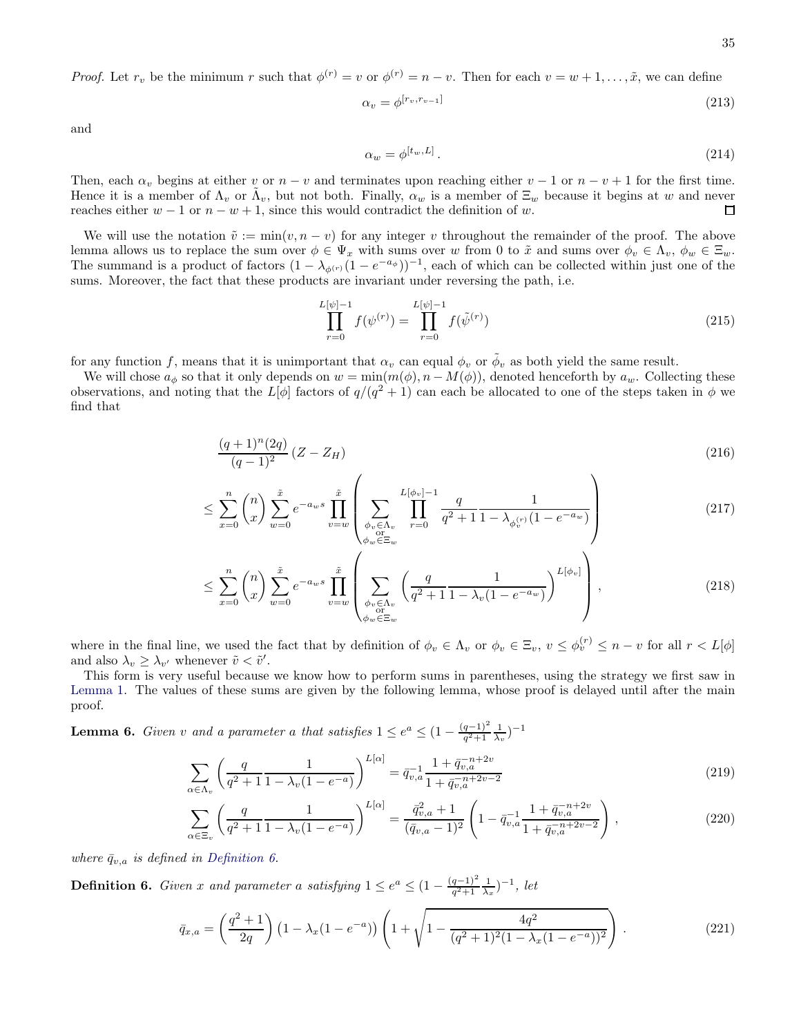*Proof.* Let  $r_v$  be the minimum r such that  $\phi^{(r)} = v$  or  $\phi^{(r)} = n - v$ . Then for each  $v = w + 1, \ldots, \tilde{x}$ , we can define

$$
\alpha_v = \phi^{[r_v, r_{v-1}]}\tag{213}
$$

and

$$
\alpha_w = \phi^{[t_w, L]} \,. \tag{214}
$$

Then, each  $\alpha_v$  begins at either v or  $n - v$  and terminates upon reaching either  $v - 1$  or  $n - v + 1$  for the first time. Hence it is a member of  $\Lambda_v$  or  $\tilde{\Lambda}_v$ , but not both. Finally,  $\alpha_w$  is a member of  $\Xi_w$  because it begins at w and never reaches either  $w - 1$  or  $n - w + 1$ , since this would contradict the definition of w.

We will use the notation  $\tilde{v} := \min(v, n - v)$  for any integer v throughout the remainder of the proof. The above lemma allows us to replace the sum over  $\phi \in \Psi_x$  with sums over w from 0 to  $\tilde{x}$  and sums over  $\phi_v \in \Lambda_v$ ,  $\phi_w \in \Xi_w$ . The summand is a product of factors  $(1 - \lambda_{\phi^{(r)}}(1 - e^{-a_{\phi}}))^{-1}$ , each of which can be collected within just one of the sums. Moreover, the fact that these products are invariant under reversing the path, i.e.

$$
\prod_{r=0}^{L[\psi]-1} f(\psi^{(r)}) = \prod_{r=0}^{L[\psi]-1} f(\tilde{\psi}^{(r)})
$$
\n(215)

for any function f, means that it is unimportant that  $\alpha_v$  can equal  $\phi_v$  or  $\tilde{\phi}_v$  as both yield the same result.

We will chose  $a_{\phi}$  so that it only depends on  $w = \min(m(\phi), n - M(\phi))$ , denoted henceforth by  $a_w$ . Collecting these observations, and noting that the  $L[\phi]$  factors of  $q/(q^2+1)$  can each be allocated to one of the steps taken in  $\phi$  we find that

$$
\frac{(q+1)^n (2q)}{(q-1)^2} (Z - Z_H)
$$
\n(216)

$$
\leq \sum_{x=0}^{n} {n \choose x} \sum_{w=0}^{\tilde{x}} e^{-a_w s} \prod_{v=w}^{\tilde{x}} \left( \sum_{\substack{\phi_v \in \Lambda_v \\ \phi_w \subset \Xi_w}} \prod_{r=0}^{L[\phi_v]-1} \frac{q}{q^2 + 1} \frac{1}{1 - \lambda_{\phi_v^{(r)}} (1 - e^{-a_w})} \right) \tag{217}
$$

$$
\leq \sum_{x=0}^{n} \binom{n}{x} \sum_{w=0}^{\tilde{x}} e^{-a_w s} \prod_{v=w}^{\tilde{x}} \left( \sum_{\substack{\phi_v \in \Lambda_v \\ \phi_w \in \Xi_w}} \left( \frac{q}{q^2 + 1} \frac{1}{1 - \lambda_v (1 - e^{-a_w})} \right)^{L[\phi_v]} \right), \tag{218}
$$

where in the final line, we used the fact that by definition of  $\phi_v \in \Lambda_v$  or  $\phi_v \in \Xi_v$ ,  $v \leq \phi_v^{(r)} \leq n - v$  for all  $r < L[\phi]$ and also  $\lambda_v \geq \lambda_{v'}$  whenever  $\tilde{v} < \tilde{v}'$ .

This form is very useful because we know how to perform sums in parentheses, using the strategy we first saw in [Lemma 1.](#page-15-0) The values of these sums are given by the following lemma, whose proof is delayed until after the main proof.

<span id="page-34-1"></span>**Lemma 6.** Given v and a parameter a that satisfies  $1 \leq e^a \leq (1 - \frac{(q-1)^2}{q^2+1})$  $\frac{(q-1)^2}{q^2+1} \frac{1}{\lambda_v}$ )<sup>-1</sup>

$$
\sum_{\alpha \in \Lambda_v} \left( \frac{q}{q^2 + 1} \frac{1}{1 - \lambda_v (1 - e^{-a})} \right)^{L[\alpha]} = \bar{q}_{v,a}^{-1} \frac{1 + \bar{q}_{v,a}^{-n+2v}}{1 + \bar{q}_{v,a}^{-n+2v-2}} \tag{219}
$$

$$
\sum_{x \in \Xi_v} \left( \frac{q}{q^2 + 1} \frac{1}{1 - \lambda_v (1 - e^{-a})} \right)^{L[\alpha]} = \frac{\bar{q}_{v,a}^2 + 1}{(\bar{q}_{v,a} - 1)^2} \left( 1 - \bar{q}_{v,a}^{-1} \frac{1 + \bar{q}_{v,a}^{-n+2v}}{1 + \bar{q}_{v,a}^{-n+2v-2}} \right),\tag{220}
$$

where  $\bar{q}_{v,a}$  is defined in [Definition 6.](#page-34-0)

α∈Ξ<sup>v</sup>

<span id="page-34-0"></span>**Definition 6.** Given x and parameter a satisfying  $1 \leq e^a \leq (1 - \frac{(q-1)^2}{q^2+1})$  $\frac{(q-1)^2}{q^2+1} \frac{1}{\lambda_x}$  $^{-1}$ , let

$$
\bar{q}_{x,a} = \left(\frac{q^2+1}{2q}\right) \left(1 - \lambda_x(1-e^{-a})\right) \left(1 + \sqrt{1 - \frac{4q^2}{(q^2+1)^2(1-\lambda_x(1-e^{-a}))^2}}\right). \tag{221}
$$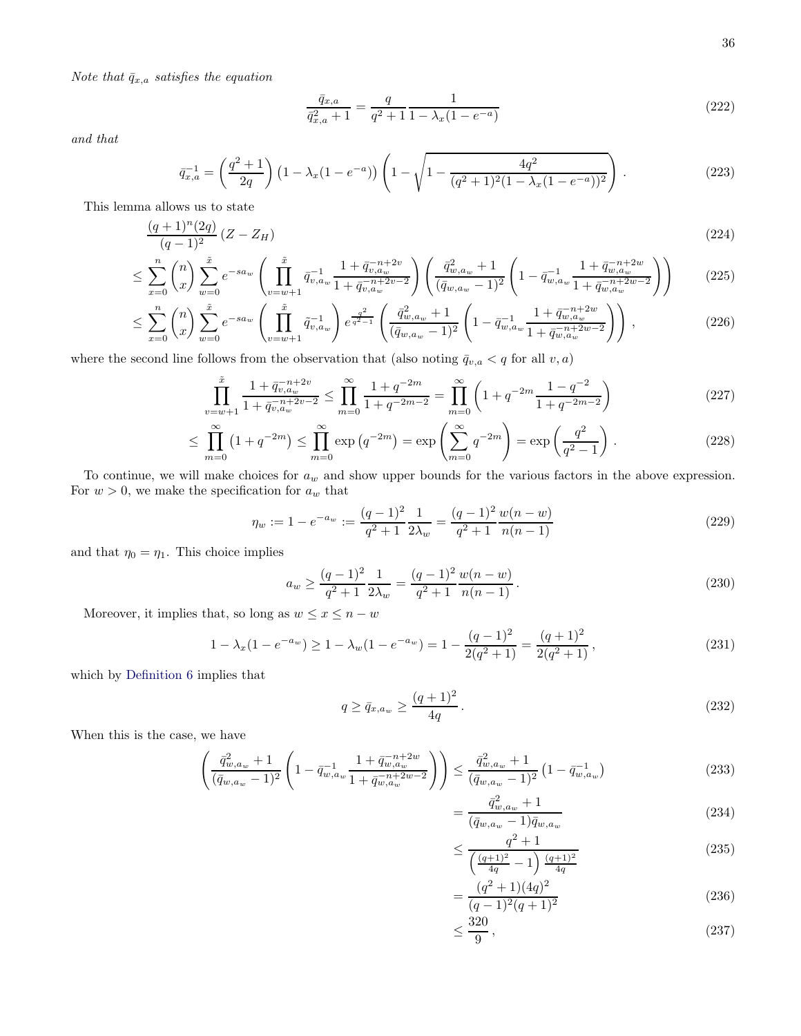Note that  $\bar{q}_{x,a}$  satisfies the equation

<span id="page-35-0"></span>
$$
\frac{\bar{q}_{x,a}}{\bar{q}_{x,a}^2 + 1} = \frac{q}{q^2 + 1} \frac{1}{1 - \lambda_x (1 - e^{-a})}
$$
\n(222)

and that

$$
\bar{q}_{x,a}^{-1} = \left(\frac{q^2+1}{2q}\right) \left(1 - \lambda_x(1 - e^{-a})\right) \left(1 - \sqrt{1 - \frac{4q^2}{(q^2+1)^2(1-\lambda_x(1-e^{-a}))^2}}\right). \tag{223}
$$

This lemma allows us to state

$$
\frac{(q+1)^n(2q)}{(q-1)^2}(Z - Z_H) \tag{224}
$$

$$
\leq \sum_{x=0}^{n} \binom{n}{x} \sum_{w=0}^{\tilde{x}} e^{-sa_w} \left( \prod_{v=w+1}^{\tilde{x}} \bar{q}_{v,a_w}^{-1} \frac{1 + \bar{q}_{v,a_w}^{-n+2v}}{1 + \bar{q}_{v,a_w}^{-n+2v-2}} \right) \left( \frac{\bar{q}_{w,a_w}^2 + 1}{(\bar{q}_{w,a_w} - 1)^2} \left( 1 - \bar{q}_{w,a_w}^{-1} \frac{1 + \bar{q}_{w,a_w}^{-n+2w}}{1 + \bar{q}_{w,a_w}^{-n+2w-2}} \right) \right) \tag{225}
$$

$$
\leq \sum_{x=0}^{n} \binom{n}{x} \sum_{w=0}^{\tilde{x}} e^{-sa_w} \left( \prod_{v=w+1}^{\tilde{x}} \tilde{q}_{v,a_w}^{-1} \right) e^{\frac{q^2}{q^2-1}} \left( \frac{\bar{q}_{w,a_w}^2 + 1}{(\bar{q}_{w,a_w} - 1)^2} \left( 1 - \bar{q}_{w,a_w}^{-1} \frac{1 + \bar{q}_{w,a_w}^{-n+2w}}{1 + \bar{q}_{w,a_w}^{-n+2w-2}} \right) \right),\tag{226}
$$

where the second line follows from the observation that (also noting  $\bar{q}_{v,a} < q$  for all  $v, a$ )

$$
\prod_{v=w+1}^{\tilde{x}} \frac{1+\bar{q}_{v,a_w}^{-n+2v}}{1+\bar{q}_{v,a_w}^{-n+2v-2}} \le \prod_{m=0}^{\infty} \frac{1+q^{-2m}}{1+q^{-2m-2}} = \prod_{m=0}^{\infty} \left(1+q^{-2m}\frac{1-q^{-2}}{1+q^{-2m-2}}\right)
$$
(227)

$$
\leq \prod_{m=0}^{\infty} (1 + q^{-2m}) \leq \prod_{m=0}^{\infty} \exp(q^{-2m}) = \exp\left(\sum_{m=0}^{\infty} q^{-2m}\right) = \exp\left(\frac{q^2}{q^2 - 1}\right). \tag{228}
$$

To continue, we will make choices for  $a_w$  and show upper bounds for the various factors in the above expression. For  $w > 0$ , we make the specification for  $a_w$  that

$$
\eta_w := 1 - e^{-a_w} := \frac{(q-1)^2}{q^2 + 1} \frac{1}{2\lambda_w} = \frac{(q-1)^2}{q^2 + 1} \frac{w(n-w)}{n(n-1)} \tag{229}
$$

and that  $\eta_0 = \eta_1$ . This choice implies

$$
a_w \ge \frac{(q-1)^2}{q^2+1} \frac{1}{2\lambda_w} = \frac{(q-1)^2}{q^2+1} \frac{w(n-w)}{n(n-1)}.
$$
\n(230)

Moreover, it implies that, so long as  $w \leq x \leq n - w$ 

$$
1 - \lambda_x (1 - e^{-a_w}) \ge 1 - \lambda_w (1 - e^{-a_w}) = 1 - \frac{(q-1)^2}{2(q^2+1)} = \frac{(q+1)^2}{2(q^2+1)},
$$
\n(231)

which by [Definition 6](#page-34-0) implies that

$$
q \ge \bar{q}_{x,a_w} \ge \frac{(q+1)^2}{4q} \,. \tag{232}
$$

When this is the case, we have

$$
\left(\frac{\bar{q}_{w,a_w}^2 + 1}{(\bar{q}_{w,a_w} - 1)^2} \left(1 - \bar{q}_{w,a_w}^{-1} \frac{1 + \bar{q}_{w,a_w}^{-n+2w}}{1 + \bar{q}_{w,a_w}^{-n+2w-2}}\right)\right) \le \frac{\bar{q}_{w,a_w}^2 + 1}{(\bar{q}_{w,a_w} - 1)^2} \left(1 - \bar{q}_{w,a_w}^{-1}\right) \tag{233}
$$

$$
=\frac{\bar{q}_{w,a_w}^2 + 1}{(\bar{q}_{w,a_w} - 1)\bar{q}_{w,a_w}}
$$
\n(234)

$$
\leq \frac{q^2 + 1}{\left(\frac{(q+1)^2}{4q} - 1\right) \frac{(q+1)^2}{4q}} \tag{235}
$$

$$
=\frac{(q^2+1)(4q)^2}{(q-1)^2(q+1)^2}
$$
\n(236)

$$
\leq \frac{320}{9},\tag{237}
$$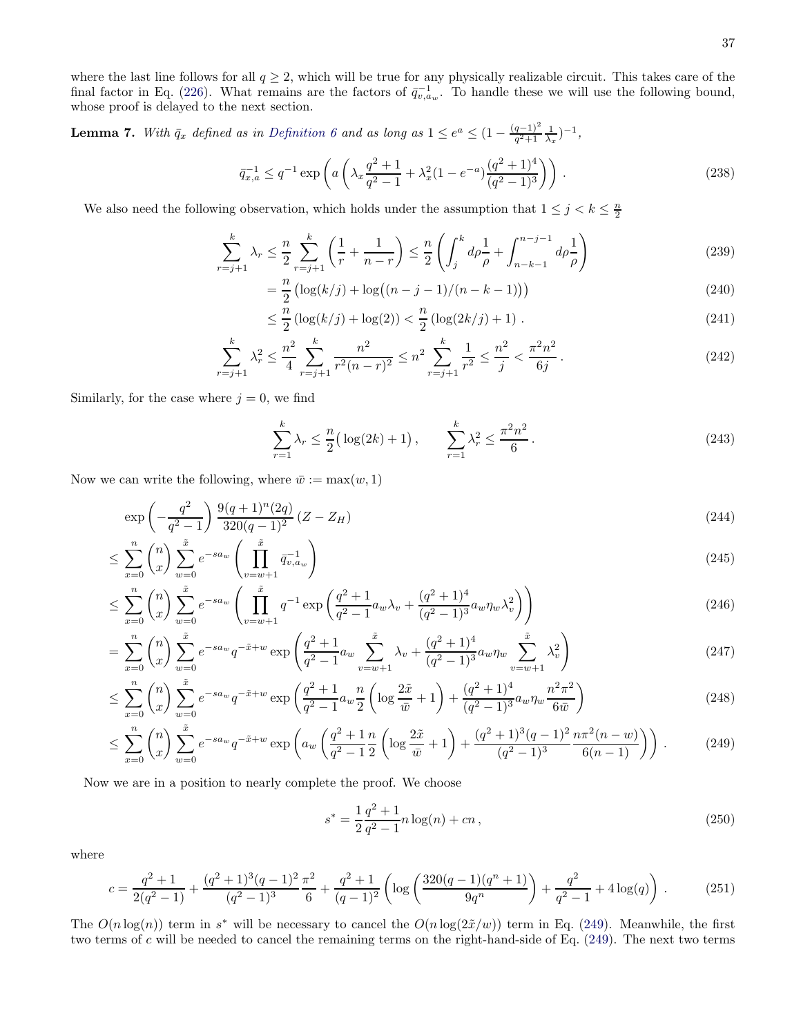where the last line follows for all  $q \geq 2$ , which will be true for any physically realizable circuit. This takes care of the final factor in Eq. [\(226\)](#page-35-0). What remains are the factors of  $\bar{q}_{v,a_w}^{-1}$ . To handle these we will use the following bound, whose proof is delayed to the next section.

<span id="page-36-1"></span>**Lemma 7.** With  $\bar{q}_x$  defined as in [Definition 6](#page-34-0) and as long as  $1 \leq e^a \leq (1 - \frac{(q-1)^2}{q^2+1})$  $\frac{q-1)^2}{q^2+1} \frac{1}{\lambda_x}$ )<sup>-1</sup>,

$$
\bar{q}_{x,a}^{-1} \le q^{-1} \exp\left(a\left(\lambda_x \frac{q^2+1}{q^2-1} + \lambda_x^2 (1 - e^{-a}) \frac{(q^2+1)^4}{(q^2-1)^3}\right)\right). \tag{238}
$$

We also need the following observation, which holds under the assumption that  $1 \leq j < k \leq \frac{n}{2}$ 

$$
\sum_{r=j+1}^{k} \lambda_r \le \frac{n}{2} \sum_{r=j+1}^{k} \left( \frac{1}{r} + \frac{1}{n-r} \right) \le \frac{n}{2} \left( \int_j^k d\rho \frac{1}{\rho} + \int_{n-k-1}^{n-j-1} d\rho \frac{1}{\rho} \right) \tag{239}
$$

$$
= \frac{n}{2} \left( \log(k/j) + \log((n-j-1)/(n-k-1)) \right)
$$
\n(240)

$$
\leq \frac{n}{2} \left( \log(k/j) + \log(2) \right) < \frac{n}{2} \left( \log(2k/j) + 1 \right) \,. \tag{241}
$$

$$
\sum_{r=j+1}^{k} \lambda_r^2 \le \frac{n^2}{4} \sum_{r=j+1}^{k} \frac{n^2}{r^2 (n-r)^2} \le n^2 \sum_{r=j+1}^{k} \frac{1}{r^2} \le \frac{n^2}{j} < \frac{\pi^2 n^2}{6j} \,. \tag{242}
$$

Similarly, for the case where  $j = 0$ , we find

$$
\sum_{r=1}^{k} \lambda_r \le \frac{n}{2} \big( \log(2k) + 1 \big), \qquad \sum_{r=1}^{k} \lambda_r^2 \le \frac{\pi^2 n^2}{6} \,. \tag{243}
$$

Now we can write the following, where  $\bar{w} := \max(w, 1)$ 

$$
\exp\left(-\frac{q^2}{q^2-1}\right) \frac{9(q+1)^n(2q)}{320(q-1)^2} (Z - Z_H) \tag{244}
$$

$$
\leq \sum_{x=0}^{n} \binom{n}{x} \sum_{w=0}^{\tilde{x}} e^{-sa_w} \left( \prod_{v=w+1}^{\tilde{x}} \bar{q}_{v,a_w}^{-1} \right) \tag{245}
$$

$$
\leq \sum_{x=0}^{n} \binom{n}{x} \sum_{w=0}^{\tilde{x}} e^{-sa_w} \left( \prod_{v=w+1}^{\tilde{x}} q^{-1} \exp \left( \frac{q^2+1}{q^2-1} a_w \lambda_v + \frac{(q^2+1)^4}{(q^2-1)^3} a_w \eta_w \lambda_v^2 \right) \right) \tag{246}
$$

$$
= \sum_{x=0}^{n} \binom{n}{x} \sum_{w=0}^{\tilde{x}} e^{-sa_w} q^{-\tilde{x}+w} \exp\left(\frac{q^2+1}{q^2-1} a_w \sum_{v=w+1}^{\tilde{x}} \lambda_v + \frac{(q^2+1)^4}{(q^2-1)^3} a_w \eta_w \sum_{v=w+1}^{\tilde{x}} \lambda_v^2\right)
$$
(247)

$$
\leq \sum_{x=0}^{n} \binom{n}{x} \sum_{w=0}^{\tilde{x}} e^{-sa_w} q^{-\tilde{x}+w} \exp\left(\frac{q^2+1}{q^2-1} a_w \frac{n}{2} \left(\log \frac{2\tilde{x}}{\bar{w}}+1\right) + \frac{(q^2+1)^4}{(q^2-1)^3} a_w \eta_w \frac{n^2 \pi^2}{6\bar{w}}\right) \tag{248}
$$

$$
\leq \sum_{x=0}^{n} \binom{n}{x} \sum_{w=0}^{\tilde{x}} e^{-sa_w} q^{-\tilde{x}+w} \exp\left(a_w \left(\frac{q^2+1}{q^2-1} \frac{n}{2} \left(\log \frac{2\tilde{x}}{\bar{w}}+1\right) + \frac{(q^2+1)^3 (q-1)^2}{(q^2-1)^3} \frac{n \pi^2 (n-w)}{6(n-1)}\right)\right).
$$
(249)

Now we are in a position to nearly complete the proof. We choose

<span id="page-36-0"></span>
$$
s^* = \frac{1}{2} \frac{q^2 + 1}{q^2 - 1} n \log(n) + cn \,, \tag{250}
$$

where

$$
c = \frac{q^2 + 1}{2(q^2 - 1)} + \frac{(q^2 + 1)^3(q - 1)^2 \pi^2}{(q^2 - 1)^3} \frac{\pi^2}{6} + \frac{q^2 + 1}{(q - 1)^2} \left( \log \left( \frac{320(q - 1)(q^n + 1)}{9q^n} \right) + \frac{q^2}{q^2 - 1} + 4\log(q) \right) \,. \tag{251}
$$

The  $O(n \log(n))$  term in s<sup>\*</sup> will be necessary to cancel the  $O(n \log(2\tilde{x}/w))$  term in Eq. [\(249\)](#page-36-0). Meanwhile, the first two terms of c will be needed to cancel the remaining terms on the right-hand-side of Eq. [\(249\)](#page-36-0). The next two terms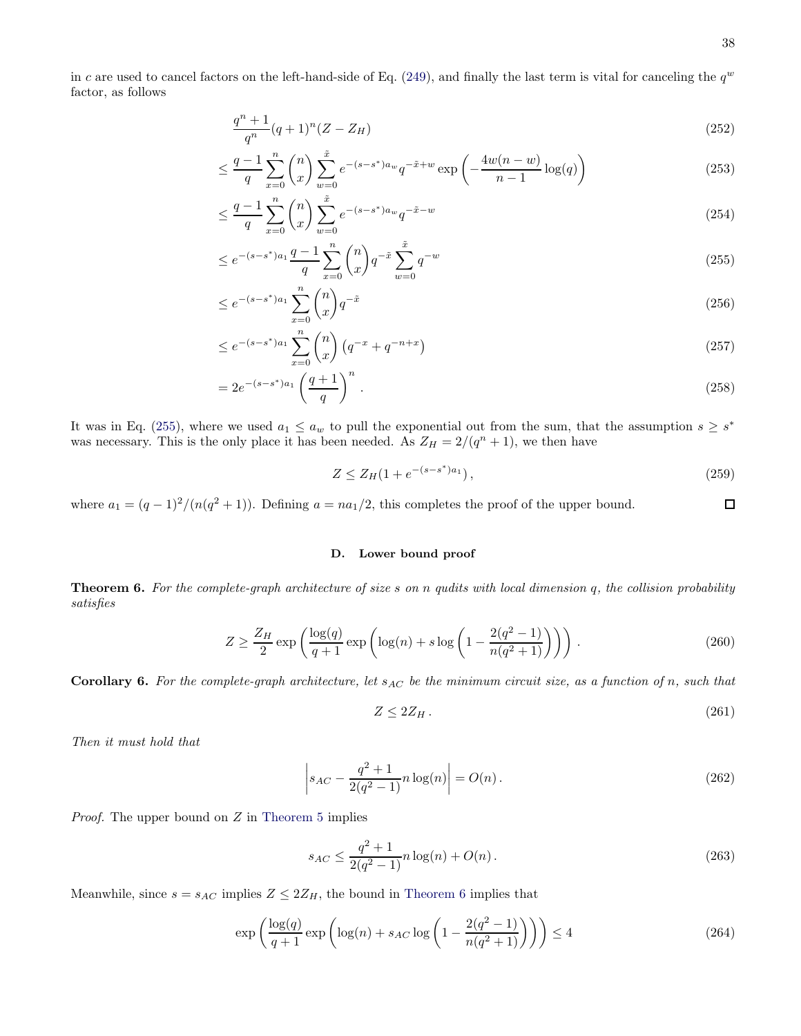<span id="page-37-1"></span>38

 $\Box$ 

in c are used to cancel factors on the left-hand-side of Eq. [\(249\)](#page-36-0), and finally the last term is vital for canceling the  $q^w$ factor, as follows

$$
\frac{q^n + 1}{q^n}(q+1)^n (Z - Z_H) \tag{252}
$$

$$
\leq \frac{q-1}{q} \sum_{x=0}^{n} {n \choose x} \sum_{w=0}^{\tilde{x}} e^{-(s-s^*)a_w} q^{-\tilde{x}+w} \exp\left(-\frac{4w(n-w)}{n-1}\log(q)\right)
$$
(253)

$$
\leq \frac{q-1}{q} \sum_{x=0}^{n} \binom{n}{x} \sum_{w=0}^{\tilde{x}} e^{-(s-s^*)a_w} q^{-\tilde{x}-w} \tag{254}
$$

$$
\leq e^{-(s-s^*)a_1} \frac{q-1}{q} \sum_{x=0}^{n} \binom{n}{x} q^{-\tilde{x}} \sum_{w=0}^{\tilde{x}} q^{-w}
$$
\n(255)

$$
\leq e^{-(s-s^*)a_1} \sum_{x=0}^{n} \binom{n}{x} q^{-\tilde{x}} \tag{256}
$$

$$
\leq e^{-(s-s^*)a_1} \sum_{x=0}^{n} \binom{n}{x} \left( q^{-x} + q^{-n+x} \right) \tag{257}
$$

$$
=2e^{-(s-s^*)a_1}\left(\frac{q+1}{q}\right)^n.\tag{258}
$$

It was in Eq. [\(255\)](#page-37-1), where we used  $a_1 \le a_w$  to pull the exponential out from the sum, that the assumption  $s \ge s^*$ was necessary. This is the only place it has been needed. As  $Z_H = 2/(q^n + 1)$ , we then have

$$
Z \le Z_H(1 + e^{-(s - s^*)a_1}),\tag{259}
$$

where  $a_1 = (q-1)^2/(n(q^2+1))$ . Defining  $a = na_1/2$ , this completes the proof of the upper bound.

## D. Lower bound proof

<span id="page-37-0"></span>**Theorem 6.** For the complete-graph architecture of size s on n qudits with local dimension q, the collision probability satisfies

$$
Z \ge \frac{Z_H}{2} \exp\left(\frac{\log(q)}{q+1} \exp\left(\log(n) + s \log\left(1 - \frac{2(q^2 - 1)}{n(q^2 + 1)}\right)\right)\right). \tag{260}
$$

**Corollary 6.** For the complete-graph architecture, let  $s_{AC}$  be the minimum circuit size, as a function of n, such that

$$
Z \le 2Z_H. \tag{261}
$$

Then it must hold that

$$
\left| s_{AC} - \frac{q^2 + 1}{2(q^2 - 1)} n \log(n) \right| = O(n). \tag{262}
$$

*Proof.* The upper bound on  $Z$  in [Theorem 5](#page-31-0) implies

$$
s_{AC} \le \frac{q^2 + 1}{2(q^2 - 1)} n \log(n) + O(n). \tag{263}
$$

Meanwhile, since  $s = s_{AC}$  implies  $Z \leq 2Z_H$ , the bound in [Theorem 6](#page-37-0) implies that

$$
\exp\left(\frac{\log(q)}{q+1}\exp\left(\log(n) + s_{AC}\log\left(1 - \frac{2(q^2-1)}{n(q^2+1)}\right)\right)\right) \le 4\tag{264}
$$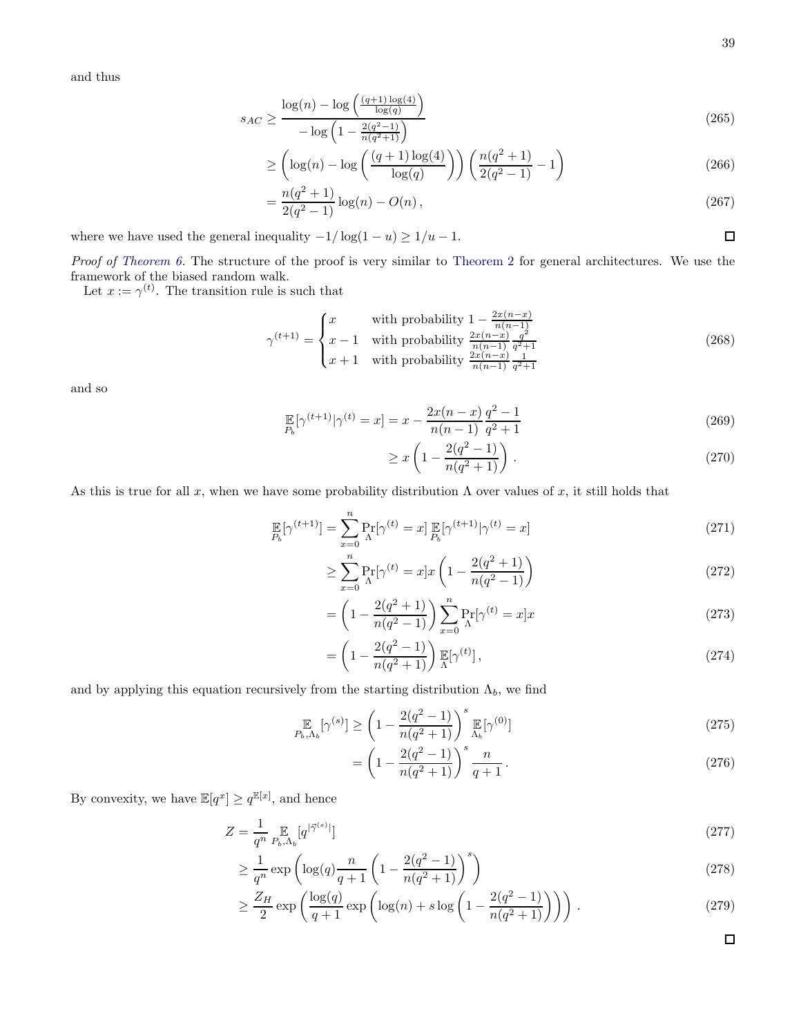and thus

$$
s_{AC} \ge \frac{\log(n) - \log\left(\frac{(q+1)\log(4)}{\log(q)}\right)}{-\log\left(1 - \frac{2(q^2-1)}{n(q^2+1)}\right)}\tag{265}
$$

$$
\geq \left(\log(n) - \log\left(\frac{(q+1)\log(4)}{\log(q)}\right)\right) \left(\frac{n(q^2+1)}{2(q^2-1)} - 1\right)
$$
\n(266)

$$
= \frac{n(q^2+1)}{2(q^2-1)}\log(n) - O(n),\tag{267}
$$

where we have used the general inequality  $-1/\log(1-u) \geq 1/u - 1$ .

Proof of [Theorem 6.](#page-37-0) The structure of the proof is very similar to [Theorem 2](#page-18-0) for general architectures. We use the framework of the biased random walk.

Let  $x := \gamma^{(t)}$ . The transition rule is such that

$$
\gamma^{(t+1)} = \begin{cases} x & \text{with probability } 1 - \frac{2x(n-x)}{n(n-1)} \\ x - 1 & \text{with probability } \frac{2x(n-x)}{n(n-1)} \frac{q^2}{q^2 + 1} \\ x + 1 & \text{with probability } \frac{2x(n-x)}{n(n-1)} \frac{1}{q^2 + 1} \end{cases}
$$
(268)

and so

$$
\mathbb{E}_{P_b}[\gamma^{(t+1)}|\gamma^{(t)} = x] = x - \frac{2x(n-x)}{n(n-1)}\frac{q^2 - 1}{q^2 + 1}
$$
\n(269)

$$
\geq x \left( 1 - \frac{2(q^2 - 1)}{n(q^2 + 1)} \right) \,. \tag{270}
$$

As this is true for all x, when we have some probability distribution  $\Lambda$  over values of x, it still holds that

$$
\mathbb{E}_{P_b}[\gamma^{(t+1)}] = \sum_{x=0}^{n} \Pr_{\Lambda}[\gamma^{(t)} = x] \mathbb{E}_{P_b}[\gamma^{(t+1)} | \gamma^{(t)} = x]
$$
\n(271)

$$
\geq \sum_{x=0}^{n} \Pr_{\Lambda}[\gamma^{(t)} = x] x \left( 1 - \frac{2(q^2 + 1)}{n(q^2 - 1)} \right)
$$
\n(272)

$$
= \left(1 - \frac{2(q^2+1)}{n(q^2-1)}\right) \sum_{x=0}^{n} \Pr_{\Lambda}[\gamma^{(t)} = x]x \tag{273}
$$

$$
= \left(1 - \frac{2(q^2 - 1)}{n(q^2 + 1)}\right) \mathbb{E}[\gamma^{(t)}],\tag{274}
$$

and by applying this equation recursively from the starting distribution  $\Lambda_b$ , we find

$$
\mathbb{E}_{h,\Lambda_b}[\gamma^{(s)}] \ge \left(1 - \frac{2(q^2 - 1)}{n(q^2 + 1)}\right)^s \mathbb{E}_{\Lambda_b}[\gamma^{(0)}]
$$
\n(275)

$$
= \left(1 - \frac{2(q^2 - 1)}{n(q^2 + 1)}\right)^s \frac{n}{q+1}.
$$
\n(276)

By convexity, we have  $\mathbb{E}[q^x] \ge q^{\mathbb{E}[x]}$ , and hence

$$
Z = \frac{1}{q^n} \mathop{\mathbb{E}}_{p_b, \Lambda_b}[q^{|\vec{\gamma}^{(s)}|}]
$$
\n
$$
(277)
$$

$$
\geq \frac{1}{q^n} \exp\left(\log(q) \frac{n}{q+1} \left(1 - \frac{2(q^2 - 1)}{n(q^2 + 1)}\right)^s\right) \tag{278}
$$

$$
\geq \frac{Z_H}{2} \exp\left(\frac{\log(q)}{q+1} \exp\left(\log(n) + s \log\left(1 - \frac{2(q^2 - 1)}{n(q^2 + 1)}\right)\right)\right). \tag{279}
$$

 $\Box$ 

 $\Box$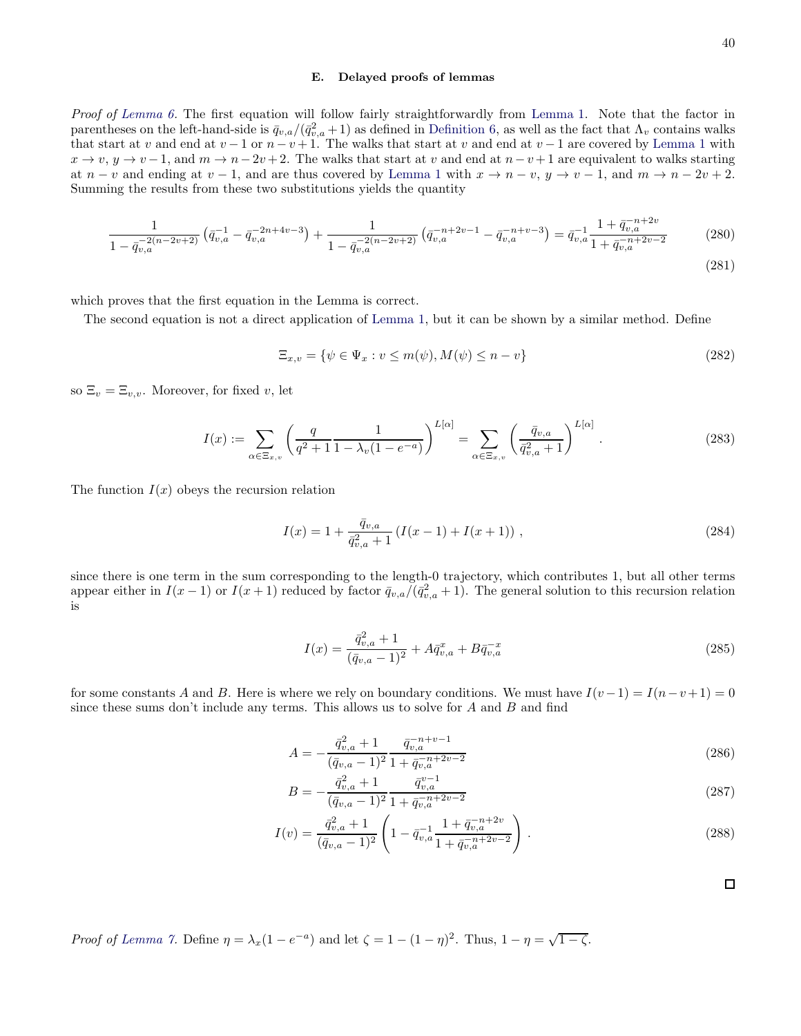#### E. Delayed proofs of lemmas

Proof of [Lemma 6.](#page-34-1) The first equation will follow fairly straightforwardly from [Lemma 1.](#page-15-0) Note that the factor in parentheses on the left-hand-side is  $\bar{q}_{v,a}/(\bar{q}_{v,a}^2+1)$  as defined in [Definition 6,](#page-34-0) as well as the fact that  $\Lambda_v$  contains walks that start at v and end at  $v-1$  or  $n-v+1$ . The walks that start at v and end at  $v-1$  are covered by [Lemma 1](#page-15-0) with  $x \to v, y \to v-1$ , and  $m \to n-2v+2$ . The walks that start at v and end at  $n-v+1$  are equivalent to walks starting at  $n - v$  and ending at  $v - 1$ , and are thus covered by [Lemma 1](#page-15-0) with  $x \to n - v$ ,  $y \to v - 1$ , and  $m \to n - 2v + 2$ . Summing the results from these two substitutions yields the quantity

$$
\frac{1}{1 - \bar{q}_{v,a}^{-2(n-2v+2)}} \left( \bar{q}_{v,a}^{-1} - \bar{q}_{v,a}^{-2n+4v-3} \right) + \frac{1}{1 - \bar{q}_{v,a}^{-2(n-2v+2)}} \left( \bar{q}_{v,a}^{-n+2v-1} - \bar{q}_{v,a}^{-n+v-3} \right) = \bar{q}_{v,a}^{-1} \frac{1 + \bar{q}_{v,a}^{-n+2v}}{1 + \bar{q}_{v,a}^{-n+2v-2}} \tag{280}
$$

which proves that the first equation in the Lemma is correct.

The second equation is not a direct application of [Lemma 1,](#page-15-0) but it can be shown by a similar method. Define

$$
\Xi_{x,v} = \{ \psi \in \Psi_x : v \le m(\psi), M(\psi) \le n - v \}
$$
\n
$$
(282)
$$

so  $\Xi_v = \Xi_{v,v}$ . Moreover, for fixed v, let

$$
I(x) := \sum_{\alpha \in \Xi_{x,v}} \left( \frac{q}{q^2 + 1} \frac{1}{1 - \lambda_v (1 - e^{-a})} \right)^{L[\alpha]} = \sum_{\alpha \in \Xi_{x,v}} \left( \frac{\bar{q}_{v,a}}{\bar{q}_{v,a}^2 + 1} \right)^{L[\alpha]}.
$$
 (283)

The function  $I(x)$  obeys the recursion relation

$$
I(x) = 1 + \frac{\bar{q}_{v,a}}{\bar{q}_{v,a}^2 + 1} \left( I(x-1) + I(x+1) \right), \tag{284}
$$

since there is one term in the sum corresponding to the length-0 trajectory, which contributes 1, but all other terms appear either in  $I(x-1)$  or  $I(x+1)$  reduced by factor  $\bar{q}_{v,a}/(\bar{q}_{v,a}^2+1)$ . The general solution to this recursion relation is

$$
I(x) = \frac{\bar{q}_{v,a}^2 + 1}{(\bar{q}_{v,a} - 1)^2} + A\bar{q}_{v,a}^x + B\bar{q}_{v,a}^{-x}
$$
\n(285)

for some constants A and B. Here is where we rely on boundary conditions. We must have  $I(v-1) = I(n-v+1) = 0$ since these sums don't include any terms. This allows us to solve for  $A$  and  $B$  and find

$$
A = -\frac{\bar{q}_{v,a}^2 + 1}{(\bar{q}_{v,a} - 1)^2} \frac{\bar{q}_{v,a}^{-n+\nu-1}}{1 + \bar{q}_{v,a}^{-n+2\nu-2}}
$$
(286)

$$
B = -\frac{\bar{q}_{v,a}^2 + 1}{(\bar{q}_{v,a} - 1)^2} \frac{\bar{q}_{v,a}^{v-1}}{1 + \bar{q}_{v,a}^{-n+2v-2}}
$$
(287)

$$
I(v) = \frac{\bar{q}_{v,a}^2 + 1}{(\bar{q}_{v,a} - 1)^2} \left( 1 - \bar{q}_{v,a}^{-1} \frac{1 + \bar{q}_{v,a}^{-n+2v}}{1 + \bar{q}_{v,a}^{-n+2v-2}} \right).
$$
 (288)

 $\Box$ 

Proof of [Lemma 7.](#page-36-1) Define  $\eta = \lambda_x (1 - e^{-a})$  and let  $\zeta = 1 - (1 - \eta)^2$ . Thus,  $1 - \eta = \sqrt{1 - \zeta}$ .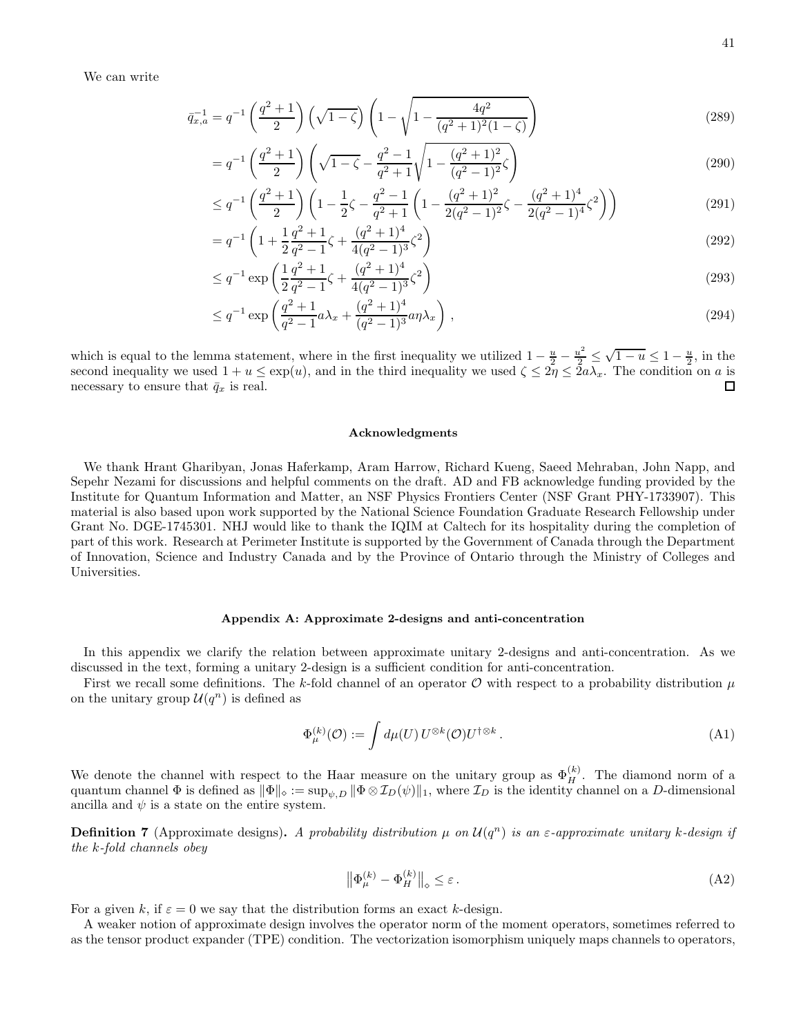We can write

$$
\bar{q}_{x,a}^{-1} = q^{-1} \left( \frac{q^2 + 1}{2} \right) \left( \sqrt{1 - \zeta} \right) \left( 1 - \sqrt{1 - \frac{4q^2}{(q^2 + 1)^2 (1 - \zeta)}} \right) \tag{289}
$$

$$
=q^{-1}\left(\frac{q^2+1}{2}\right)\left(\sqrt{1-\zeta}-\frac{q^2-1}{q^2+1}\sqrt{1-\frac{(q^2+1)^2}{(q^2-1)^2}\zeta}\right)
$$
(290)

$$
\leq q^{-1} \left( \frac{q^2 + 1}{2} \right) \left( 1 - \frac{1}{2}\zeta - \frac{q^2 - 1}{q^2 + 1} \left( 1 - \frac{(q^2 + 1)^2}{2(q^2 - 1)^2} \zeta - \frac{(q^2 + 1)^4}{2(q^2 - 1)^4} \zeta^2 \right) \right) \tag{291}
$$

$$
= q^{-1} \left( 1 + \frac{1}{2} \frac{q^2 + 1}{q^2 - 1} \zeta + \frac{(q^2 + 1)^4}{4(q^2 - 1)^3} \zeta^2 \right)
$$
\n(292)

$$
\leq q^{-1} \exp\left(\frac{1}{2}\frac{q^2+1}{q^2-1}\zeta + \frac{(q^2+1)^4}{4(q^2-1)^3}\zeta^2\right) \tag{293}
$$

$$
\leq q^{-1} \exp\left(\frac{q^2+1}{q^2-1}a\lambda_x + \frac{(q^2+1)^4}{(q^2-1)^3}a\eta\lambda_x\right),\tag{294}
$$

which is equal to the lemma statement, where in the first inequality we utilized  $1 - \frac{u}{2} - \frac{u^2}{2} \leq \sqrt{1 - u} \leq 1 - \frac{u}{2}$ , in the second inequality we used  $1 + u \leq \exp(u)$ , and in the third inequality we used  $\zeta \leq 2\eta \leq 2a\lambda_x$ . The condition on a is necessary to ensure that  $\bar{q}_x$  is real.

#### Acknowledgments

We thank Hrant Gharibyan, Jonas Haferkamp, Aram Harrow, Richard Kueng, Saeed Mehraban, John Napp, and Sepehr Nezami for discussions and helpful comments on the draft. AD and FB acknowledge funding provided by the Institute for Quantum Information and Matter, an NSF Physics Frontiers Center (NSF Grant PHY-1733907). This material is also based upon work supported by the National Science Foundation Graduate Research Fellowship under Grant No. DGE-1745301. NHJ would like to thank the IQIM at Caltech for its hospitality during the completion of part of this work. Research at Perimeter Institute is supported by the Government of Canada through the Department of Innovation, Science and Industry Canada and by the Province of Ontario through the Ministry of Colleges and Universities.

### <span id="page-40-0"></span>Appendix A: Approximate 2-designs and anti-concentration

In this appendix we clarify the relation between approximate unitary 2-designs and anti-concentration. As we discussed in the text, forming a unitary 2-design is a sufficient condition for anti-concentration.

First we recall some definitions. The k-fold channel of an operator  $\mathcal O$  with respect to a probability distribution  $\mu$ on the unitary group  $\mathcal{U}(q^n)$  is defined as

$$
\Phi_{\mu}^{(k)}(\mathcal{O}) := \int d\mu(U) \, U^{\otimes k}(\mathcal{O}) U^{\dagger \otimes k} \,. \tag{A1}
$$

We denote the channel with respect to the Haar measure on the unitary group as  $\Phi_H^{(k)}$ . The diamond norm of a quantum channel Φ is defined as  $\|\Phi\|_{\diamond} := \sup_{\psi,D} \|\Phi \otimes \mathcal{I}_D(\psi)\|_1$ , where  $\mathcal{I}_D$  is the identity channel on a D-dimensional ancilla and  $\psi$  is a state on the entire system.

**Definition 7** (Approximate designs). A probability distribution  $\mu$  on  $\mathcal{U}(q^n)$  is an  $\varepsilon$ -approximate unitary k-design if the k-fold channels obey

$$
\left\| \Phi_{\mu}^{(k)} - \Phi_H^{(k)} \right\|_{\diamond} \le \varepsilon \,. \tag{A2}
$$

For a given k, if  $\varepsilon = 0$  we say that the distribution forms an exact k-design.

A weaker notion of approximate design involves the operator norm of the moment operators, sometimes referred to as the tensor product expander (TPE) condition. The vectorization isomorphism uniquely maps channels to operators,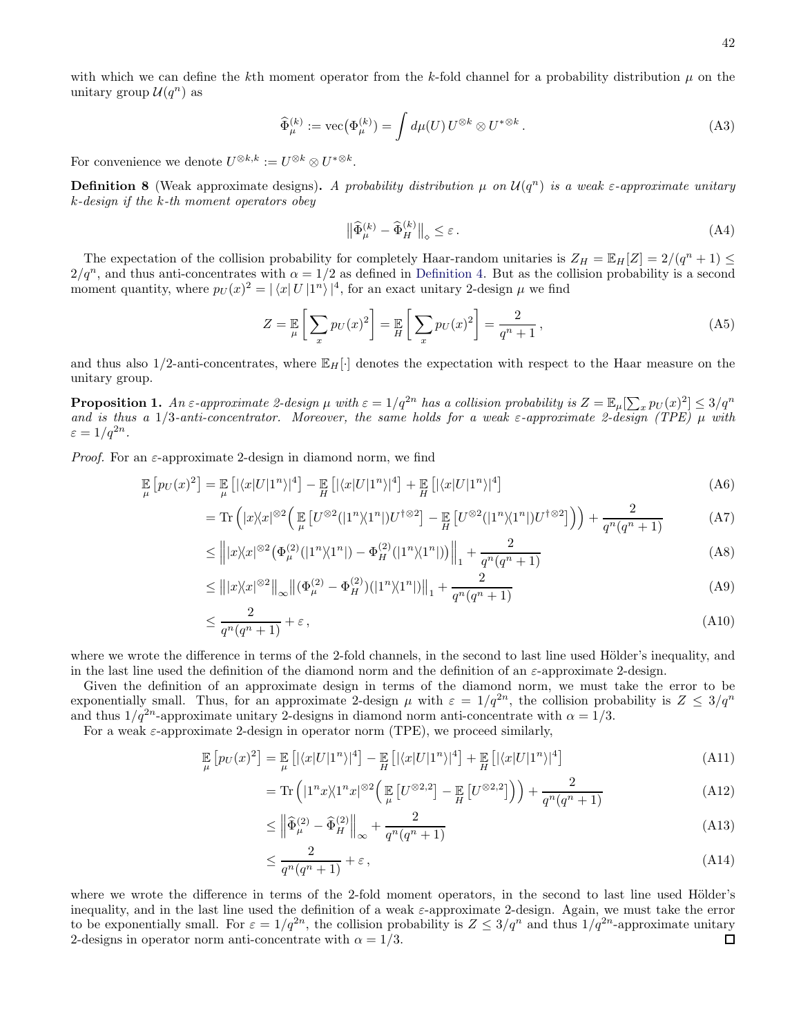with which we can define the kth moment operator from the k-fold channel for a probability distribution  $\mu$  on the unitary group  $\mathcal{U}(q^n)$  as

$$
\widehat{\Phi}_{\mu}^{(k)} := \text{vec}(\Phi_{\mu}^{(k)}) = \int d\mu(U) \, U^{\otimes k} \otimes U^{*\otimes k} \,. \tag{A3}
$$

For convenience we denote  $U^{\otimes k,k} := U^{\otimes k} \otimes U^{*\otimes k}$ .

**Definition 8** (Weak approximate designs). A probability distribution  $\mu$  on  $\mathcal{U}(q^n)$  is a weak  $\varepsilon$ -approximate unitary k-design if the k-th moment operators obey

$$
\left\| \widehat{\Phi}_{\mu}^{(k)} - \widehat{\Phi}_{H}^{(k)} \right\|_{\diamond} \le \varepsilon \,. \tag{A4}
$$

The expectation of the collision probability for completely Haar-random unitaries is  $Z_H = \mathbb{E}_H[Z] = 2/(q^n + 1) \leq$  $2/q^n$ , and thus anti-concentrates with  $\alpha = 1/2$  as defined in [Definition 4.](#page-10-2) But as the collision probability is a second moment quantity, where  $p_U(x)^2 = |\langle x | U | 1^n \rangle|^4$ , for an exact unitary 2-design  $\mu$  we find

$$
Z = \mathbb{E}\left[\sum_{x} p_U(x)^2\right] = \mathbb{E}\left[\sum_{x} p_U(x)^2\right] = \frac{2}{q^n + 1},\tag{A5}
$$

and thus also  $1/2$ -anti-concentrates, where  $\mathbb{E}_H[\cdot]$  denotes the expectation with respect to the Haar measure on the unitary group.

<span id="page-41-0"></span>**Proposition 1.** An  $\varepsilon$ -approximate 2-design  $\mu$  with  $\varepsilon = 1/q^{2n}$  has a collision probability is  $Z = \mathbb{E}_{\mu}[\sum_{x} p_U(x)^2] \leq 3/q^n$ and is thus a  $1/3$ -anti-concentrator. Moreover, the same holds for a weak  $\varepsilon$ -approximate 2-design (TPE)  $\mu$  with  $\varepsilon = 1/q^{2n}$ .

*Proof.* For an  $\varepsilon$ -approximate 2-design in diamond norm, we find

$$
\mathbb{E}_{\mu}\left[p_U(x)^2\right] = \mathbb{E}_{\mu}\left[\left|\langle x|U|1^n\rangle\right|^4\right] - \mathbb{E}_{H}\left[\left|\langle x|U|1^n\rangle\right|^4\right] + \mathbb{E}_{H}\left[\left|\langle x|U|1^n\rangle\right|^4\right] \tag{A6}
$$

$$
= \text{Tr}\left(|x\rangle\langle x|^{\otimes 2}\left(\mathbb{E}\left[U^{\otimes 2}(|1^n\rangle\langle 1^n|)U^{\dagger\otimes 2}\right] - \mathbb{E}\left[U^{\otimes 2}(|1^n\rangle\langle 1^n|)U^{\dagger\otimes 2}\right]\right)\right) + \frac{2}{q^n(q^n+1)}\tag{A7}
$$

$$
\leq \left\| |x\rangle\langle x|^{82} \left( \Phi_{\mu}^{(2)}(|1^n\rangle\langle 1^n|) - \Phi_H^{(2)}(|1^n\rangle\langle 1^n|) \right) \right\|_1 + \frac{2}{q^n(q^n+1)}\tag{A8}
$$

$$
\leq \left\| |x\rangle\langle x|^{82} \right\|_{\infty} \left\| (\Phi_{\mu}^{(2)} - \Phi_H^{(2)}) (|1^n\rangle\langle 1^n|) \right\|_1 + \frac{2}{q^n(q^n+1)}\tag{A9}
$$

$$
\leq \frac{2}{q^n(q^n+1)} + \varepsilon \,,\tag{A10}
$$

where we wrote the difference in terms of the 2-fold channels, in the second to last line used Hölder's inequality, and in the last line used the definition of the diamond norm and the definition of an  $\varepsilon$ -approximate 2-design.

Given the definition of an approximate design in terms of the diamond norm, we must take the error to be exponentially small. Thus, for an approximate 2-design  $\mu$  with  $\varepsilon = 1/q^{2n}$ , the collision probability is  $Z \leq 3/q^n$ and thus  $1/q^{2n}$ -approximate unitary 2-designs in diamond norm anti-concentrate with  $\alpha = 1/3$ .

For a weak  $\varepsilon$ -approximate 2-design in operator norm (TPE), we proceed similarly,

$$
\mathbb{E}_{\mu}\left[p_{U}(x)^{2}\right] = \mathbb{E}_{\mu}\left[\left|\langle x|U|1^{n}\rangle\right|^{4}\right] - \mathbb{E}_{H}\left[\left|\langle x|U|1^{n}\rangle\right|^{4}\right] + \mathbb{E}_{H}\left[\left|\langle x|U|1^{n}\rangle\right|^{4}\right] \tag{A11}
$$

$$
= \operatorname{Tr}\left( |1^n x \rangle \langle 1^n x |^{\otimes 2} \left( \mathop{\mathbb{E}}_{\mu} \left[ U^{\otimes 2,2} \right] - \mathop{\mathbb{E}}_{H} \left[ U^{\otimes 2,2} \right] \right) \right) + \frac{2}{q^n (q^n + 1)} \tag{A12}
$$

$$
\leq \left\| \widehat{\Phi}_{\mu}^{(2)} - \widehat{\Phi}_{H}^{(2)} \right\|_{\infty} + \frac{2}{q^n (q^n + 1)}\tag{A13}
$$

$$
\leq \frac{2}{q^n(q^n+1)} + \varepsilon \,,\tag{A14}
$$

where we wrote the difference in terms of the 2-fold moment operators, in the second to last line used Hölder's inequality, and in the last line used the definition of a weak ε-approximate 2-design. Again, we must take the error to be exponentially small. For  $\varepsilon = 1/q^{2n}$ , the collision probability is  $Z \leq 3/q^n$  and thus  $1/q^{2n}$ -approximate unitary 2-designs in operator norm anti-concentrate with  $\alpha = 1/3$ .  $\Box$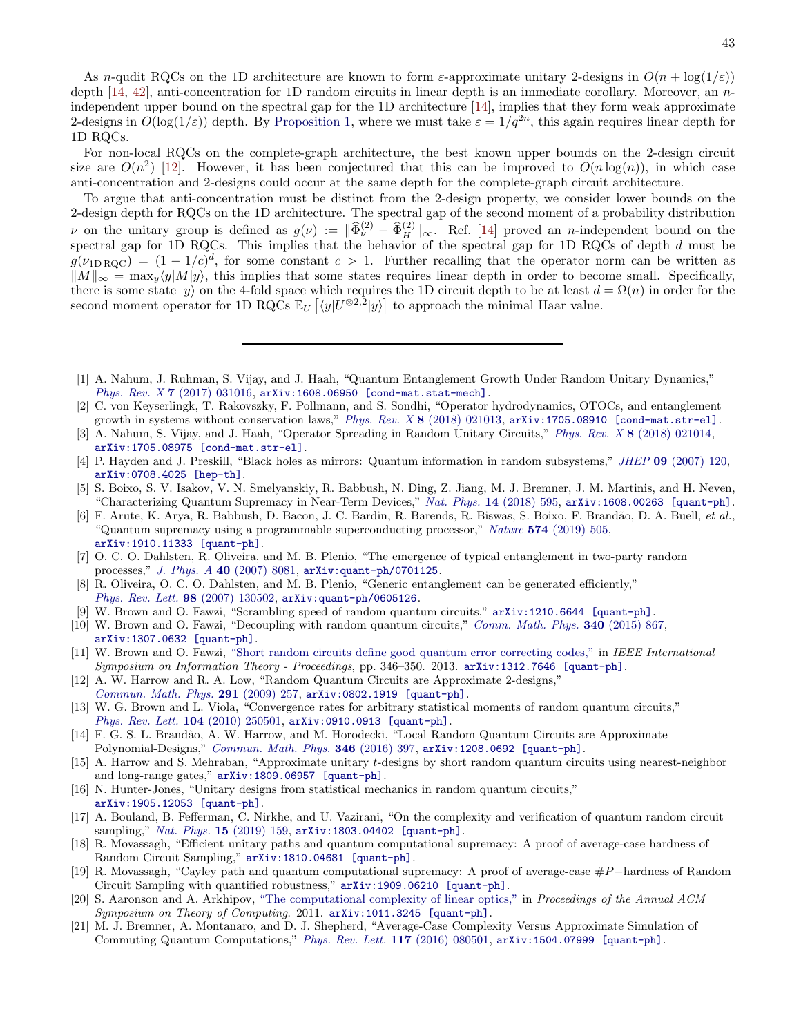As n-qudit RQCs on the 1D architecture are known to form  $\varepsilon$ -approximate unitary 2-designs in  $O(n + \log(1/\varepsilon))$ depth [\[14](#page-42-17), [42](#page-43-15)], anti-concentration for 1D random circuits in linear depth is an immediate corollary. Moreover, an nindependent upper bound on the spectral gap for the 1D architecture [\[14\]](#page-42-17), implies that they form weak approximate 2-designs in  $O(\log(1/\varepsilon))$  depth. By [Proposition 1,](#page-41-0) where we must take  $\varepsilon = 1/q^{2n}$ , this again requires linear depth for 1D RQCs.

For non-local RQCs on the complete-graph architecture, the best known upper bounds on the 2-design circuit size are  $O(n^2)$  [\[12](#page-42-11)]. However, it has been conjectured that this can be improved to  $O(n \log(n))$ , in which case anti-concentration and 2-designs could occur at the same depth for the complete-graph circuit architecture.

To argue that anti-concentration must be distinct from the 2-design property, we consider lower bounds on the 2-design depth for RQCs on the 1D architecture. The spectral gap of the second moment of a probability distribution v on the unitary group is defined as  $g(\nu) := \|\widehat{\Phi}_{\nu}^{(2)} - \widehat{\Phi}_{H}^{(2)}\|_{\infty}$ . Ref. [\[14\]](#page-42-17) proved an n-independent bound on the spectral gap for 1D RQCs. This implies that the behavior of the spectral gap for 1D RQCs of depth d must be  $g(\nu_{1\text{DRQC}}) = (1 - 1/c)^d$ , for some constant  $c > 1$ . Further recalling that the operator norm can be written as  $\|M\|_{\infty} = \max_{y} \langle y|M|y\rangle$ , this implies that some states requires linear depth in order to become small. Specifically, there is some state  $|y\rangle$  on the 4-fold space which requires the 1D circuit depth to be at least  $d = \Omega(n)$  in order for the second moment operator for 1D RQCs  $\mathbb{E}_U \left[ \langle y | U^{\otimes 2,2} | y \rangle \right]$  to approach the minimal Haar value.

- <span id="page-42-0"></span>[1] A. Nahum, J. Ruhman, S. Vijay, and J. Haah, "Quantum Entanglement Growth Under Random Unitary Dynamics," Phys. Rev.  $X 7 (2017) 031016$ ,  $arXiv:1608.06950$  [cond-mat.stat-mech].
- <span id="page-42-10"></span>[2] C. von Keyserlingk, T. Rakovszky, F. Pollmann, and S. Sondhi, "Operator hydrodynamics, OTOCs, and entanglement growth in systems without conservation laws," Phys. Rev. X  $\frac{8}{2018}$  021013, [arXiv:1705.08910 \[cond-mat.str-el\]](http://arxiv.org/abs/1705.08910).
- <span id="page-42-1"></span>[3] A. Nahum, S. Vijay, and J. Haah, "Operator Spreading in Random Unitary Circuits," Phys. Rev. X 8 [\(2018\) 021014,](http://dx.doi.org/10.1103/PhysRevX.8.021014) [arXiv:1705.08975 \[cond-mat.str-el\]](http://arxiv.org/abs/1705.08975).
- <span id="page-42-2"></span>[4] P. Hayden and J. Preskill, "Black holes as mirrors: Quantum information in random subsystems," JHEP 09 [\(2007\) 120,](http://dx.doi.org/10.1088/1126-6708/2007/09/120) [arXiv:0708.4025 \[hep-th\]](http://arxiv.org/abs/0708.4025).
- <span id="page-42-3"></span>[5] S. Boixo, S. V. Isakov, V. N. Smelyanskiy, R. Babbush, N. Ding, Z. Jiang, M. J. Bremner, J. M. Martinis, and H. Neven, "Characterizing Quantum Supremacy in Near-Term Devices," Nat. Phys. 14 [\(2018\) 595,](http://dx.doi.org/10.1038/s41567-018-0124-x) [arXiv:1608.00263 \[quant-ph\]](http://arxiv.org/abs/1608.00263).
- <span id="page-42-4"></span>[6] F. Arute, K. Arya, R. Babbush, D. Bacon, J. C. Bardin, R. Barends, R. Biswas, S. Boixo, F. Brand˜ao, D. A. Buell, et al., "Quantum supremacy using a programmable superconducting processor," Nature 574 [\(2019\) 505,](http://dx.doi.org/10.1038/s41586-019-1666-5) [arXiv:1910.11333 \[quant-ph\]](http://arxiv.org/abs/1910.11333).
- <span id="page-42-5"></span>[7] O. C. O. Dahlsten, R. Oliveira, and M. B. Plenio, "The emergence of typical entanglement in two-party random processes," J. Phys. A 40 [\(2007\) 8081,](http://dx.doi.org/10.1088/1751-8113/40/28/S16) [arXiv:quant-ph/0701125](http://arxiv.org/abs/quant-ph/0701125).
- <span id="page-42-6"></span>[8] R. Oliveira, O. C. O. Dahlsten, and M. B. Plenio, "Generic entanglement can be generated efficiently," [Phys. Rev. Lett.](http://dx.doi.org/10.1103/PhysRevLett.98.130502) 98 (2007) 130502, [arXiv:quant-ph/0605126](http://arxiv.org/abs/quant-ph/0605126).
- <span id="page-42-7"></span>[9] W. Brown and O. Fawzi, "Scrambling speed of random quantum circuits," [arXiv:1210.6644 \[quant-ph\]](http://arxiv.org/abs/1210.6644).
- <span id="page-42-8"></span>[10] W. Brown and O. Fawzi, "Decoupling with random quantum circuits," [Comm. Math. Phys.](http://dx.doi.org/10.1007/s00220-015-2470-1) 340 (2015) 867, [arXiv:1307.0632 \[quant-ph\]](http://arxiv.org/abs/1307.0632).
- <span id="page-42-9"></span>[11] W. Brown and O. Fawzi, ["Short random circuits define good quantum error correcting](http://dx.doi.org/10.1109/ISIT.2013.6620245) codes," in IEEE International Symposium on Information Theory - Proceedings, pp. 346–350. 2013. [arXiv:1312.7646 \[quant-ph\]](http://arxiv.org/abs/1312.7646).
- <span id="page-42-11"></span>[12] A. W. Harrow and R. A. Low, "Random Quantum Circuits are Approximate 2-designs," [Commun. Math. Phys.](http://dx.doi.org/10.1007/s00220-009-0873-6) 291 (2009) 257, [arXiv:0802.1919 \[quant-ph\]](http://arxiv.org/abs/0802.1919).
- [13] W. G. Brown and L. Viola, "Convergence rates for arbitrary statistical moments of random quantum circuits," [Phys. Rev. Lett.](http://dx.doi.org/10.1103/PhysRevLett.104.250501) 104 (2010) 250501, [arXiv:0910.0913 \[quant-ph\]](http://arxiv.org/abs/0910.0913).
- <span id="page-42-17"></span>[14] F. G. S. L. Brandão, A. W. Harrow, and M. Horodecki, "Local Random Quantum Circuits are Approximate Polynomial-Designs," [Commun. Math. Phys.](http://dx.doi.org/10.1007/s00220-016-2706-8) 346 (2016) 397, [arXiv:1208.0692 \[quant-ph\]](http://arxiv.org/abs/1208.0692).
- <span id="page-42-16"></span>[15] A. Harrow and S. Mehraban, "Approximate unitary t-designs by short random quantum circuits using nearest-neighbor and long-range gates," [arXiv:1809.06957 \[quant-ph\]](http://arxiv.org/abs/1809.06957).
- <span id="page-42-12"></span>[16] N. Hunter-Jones, "Unitary designs from statistical mechanics in random quantum circuits," [arXiv:1905.12053 \[quant-ph\]](http://arxiv.org/abs/1905.12053).
- <span id="page-42-13"></span>[17] A. Bouland, B. Fefferman, C. Nirkhe, and U. Vazirani, "On the complexity and verification of quantum random circuit sampling," Nat. Phys. 15 [\(2019\) 159,](http://dx.doi.org/10.1038/s41567-018-0318-2) [arXiv:1803.04402 \[quant-ph\]](http://arxiv.org/abs/1803.04402).
- [18] R. Movassagh, "Efficient unitary paths and quantum computational supremacy: A proof of average-case hardness of Random Circuit Sampling," [arXiv:1810.04681 \[quant-ph\]](http://arxiv.org/abs/1810.04681).
- <span id="page-42-14"></span>[19] R. Movassagh, "Cayley path and quantum computational supremacy: A proof of average-case #P−hardness of Random Circuit Sampling with quantified robustness," [arXiv:1909.06210 \[quant-ph\]](http://arxiv.org/abs/1909.06210).
- <span id="page-42-15"></span>[20] S. Aaronson and A. Arkhipov, ["The computational complexity of linear optics,"](http://dx.doi.org/10.1145/1993636.1993682) in Proceedings of the Annual ACM Symposium on Theory of Computing. 2011. [arXiv:1011.3245 \[quant-ph\]](http://arxiv.org/abs/1011.3245).
- [21] M. J. Bremner, A. Montanaro, and D. J. Shepherd, "Average-Case Complexity Versus Approximate Simulation of Commuting Quantum Computations," [Phys. Rev. Lett.](http://dx.doi.org/10.1103/PhysRevLett.117.080501) 117 (2016) 080501, [arXiv:1504.07999 \[quant-ph\]](http://arxiv.org/abs/1504.07999).